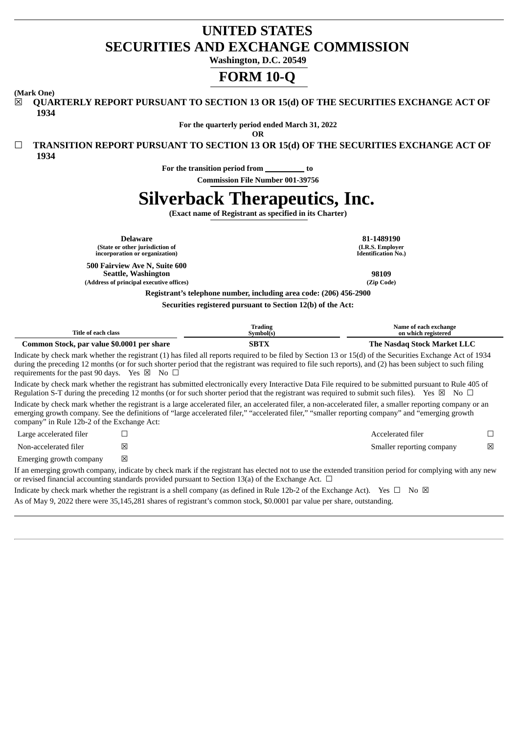# **UNITED STATES SECURITIES AND EXCHANGE COMMISSION**

**Washington, D.C. 20549**

# **FORM 10-Q**

**(Mark One)**

☒ **QUARTERLY REPORT PURSUANT TO SECTION 13 OR 15(d) OF THE SECURITIES EXCHANGE ACT OF 1934**

> **For the quarterly period ended March 31, 2022 OR**

☐ **TRANSITION REPORT PURSUANT TO SECTION 13 OR 15(d) OF THE SECURITIES EXCHANGE ACT OF 1934**

**For the transition period from to**

**Commission File Number 001-39756**

# **Silverback Therapeutics, Inc.**

**(Exact name of Registrant as specified in its Charter)**

**Delaware 81-1489190 (State or other jurisdiction of incorporation or organization)**

**500 Fairview Ave N, Suite 600 Seattle, Washington 98109 (Address of principal executive offices) (Zip Code)**

**(I.R.S. Employer Identification No.)**

**Registrant's telephone number, including area code: (206) 456-2900**

**Securities registered pursuant to Section 12(b) of the Act:**

| Title of each class                                          |   | <b>Trading</b><br>Symbol(s)                                                                                                                                                                                                                                                                                              | Name of each exchange<br>on which registered |   |  |  |  |
|--------------------------------------------------------------|---|--------------------------------------------------------------------------------------------------------------------------------------------------------------------------------------------------------------------------------------------------------------------------------------------------------------------------|----------------------------------------------|---|--|--|--|
| Common Stock, par value \$0.0001 per share                   |   | <b>SBTX</b>                                                                                                                                                                                                                                                                                                              | The Nasdag Stock Market LLC                  |   |  |  |  |
| requirements for the past 90 days. Yes $\boxtimes$ No $\Box$ |   | Indicate by check mark whether the registrant (1) has filed all reports required to be filed by Section 13 or 15(d) of the Securities Exchange Act of 1934<br>during the preceding 12 months (or for such shorter period that the registrant was required to file such reports), and (2) has been subject to such filing |                                              |   |  |  |  |
|                                                              |   | Indicate by check mark whether the registrant has submitted electronically every Interactive Data File required to be submitted pursuant to Rule 405 of<br>Regulation S-T during the preceding 12 months (or for such shorter period that the registrant was required to submit such files). Yes $\boxtimes$ No $\Box$   |                                              |   |  |  |  |
| company" in Rule 12b-2 of the Exchange Act:                  |   | Indicate by check mark whether the registrant is a large accelerated filer, an accelerated filer, a non-accelerated filer, a smaller reporting company or an<br>emerging growth company. See the definitions of "large accelerated filer," "accelerated filer," "smaller reporting company" and "emerging growth         |                                              |   |  |  |  |
| Large accelerated filer                                      |   |                                                                                                                                                                                                                                                                                                                          | Accelerated filer                            |   |  |  |  |
| Non-accelerated filer                                        | 区 |                                                                                                                                                                                                                                                                                                                          | Smaller reporting company                    | ⊠ |  |  |  |
| Emerging growth company                                      | ⊠ |                                                                                                                                                                                                                                                                                                                          |                                              |   |  |  |  |
|                                                              |   | If an emerging growth company, indicate by check mark if the registrant has elected not to use the extended transition period for complying with any new                                                                                                                                                                 |                                              |   |  |  |  |

If an emerging growth company, indicate by check mark if the registrant has elected not to use the extended transition period for complying with any new or revised financial accounting standards provided pursuant to Section 13(a) of the Exchange Act.  $\Box$ 

Indicate by check mark whether the registrant is a shell company (as defined in Rule 12b-2 of the Exchange Act). Yes  $\Box$  No  $\boxtimes$ As of May 9, 2022 there were 35,145,281 shares of registrant's common stock, \$0.0001 par value per share, outstanding.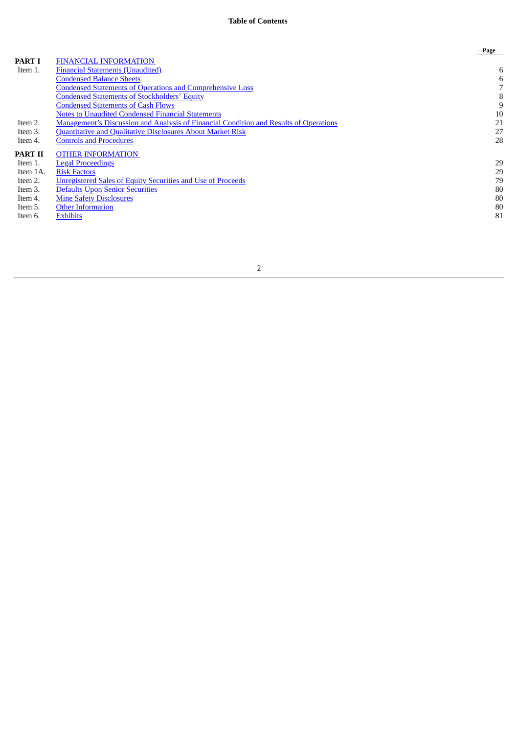|                |                                                                                              | Page |
|----------------|----------------------------------------------------------------------------------------------|------|
| <b>PART I</b>  | <b>FINANCIAL INFORMATION</b>                                                                 |      |
| Item 1.        | <b>Financial Statements (Unaudited)</b>                                                      | 6    |
|                | <b>Condensed Balance Sheets</b>                                                              | 6    |
|                | <b>Condensed Statements of Operations and Comprehensive Loss</b>                             |      |
|                | <b>Condensed Statements of Stockholders' Equity</b>                                          | 8    |
|                | <b>Condensed Statements of Cash Flows</b>                                                    | 9    |
|                | <b>Notes to Unaudited Condensed Financial Statements</b>                                     | 10   |
| Item 2.        | <b>Management's Discussion and Analysis of Financial Condition and Results of Operations</b> | 21   |
| Item 3.        | <b>Quantitative and Qualitative Disclosures About Market Risk</b>                            | 27   |
| Item 4.        | <b>Controls and Procedures</b>                                                               | 28   |
| <b>PART II</b> | <b>OTHER INFORMATION</b>                                                                     |      |
| Item 1.        | <b>Legal Proceedings</b>                                                                     | 29   |
| Item 1A.       | <b>Risk Factors</b>                                                                          | 29   |
| Item 2.        | <b>Unregistered Sales of Equity Securities and Use of Proceeds</b>                           | 79   |
| Item 3.        | <b>Defaults Upon Senior Securities</b>                                                       | 80   |
| Item 4.        | <b>Mine Safety Disclosures</b>                                                               | 80   |
| Item 5.        | <b>Other Information</b>                                                                     | 80   |
| Item 6.        | <b>Exhibits</b>                                                                              | 81   |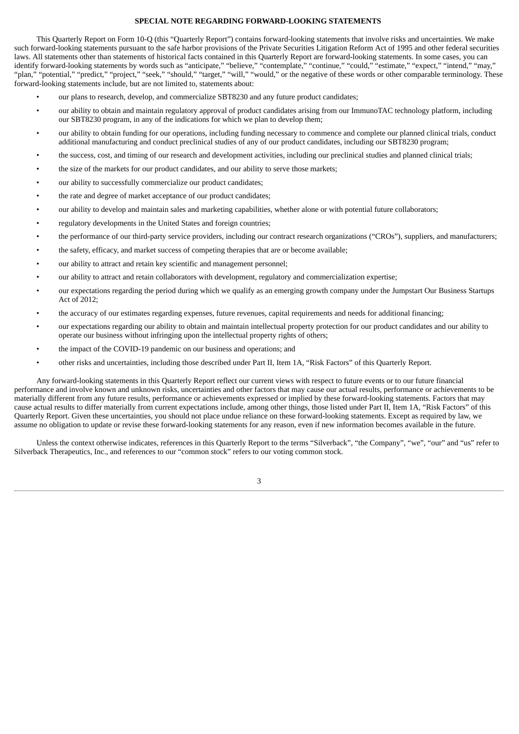# **SPECIAL NOTE REGARDING FORWARD-LOOKING STATEMENTS**

This Quarterly Report on Form 10-Q (this "Quarterly Report") contains forward-looking statements that involve risks and uncertainties. We make such forward-looking statements pursuant to the safe harbor provisions of the Private Securities Litigation Reform Act of 1995 and other federal securities laws. All statements other than statements of historical facts contained in this Quarterly Report are forward-looking statements. In some cases, you can identify forward-looking statements by words such as "anticipate," "believe," "contemplate," "continue," "could," "estimate," "expect," "intend," "may," "plan," "potential," "predict," "project," "seek," "should," "target," "will," "would," or the negative of these words or other comparable terminology. These forward-looking statements include, but are not limited to, statements about:

- our plans to research, develop, and commercialize SBT8230 and any future product candidates;
- our ability to obtain and maintain regulatory approval of product candidates arising from our ImmunoTAC technology platform, including our SBT8230 program, in any of the indications for which we plan to develop them;
- our ability to obtain funding for our operations, including funding necessary to commence and complete our planned clinical trials, conduct additional manufacturing and conduct preclinical studies of any of our product candidates, including our SBT8230 program;
- the success, cost, and timing of our research and development activities, including our preclinical studies and planned clinical trials;
- the size of the markets for our product candidates, and our ability to serve those markets;
- our ability to successfully commercialize our product candidates;
- the rate and degree of market acceptance of our product candidates;
- our ability to develop and maintain sales and marketing capabilities, whether alone or with potential future collaborators;
- regulatory developments in the United States and foreign countries;
- the performance of our third-party service providers, including our contract research organizations ("CROs"), suppliers, and manufacturers;
- the safety, efficacy, and market success of competing therapies that are or become available;
- our ability to attract and retain key scientific and management personnel;
- our ability to attract and retain collaborators with development, regulatory and commercialization expertise;
- our expectations regarding the period during which we qualify as an emerging growth company under the Jumpstart Our Business Startups Act of 2012;
- the accuracy of our estimates regarding expenses, future revenues, capital requirements and needs for additional financing;
- our expectations regarding our ability to obtain and maintain intellectual property protection for our product candidates and our ability to operate our business without infringing upon the intellectual property rights of others;
- the impact of the COVID-19 pandemic on our business and operations; and
- other risks and uncertainties, including those described under Part II, Item 1A, "Risk Factors" of this Quarterly Report.

Any forward-looking statements in this Quarterly Report reflect our current views with respect to future events or to our future financial performance and involve known and unknown risks, uncertainties and other factors that may cause our actual results, performance or achievements to be materially different from any future results, performance or achievements expressed or implied by these forward-looking statements. Factors that may cause actual results to differ materially from current expectations include, among other things, those listed under Part II, Item 1A, "Risk Factors" of this Quarterly Report. Given these uncertainties, you should not place undue reliance on these forward-looking statements. Except as required by law, we assume no obligation to update or revise these forward-looking statements for any reason, even if new information becomes available in the future.

Unless the context otherwise indicates, references in this Quarterly Report to the terms "Silverback", "the Company", "we", "our" and "us" refer to Silverback Therapeutics, Inc., and references to our "common stock" refers to our voting common stock.

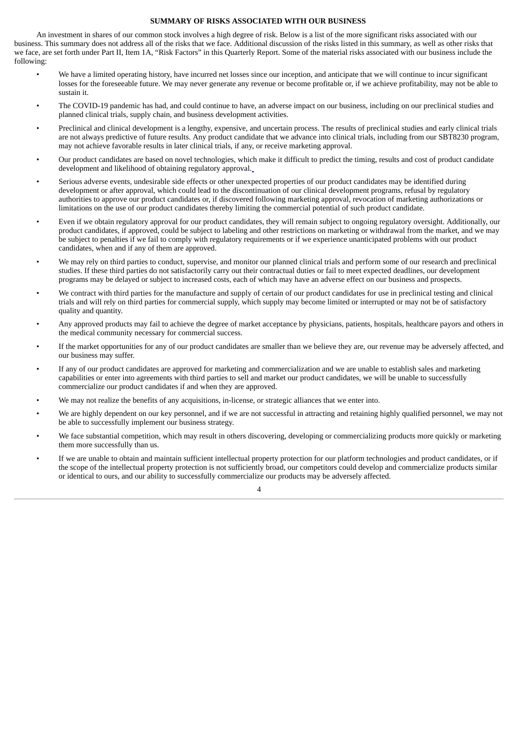# **SUMMARY OF RISKS ASSOCIATED WITH OUR BUSINESS**

An investment in shares of our common stock involves a high degree of risk. Below is a list of the more significant risks associated with our business. This summary does not address all of the risks that we face. Additional discussion of the risks listed in this summary, as well as other risks that we face, are set forth under Part II, Item 1A, "Risk Factors" in this Quarterly Report. Some of the material risks associated with our business include the following:

- We have a limited operating history, have incurred net losses since our inception, and anticipate that we will continue to incur significant losses for the foreseeable future. We may never generate any revenue or become profitable or, if we achieve profitability, may not be able to sustain it.
- The COVID-19 pandemic has had, and could continue to have, an adverse impact on our business, including on our preclinical studies and planned clinical trials, supply chain, and business development activities.
- Preclinical and clinical development is a lengthy, expensive, and uncertain process. The results of preclinical studies and early clinical trials are not always predictive of future results. Any product candidate that we advance into clinical trials, including from our SBT8230 program, may not achieve favorable results in later clinical trials, if any, or receive marketing approval.
- Our product candidates are based on novel technologies, which make it difficult to predict the timing, results and cost of product candidate development and likelihood of obtaining regulatory approval.
- Serious adverse events, undesirable side effects or other unexpected properties of our product candidates may be identified during development or after approval, which could lead to the discontinuation of our clinical development programs, refusal by regulatory authorities to approve our product candidates or, if discovered following marketing approval, revocation of marketing authorizations or limitations on the use of our product candidates thereby limiting the commercial potential of such product candidate.
- Even if we obtain regulatory approval for our product candidates, they will remain subject to ongoing regulatory oversight. Additionally, our product candidates, if approved, could be subject to labeling and other restrictions on marketing or withdrawal from the market, and we may be subject to penalties if we fail to comply with regulatory requirements or if we experience unanticipated problems with our product candidates, when and if any of them are approved.
- We may rely on third parties to conduct, supervise, and monitor our planned clinical trials and perform some of our research and preclinical studies. If these third parties do not satisfactorily carry out their contractual duties or fail to meet expected deadlines, our development programs may be delayed or subject to increased costs, each of which may have an adverse effect on our business and prospects.
- We contract with third parties for the manufacture and supply of certain of our product candidates for use in preclinical testing and clinical trials and will rely on third parties for commercial supply, which supply may become limited or interrupted or may not be of satisfactory quality and quantity.
- Any approved products may fail to achieve the degree of market acceptance by physicians, patients, hospitals, healthcare payors and others in the medical community necessary for commercial success.
- If the market opportunities for any of our product candidates are smaller than we believe they are, our revenue may be adversely affected, and our business may suffer.
- If any of our product candidates are approved for marketing and commercialization and we are unable to establish sales and marketing capabilities or enter into agreements with third parties to sell and market our product candidates, we will be unable to successfully commercialize our product candidates if and when they are approved.
- We may not realize the benefits of any acquisitions, in-license, or strategic alliances that we enter into.
- We are highly dependent on our key personnel, and if we are not successful in attracting and retaining highly qualified personnel, we may not be able to successfully implement our business strategy.
- We face substantial competition, which may result in others discovering, developing or commercializing products more quickly or marketing them more successfully than us.
- If we are unable to obtain and maintain sufficient intellectual property protection for our platform technologies and product candidates, or if the scope of the intellectual property protection is not sufficiently broad, our competitors could develop and commercialize products similar or identical to ours, and our ability to successfully commercialize our products may be adversely affected.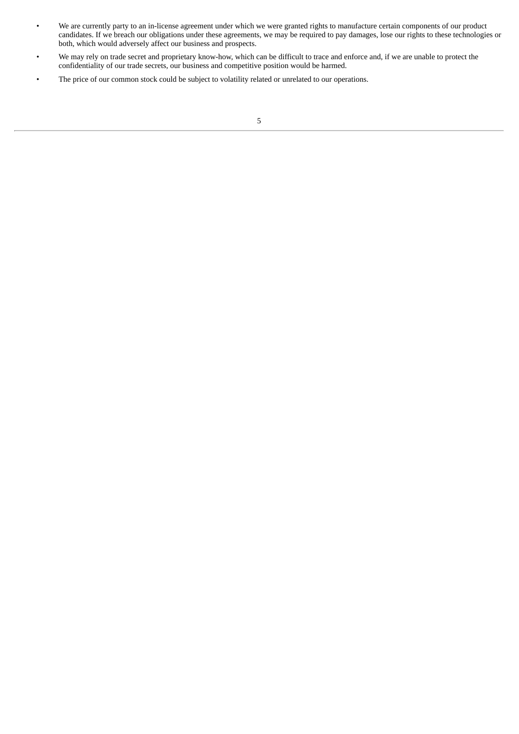- We are currently party to an in-license agreement under which we were granted rights to manufacture certain components of our product candidates. If we breach our obligations under these agreements, we may be required to pay damages, lose our rights to these technologies or both, which would adversely affect our business and prospects.
- We may rely on trade secret and proprietary know-how, which can be difficult to trace and enforce and, if we are unable to protect the confidentiality of our trade secrets, our business and competitive position would be harmed.
- The price of our common stock could be subject to volatility related or unrelated to our operations.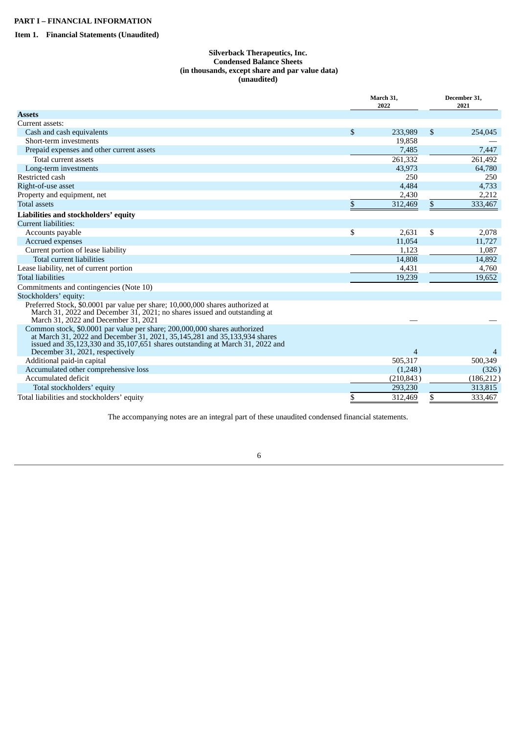# <span id="page-5-2"></span><span id="page-5-1"></span><span id="page-5-0"></span>**Item 1. Financial Statements (Unaudited)**

# **Silverback Therapeutics, Inc. Condensed Balance Sheets (in thousands, except share and par value data) (unaudited)**

|                                                                                                                                                                                                                                                                            |              | March 31,<br>2022 | December 31,<br>2021 |
|----------------------------------------------------------------------------------------------------------------------------------------------------------------------------------------------------------------------------------------------------------------------------|--------------|-------------------|----------------------|
| <b>Assets</b>                                                                                                                                                                                                                                                              |              |                   |                      |
| Current assets:                                                                                                                                                                                                                                                            |              |                   |                      |
| Cash and cash equivalents                                                                                                                                                                                                                                                  | $\mathbb{S}$ | 233,989           | \$<br>254,045        |
| Short-term investments                                                                                                                                                                                                                                                     |              | 19,858            |                      |
| Prepaid expenses and other current assets                                                                                                                                                                                                                                  |              | 7,485             | 7,447                |
| Total current assets                                                                                                                                                                                                                                                       |              | 261,332           | 261,492              |
| Long-term investments                                                                                                                                                                                                                                                      |              | 43,973            | 64,780               |
| Restricted cash                                                                                                                                                                                                                                                            |              | 250               | 250                  |
| Right-of-use asset                                                                                                                                                                                                                                                         |              | 4,484             | 4,733                |
| Property and equipment, net                                                                                                                                                                                                                                                |              | 2,430             | 2,212                |
| <b>Total assets</b>                                                                                                                                                                                                                                                        | \$           | 312,469           | \$<br>333,467        |
| Liabilities and stockholders' equity                                                                                                                                                                                                                                       |              |                   |                      |
| Current liabilities:                                                                                                                                                                                                                                                       |              |                   |                      |
| Accounts payable                                                                                                                                                                                                                                                           | \$           | 2,631             | \$<br>2,078          |
| <b>Accrued expenses</b>                                                                                                                                                                                                                                                    |              | 11,054            | 11,727               |
| Current portion of lease liability                                                                                                                                                                                                                                         |              | 1,123             | 1,087                |
| Total current liabilities                                                                                                                                                                                                                                                  |              | 14,808            | 14,892               |
| Lease liability, net of current portion                                                                                                                                                                                                                                    |              | 4,431             | 4,760                |
| <b>Total liabilities</b>                                                                                                                                                                                                                                                   |              | 19,239            | 19,652               |
| Commitments and contingencies (Note 10)                                                                                                                                                                                                                                    |              |                   |                      |
| Stockholders' equity:                                                                                                                                                                                                                                                      |              |                   |                      |
| Preferred Stock, \$0.0001 par value per share; 10,000,000 shares authorized at<br>March 31, 2022 and December 31, 2021; no shares issued and outstanding at<br>March 31, 2022 and December 31, 2021                                                                        |              |                   |                      |
| Common stock, \$0.0001 par value per share; 200,000,000 shares authorized<br>at March 31, 2022 and December 31, 2021, 35,145,281 and 35,133,934 shares<br>issued and 35,123,330 and 35,107,651 shares outstanding at March 31, 2022 and<br>December 31, 2021, respectively |              | $\overline{4}$    |                      |
| Additional paid-in capital                                                                                                                                                                                                                                                 |              | 505,317           | 500,349              |
| Accumulated other comprehensive loss                                                                                                                                                                                                                                       |              | (1,248)           | (326)                |
| Accumulated deficit                                                                                                                                                                                                                                                        |              | (210, 843)        | (186, 212)           |
| Total stockholders' equity                                                                                                                                                                                                                                                 |              | 293,230           | 313,815              |
| Total liabilities and stockholders' equity                                                                                                                                                                                                                                 | \$           | 312,469           | \$<br>333,467        |
|                                                                                                                                                                                                                                                                            |              |                   |                      |

The accompanying notes are an integral part of these unaudited condensed financial statements.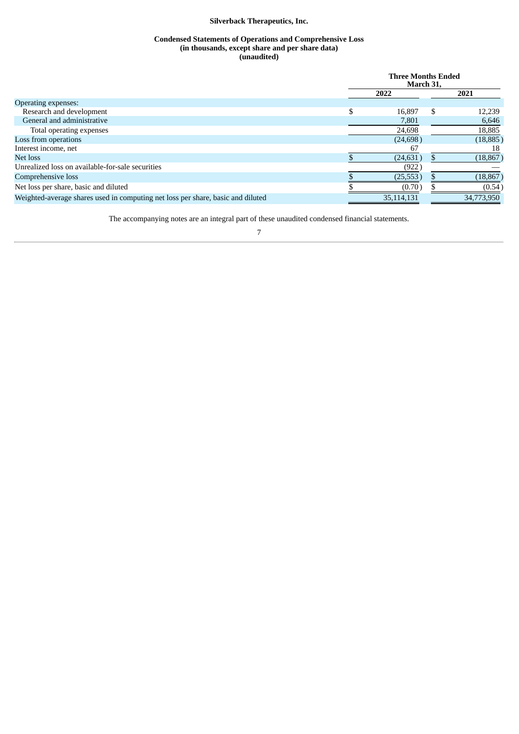# **Silverback Therapeutics, Inc.**

#### **Condensed Statements of Operations and Comprehensive Loss (in thousands, except share and per share data) (unaudited)**

<span id="page-6-0"></span>

|                                                                                 | <b>Three Months Ended</b><br>March 31, |    |            |  |
|---------------------------------------------------------------------------------|----------------------------------------|----|------------|--|
|                                                                                 | 2022                                   |    | 2021       |  |
| Operating expenses:                                                             |                                        |    |            |  |
| Research and development                                                        | \$<br>16.897                           | \$ | 12,239     |  |
| General and administrative                                                      | 7,801                                  |    | 6,646      |  |
| Total operating expenses                                                        | 24,698                                 |    | 18,885     |  |
| Loss from operations                                                            | (24, 698)                              |    | (18, 885)  |  |
| Interest income, net                                                            | 67                                     |    | 18         |  |
| Net loss                                                                        | (24, 631)                              |    | (18, 867)  |  |
| Unrealized loss on available-for-sale securities                                | (922)                                  |    |            |  |
| Comprehensive loss                                                              | (25, 553)                              |    | (18, 867)  |  |
| Net loss per share, basic and diluted                                           | (0.70)                                 |    | (0.54)     |  |
| Weighted-average shares used in computing net loss per share, basic and diluted | 35,114,131                             |    | 34,773,950 |  |

The accompanying notes are an integral part of these unaudited condensed financial statements.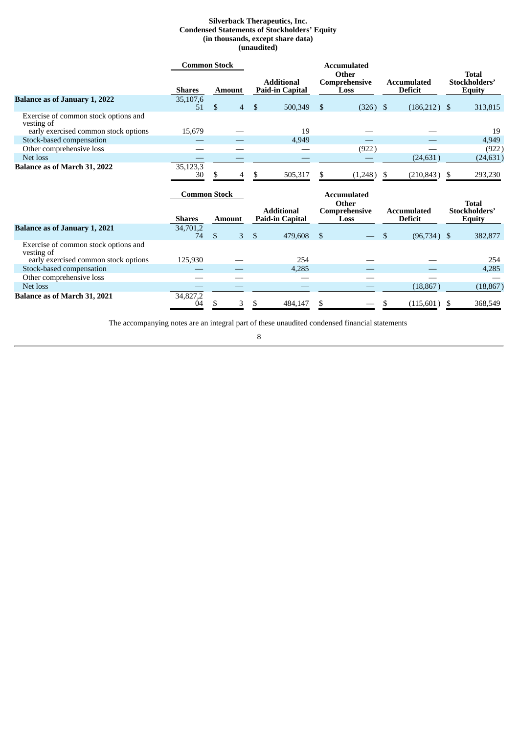# **Silverback Therapeutics, Inc. Condensed Statements of Stockholders' Equity (in thousands, except share data) (unaudited)**

<span id="page-7-0"></span>

|                                                    | <b>Common Stock</b> |           | <b>Accumulated</b> |                                             |      |                                |                               |                                                |
|----------------------------------------------------|---------------------|-----------|--------------------|---------------------------------------------|------|--------------------------------|-------------------------------|------------------------------------------------|
|                                                    | <b>Shares</b>       | Amount    |                    | <b>Additional</b><br><b>Paid-in Capital</b> |      | Other<br>Comprehensive<br>Loss | Accumulated<br><b>Deficit</b> | <b>Total</b><br>Stockholders'<br><b>Equity</b> |
| <b>Balance as of January 1, 2022</b>               | 35,107,6<br>51      | $4 \quad$ |                    | 500,349                                     | - \$ | $(326)$ \$                     | $(186,212)$ \$                | 313,815                                        |
| Exercise of common stock options and<br>vesting of |                     |           |                    |                                             |      |                                |                               |                                                |
| early exercised common stock options               | 15,679              |           |                    | 19                                          |      |                                |                               | 19                                             |
| Stock-based compensation                           |                     |           |                    | 4,949                                       |      |                                |                               | 4,949                                          |
| Other comprehensive loss                           |                     |           |                    |                                             |      | (922)                          |                               | (922)                                          |
| Net loss                                           |                     |           |                    |                                             |      |                                | (24, 631)                     | (24, 631)                                      |
| Balance as of March 31, 2022                       | 35,123,3<br>30      | 4         |                    | 505,317                                     |      | (1,248)                        | (210, 843)                    | 293,230                                        |

|                                                                                            | <b>Common Stock</b> |               |      |                                             |      | Accumulated                    |                                      |                                                |
|--------------------------------------------------------------------------------------------|---------------------|---------------|------|---------------------------------------------|------|--------------------------------|--------------------------------------|------------------------------------------------|
|                                                                                            | <b>Shares</b>       | <b>Amount</b> |      | <b>Additional</b><br><b>Paid-in Capital</b> |      | Other<br>Comprehensive<br>Loss | <b>Accumulated</b><br><b>Deficit</b> | <b>Total</b><br>Stockholders'<br><b>Equity</b> |
| <b>Balance as of January 1, 2021</b>                                                       | 34,701,2<br>74      | $\mathcal{E}$ | - \$ | 479,608                                     | - \$ |                                | \$<br>$(96,734)$ \$                  | 382,877                                        |
| Exercise of common stock options and<br>vesting of<br>early exercised common stock options | 125,930             |               |      | 254                                         |      |                                |                                      | 254                                            |
| Stock-based compensation                                                                   |                     |               |      | 4,285                                       |      |                                |                                      | 4,285                                          |
| Other comprehensive loss                                                                   |                     |               |      |                                             |      |                                |                                      |                                                |
| Net loss                                                                                   |                     |               |      |                                             |      |                                | (18, 867)                            | (18, 867)                                      |
| <b>Balance as of March 31, 2021</b>                                                        | 34,827,2<br>04      | З             |      | 484,147                                     |      |                                | (115, 601)                           | 368,549                                        |

The accompanying notes are an integral part of these unaudited condensed financial statements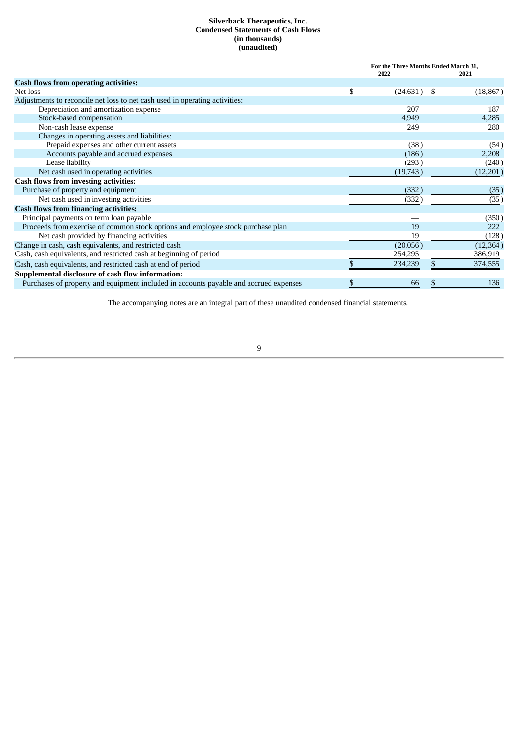# **Silverback Therapeutics, Inc. Condensed Statements of Cash Flows (in thousands) (unaudited)**

<span id="page-8-0"></span>

|                                                                                       | For the Three Months Ended March 31. |           |    |           |
|---------------------------------------------------------------------------------------|--------------------------------------|-----------|----|-----------|
|                                                                                       |                                      | 2022      |    | 2021      |
| <b>Cash flows from operating activities:</b>                                          |                                      |           |    |           |
| Net loss                                                                              | \$                                   | (24, 631) | -S | (18, 867) |
| Adjustments to reconcile net loss to net cash used in operating activities:           |                                      |           |    |           |
| Depreciation and amortization expense                                                 |                                      | 207       |    | 187       |
| Stock-based compensation                                                              |                                      | 4,949     |    | 4,285     |
| Non-cash lease expense                                                                |                                      | 249       |    | 280       |
| Changes in operating assets and liabilities:                                          |                                      |           |    |           |
| Prepaid expenses and other current assets                                             |                                      | (38)      |    | (54)      |
| Accounts payable and accrued expenses                                                 |                                      | (186)     |    | 2,208     |
| Lease liability                                                                       |                                      | (293)     |    | (240)     |
| Net cash used in operating activities                                                 |                                      | (19, 743) |    | (12, 201) |
| <b>Cash flows from investing activities:</b>                                          |                                      |           |    |           |
| Purchase of property and equipment                                                    |                                      | (332)     |    | (35)      |
| Net cash used in investing activities                                                 |                                      | (332)     |    | (35)      |
| <b>Cash flows from financing activities:</b>                                          |                                      |           |    |           |
| Principal payments on term loan payable                                               |                                      |           |    | (350)     |
| Proceeds from exercise of common stock options and employee stock purchase plan       |                                      | 19        |    | 222       |
| Net cash provided by financing activities                                             |                                      | 19        |    | (128)     |
| Change in cash, cash equivalents, and restricted cash                                 |                                      | (20,056)  |    | (12, 364) |
| Cash, cash equivalents, and restricted cash at beginning of period                    |                                      | 254,295   |    | 386,919   |
| Cash, cash equivalents, and restricted cash at end of period                          | \$                                   | 234,239   | \$ | 374,555   |
| Supplemental disclosure of cash flow information:                                     |                                      |           |    |           |
| Purchases of property and equipment included in accounts payable and accrued expenses |                                      | 66        |    | 136       |

The accompanying notes are an integral part of these unaudited condensed financial statements.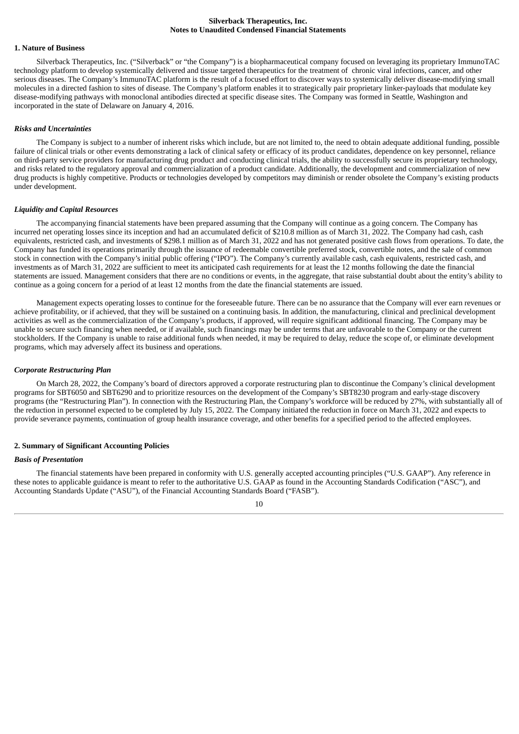#### **Silverback Therapeutics, Inc. Notes to Unaudited Condensed Financial Statements**

#### <span id="page-9-0"></span>**1. Nature of Business**

Silverback Therapeutics, Inc. ("Silverback" or "the Company") is a biopharmaceutical company focused on leveraging its proprietary ImmunoTAC technology platform to develop systemically delivered and tissue targeted therapeutics for the treatment of chronic viral infections, cancer, and other serious diseases. The Company's ImmunoTAC platform is the result of a focused effort to discover ways to systemically deliver disease-modifying small molecules in a directed fashion to sites of disease. The Company's platform enables it to strategically pair proprietary linker-payloads that modulate key disease-modifying pathways with monoclonal antibodies directed at specific disease sites. The Company was formed in Seattle, Washington and incorporated in the state of Delaware on January 4, 2016.

#### *Risks and Uncertainties*

The Company is subject to a number of inherent risks which include, but are not limited to, the need to obtain adequate additional funding, possible failure of clinical trials or other events demonstrating a lack of clinical safety or efficacy of its product candidates, dependence on key personnel, reliance on third-party service providers for manufacturing drug product and conducting clinical trials, the ability to successfully secure its proprietary technology, and risks related to the regulatory approval and commercialization of a product candidate. Additionally, the development and commercialization of new drug products is highly competitive. Products or technologies developed by competitors may diminish or render obsolete the Company's existing products under development.

#### *Liquidity and Capital Resources*

The accompanying financial statements have been prepared assuming that the Company will continue as a going concern. The Company has incurred net operating losses since its inception and had an accumulated deficit of \$210.8 million as of March 31, 2022. The Company had cash, cash equivalents, restricted cash, and investments of \$298.1 million as of March 31, 2022 and has not generated positive cash flows from operations. To date, the Company has funded its operations primarily through the issuance of redeemable convertible preferred stock, convertible notes, and the sale of common stock in connection with the Company's initial public offering ("IPO"). The Company's currently available cash, cash equivalents, restricted cash, and investments as of March 31, 2022 are sufficient to meet its anticipated cash requirements for at least the 12 months following the date the financial statements are issued. Management considers that there are no conditions or events, in the aggregate, that raise substantial doubt about the entity's ability to continue as a going concern for a period of at least 12 months from the date the financial statements are issued.

Management expects operating losses to continue for the foreseeable future. There can be no assurance that the Company will ever earn revenues or achieve profitability, or if achieved, that they will be sustained on a continuing basis. In addition, the manufacturing, clinical and preclinical development activities as well as the commercialization of the Company's products, if approved, will require significant additional financing. The Company may be unable to secure such financing when needed, or if available, such financings may be under terms that are unfavorable to the Company or the current stockholders. If the Company is unable to raise additional funds when needed, it may be required to delay, reduce the scope of, or eliminate development programs, which may adversely affect its business and operations.

# *Corporate Restructuring Plan*

On March 28, 2022, the Company's board of directors approved a corporate restructuring plan to discontinue the Company's clinical development programs for SBT6050 and SBT6290 and to prioritize resources on the development of the Company's SBT8230 program and early-stage discovery programs (the "Restructuring Plan"). In connection with the Restructuring Plan, the Company's workforce will be reduced by 27%, with substantially all of the reduction in personnel expected to be completed by July 15, 2022. The Company initiated the reduction in force on March 31, 2022 and expects to provide severance payments, continuation of group health insurance coverage, and other benefits for a specified period to the affected employees.

#### **2. Summary of Significant Accounting Policies**

#### *Basis of Presentation*

The financial statements have been prepared in conformity with U.S. generally accepted accounting principles ("U.S. GAAP"). Any reference in these notes to applicable guidance is meant to refer to the authoritative U.S. GAAP as found in the Accounting Standards Codification ("ASC"), and Accounting Standards Update ("ASU"), of the Financial Accounting Standards Board ("FASB").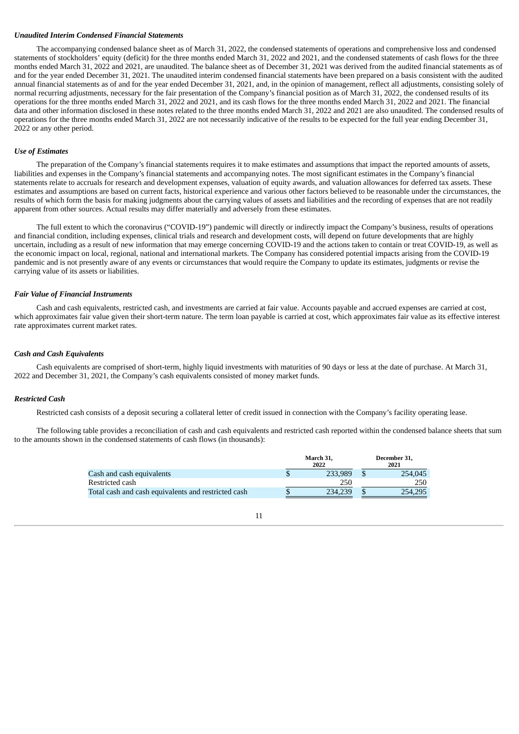#### *Unaudited Interim Condensed Financial Statements*

The accompanying condensed balance sheet as of March 31, 2022, the condensed statements of operations and comprehensive loss and condensed statements of stockholders' equity (deficit) for the three months ended March 31, 2022 and 2021, and the condensed statements of cash flows for the three months ended March 31, 2022 and 2021, are unaudited. The balance sheet as of December 31, 2021 was derived from the audited financial statements as of and for the year ended December 31, 2021. The unaudited interim condensed financial statements have been prepared on a basis consistent with the audited annual financial statements as of and for the year ended December 31, 2021, and, in the opinion of management, reflect all adjustments, consisting solely of normal recurring adjustments, necessary for the fair presentation of the Company's financial position as of March 31, 2022, the condensed results of its operations for the three months ended March 31, 2022 and 2021, and its cash flows for the three months ended March 31, 2022 and 2021. The financial data and other information disclosed in these notes related to the three months ended March 31, 2022 and 2021 are also unaudited. The condensed results of operations for the three months ended March 31, 2022 are not necessarily indicative of the results to be expected for the full year ending December 31, 2022 or any other period.

#### *Use of Estimates*

The preparation of the Company's financial statements requires it to make estimates and assumptions that impact the reported amounts of assets, liabilities and expenses in the Company's financial statements and accompanying notes. The most significant estimates in the Company's financial statements relate to accruals for research and development expenses, valuation of equity awards, and valuation allowances for deferred tax assets. These estimates and assumptions are based on current facts, historical experience and various other factors believed to be reasonable under the circumstances, the results of which form the basis for making judgments about the carrying values of assets and liabilities and the recording of expenses that are not readily apparent from other sources. Actual results may differ materially and adversely from these estimates.

The full extent to which the coronavirus ("COVID-19") pandemic will directly or indirectly impact the Company's business, results of operations and financial condition, including expenses, clinical trials and research and development costs, will depend on future developments that are highly uncertain, including as a result of new information that may emerge concerning COVID-19 and the actions taken to contain or treat COVID-19, as well as the economic impact on local, regional, national and international markets. The Company has considered potential impacts arising from the COVID-19 pandemic and is not presently aware of any events or circumstances that would require the Company to update its estimates, judgments or revise the carrying value of its assets or liabilities.

#### *Fair Value of Financial Instruments*

Cash and cash equivalents, restricted cash, and investments are carried at fair value. Accounts payable and accrued expenses are carried at cost, which approximates fair value given their short-term nature. The term loan payable is carried at cost, which approximates fair value as its effective interest rate approximates current market rates.

#### *Cash and Cash Equivalents*

Cash equivalents are comprised of short-term, highly liquid investments with maturities of 90 days or less at the date of purchase. At March 31, 2022 and December 31, 2021, the Company's cash equivalents consisted of money market funds.

## *Restricted Cash*

Restricted cash consists of a deposit securing a collateral letter of credit issued in connection with the Company's facility operating lease.

The following table provides a reconciliation of cash and cash equivalents and restricted cash reported within the condensed balance sheets that sum to the amounts shown in the condensed statements of cash flows (in thousands):

|                                                     | March 31.<br>2022 | December 31,<br>2021 |
|-----------------------------------------------------|-------------------|----------------------|
| Cash and cash equivalents                           | 233.989           | 254,045              |
| Restricted cash                                     | 250               | 250                  |
| Total cash and cash equivalents and restricted cash | 234.239           | 254,295              |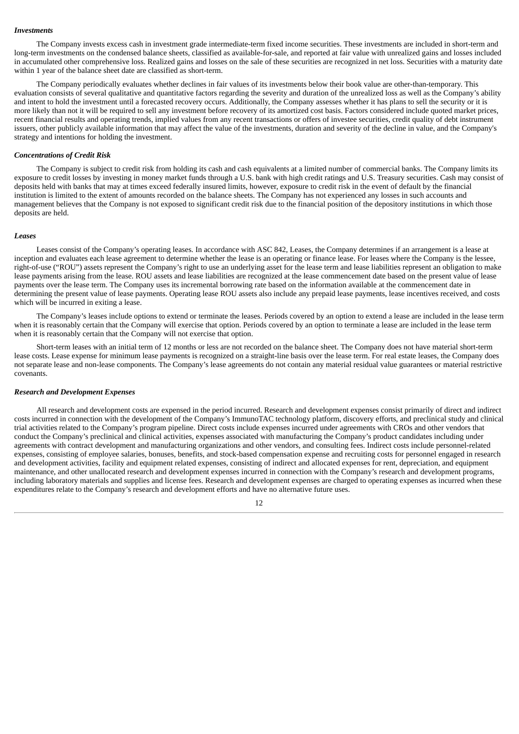#### *Investments*

The Company invests excess cash in investment grade intermediate-term fixed income securities. These investments are included in short-term and long-term investments on the condensed balance sheets, classified as available-for-sale, and reported at fair value with unrealized gains and losses included in accumulated other comprehensive loss. Realized gains and losses on the sale of these securities are recognized in net loss. Securities with a maturity date within 1 year of the balance sheet date are classified as short-term.

The Company periodically evaluates whether declines in fair values of its investments below their book value are other-than-temporary. This evaluation consists of several qualitative and quantitative factors regarding the severity and duration of the unrealized loss as well as the Company's ability and intent to hold the investment until a forecasted recovery occurs. Additionally, the Company assesses whether it has plans to sell the security or it is more likely than not it will be required to sell any investment before recovery of its amortized cost basis. Factors considered include quoted market prices, recent financial results and operating trends, implied values from any recent transactions or offers of investee securities, credit quality of debt instrument issuers, other publicly available information that may affect the value of the investments, duration and severity of the decline in value, and the Company's strategy and intentions for holding the investment.

#### *Concentrations of Credit Risk*

The Company is subject to credit risk from holding its cash and cash equivalents at a limited number of commercial banks. The Company limits its exposure to credit losses by investing in money market funds through a U.S. bank with high credit ratings and U.S. Treasury securities. Cash may consist of deposits held with banks that may at times exceed federally insured limits, however, exposure to credit risk in the event of default by the financial institution is limited to the extent of amounts recorded on the balance sheets. The Company has not experienced any losses in such accounts and management believes that the Company is not exposed to significant credit risk due to the financial position of the depository institutions in which those deposits are held.

#### *Leases*

Leases consist of the Company's operating leases. In accordance with ASC 842, Leases, the Company determines if an arrangement is a lease at inception and evaluates each lease agreement to determine whether the lease is an operating or finance lease. For leases where the Company is the lessee, right-of-use ("ROU") assets represent the Company's right to use an underlying asset for the lease term and lease liabilities represent an obligation to make lease payments arising from the lease. ROU assets and lease liabilities are recognized at the lease commencement date based on the present value of lease payments over the lease term. The Company uses its incremental borrowing rate based on the information available at the commencement date in determining the present value of lease payments. Operating lease ROU assets also include any prepaid lease payments, lease incentives received, and costs which will be incurred in exiting a lease.

The Company's leases include options to extend or terminate the leases. Periods covered by an option to extend a lease are included in the lease term when it is reasonably certain that the Company will exercise that option. Periods covered by an option to terminate a lease are included in the lease term when it is reasonably certain that the Company will not exercise that option.

Short-term leases with an initial term of 12 months or less are not recorded on the balance sheet. The Company does not have material short-term lease costs. Lease expense for minimum lease payments is recognized on a straight-line basis over the lease term. For real estate leases, the Company does not separate lease and non-lease components. The Company's lease agreements do not contain any material residual value guarantees or material restrictive covenants.

#### *Research and Development Expenses*

All research and development costs are expensed in the period incurred. Research and development expenses consist primarily of direct and indirect costs incurred in connection with the development of the Company's ImmunoTAC technology platform, discovery efforts, and preclinical study and clinical trial activities related to the Company's program pipeline. Direct costs include expenses incurred under agreements with CROs and other vendors that conduct the Company's preclinical and clinical activities, expenses associated with manufacturing the Company's product candidates including under agreements with contract development and manufacturing organizations and other vendors, and consulting fees. Indirect costs include personnel-related expenses, consisting of employee salaries, bonuses, benefits, and stock-based compensation expense and recruiting costs for personnel engaged in research and development activities, facility and equipment related expenses, consisting of indirect and allocated expenses for rent, depreciation, and equipment maintenance, and other unallocated research and development expenses incurred in connection with the Company's research and development programs, including laboratory materials and supplies and license fees. Research and development expenses are charged to operating expenses as incurred when these expenditures relate to the Company's research and development efforts and have no alternative future uses.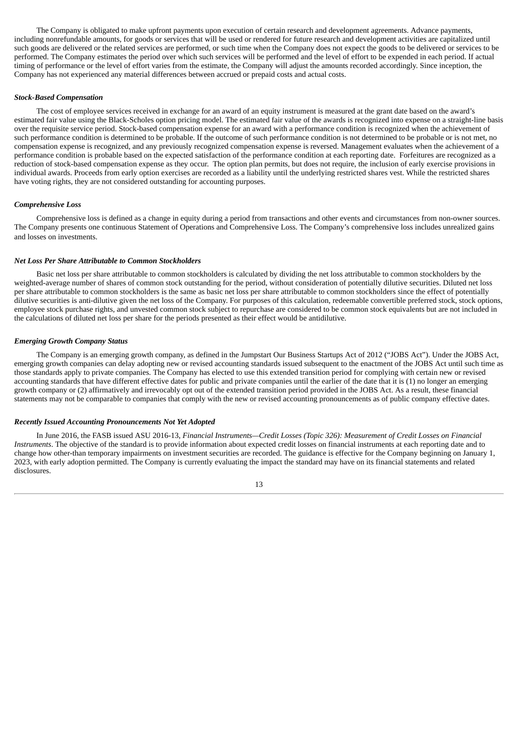The Company is obligated to make upfront payments upon execution of certain research and development agreements. Advance payments, including nonrefundable amounts, for goods or services that will be used or rendered for future research and development activities are capitalized until such goods are delivered or the related services are performed, or such time when the Company does not expect the goods to be delivered or services to be performed. The Company estimates the period over which such services will be performed and the level of effort to be expended in each period. If actual timing of performance or the level of effort varies from the estimate, the Company will adjust the amounts recorded accordingly. Since inception, the Company has not experienced any material differences between accrued or prepaid costs and actual costs.

#### *Stock-Based Compensation*

The cost of employee services received in exchange for an award of an equity instrument is measured at the grant date based on the award's estimated fair value using the Black-Scholes option pricing model. The estimated fair value of the awards is recognized into expense on a straight-line basis over the requisite service period. Stock-based compensation expense for an award with a performance condition is recognized when the achievement of such performance condition is determined to be probable. If the outcome of such performance condition is not determined to be probable or is not met, no compensation expense is recognized, and any previously recognized compensation expense is reversed. Management evaluates when the achievement of a performance condition is probable based on the expected satisfaction of the performance condition at each reporting date. Forfeitures are recognized as a reduction of stock-based compensation expense as they occur. The option plan permits, but does not require, the inclusion of early exercise provisions in individual awards. Proceeds from early option exercises are recorded as a liability until the underlying restricted shares vest. While the restricted shares have voting rights, they are not considered outstanding for accounting purposes.

#### *Comprehensive Loss*

Comprehensive loss is defined as a change in equity during a period from transactions and other events and circumstances from non-owner sources. The Company presents one continuous Statement of Operations and Comprehensive Loss. The Company's comprehensive loss includes unrealized gains and losses on investments.

#### *Net Loss Per Share Attributable to Common Stockholders*

Basic net loss per share attributable to common stockholders is calculated by dividing the net loss attributable to common stockholders by the weighted-average number of shares of common stock outstanding for the period, without consideration of potentially dilutive securities. Diluted net loss per share attributable to common stockholders is the same as basic net loss per share attributable to common stockholders since the effect of potentially dilutive securities is anti-dilutive given the net loss of the Company. For purposes of this calculation, redeemable convertible preferred stock, stock options, employee stock purchase rights, and unvested common stock subject to repurchase are considered to be common stock equivalents but are not included in the calculations of diluted net loss per share for the periods presented as their effect would be antidilutive.

#### *Emerging Growth Company Status*

The Company is an emerging growth company, as defined in the Jumpstart Our Business Startups Act of 2012 ("JOBS Act"). Under the JOBS Act, emerging growth companies can delay adopting new or revised accounting standards issued subsequent to the enactment of the JOBS Act until such time as those standards apply to private companies. The Company has elected to use this extended transition period for complying with certain new or revised accounting standards that have different effective dates for public and private companies until the earlier of the date that it is (1) no longer an emerging growth company or (2) affirmatively and irrevocably opt out of the extended transition period provided in the JOBS Act. As a result, these financial statements may not be comparable to companies that comply with the new or revised accounting pronouncements as of public company effective dates.

#### *Recently Issued Accounting Pronouncements Not Yet Adopted*

In June 2016, the FASB issued ASU 2016-13, *Financial Instruments—Credit Losses (Topic 326): Measurement of Credit Losses on Financial Instruments*. The objective of the standard is to provide information about expected credit losses on financial instruments at each reporting date and to change how other-than temporary impairments on investment securities are recorded. The guidance is effective for the Company beginning on January 1, 2023, with early adoption permitted. The Company is currently evaluating the impact the standard may have on its financial statements and related disclosures.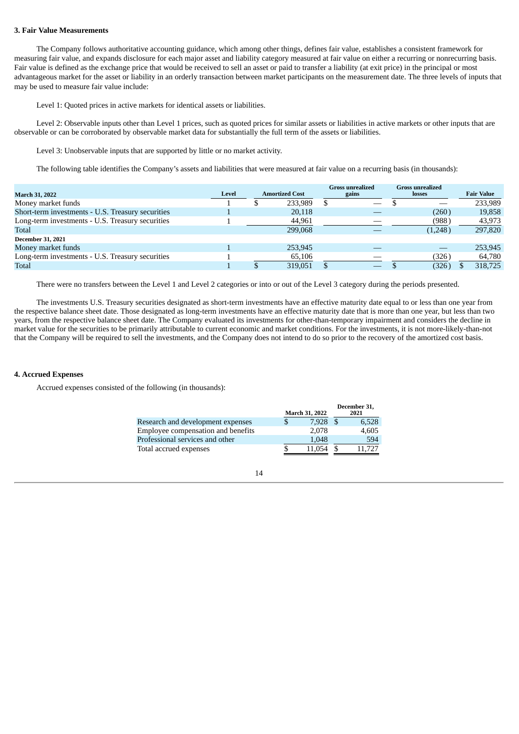#### **3. Fair Value Measurements**

The Company follows authoritative accounting guidance, which among other things, defines fair value, establishes a consistent framework for measuring fair value, and expands disclosure for each major asset and liability category measured at fair value on either a recurring or nonrecurring basis. Fair value is defined as the exchange price that would be received to sell an asset or paid to transfer a liability (at exit price) in the principal or most advantageous market for the asset or liability in an orderly transaction between market participants on the measurement date. The three levels of inputs that may be used to measure fair value include:

Level 1: Quoted prices in active markets for identical assets or liabilities.

Level 2: Observable inputs other than Level 1 prices, such as quoted prices for similar assets or liabilities in active markets or other inputs that are observable or can be corroborated by observable market data for substantially the full term of the assets or liabilities.

Level 3: Unobservable inputs that are supported by little or no market activity.

The following table identifies the Company's assets and liabilities that were measured at fair value on a recurring basis (in thousands):

|                                                   |       |  |                       |  | <b>Gross unrealized</b> |  | <b>Gross unrealized</b> |  |         |  |  |  |       |        |  |                   |  |
|---------------------------------------------------|-------|--|-----------------------|--|-------------------------|--|-------------------------|--|---------|--|--|--|-------|--------|--|-------------------|--|
| <b>March 31, 2022</b>                             | Level |  | <b>Amortized Cost</b> |  |                         |  |                         |  |         |  |  |  | gains | losses |  | <b>Fair Value</b> |  |
| Money market funds                                |       |  | 233.989               |  |                         |  |                         |  | 233,989 |  |  |  |       |        |  |                   |  |
| Short-term investments - U.S. Treasury securities |       |  | 20,118                |  |                         |  | (260)                   |  | 19,858  |  |  |  |       |        |  |                   |  |
| Long-term investments - U.S. Treasury securities  |       |  | 44,961                |  |                         |  | (988)                   |  | 43,973  |  |  |  |       |        |  |                   |  |
| Total                                             |       |  | 299,068               |  |                         |  | (1,248)                 |  | 297,820 |  |  |  |       |        |  |                   |  |
| <b>December 31, 2021</b>                          |       |  |                       |  |                         |  |                         |  |         |  |  |  |       |        |  |                   |  |
| Money market funds                                |       |  | 253.945               |  |                         |  |                         |  | 253,945 |  |  |  |       |        |  |                   |  |
| Long-term investments - U.S. Treasury securities  |       |  | 65,106                |  |                         |  | (326)                   |  | 64,780  |  |  |  |       |        |  |                   |  |
| Total                                             |       |  | 319.051               |  |                         |  | (326)                   |  | 318,725 |  |  |  |       |        |  |                   |  |

There were no transfers between the Level 1 and Level 2 categories or into or out of the Level 3 category during the periods presented.

The investments U.S. Treasury securities designated as short-term investments have an effective maturity date equal to or less than one year from the respective balance sheet date. Those designated as long-term investments have an effective maturity date that is more than one year, but less than two years, from the respective balance sheet date. The Company evaluated its investments for other-than-temporary impairment and considers the decline in market value for the securities to be primarily attributable to current economic and market conditions. For the investments, it is not more-likely-than-not that the Company will be required to sell the investments, and the Company does not intend to do so prior to the recovery of the amortized cost basis.

#### **4. Accrued Expenses**

Accrued expenses consisted of the following (in thousands):

|        |                | December 31,<br>2021 |
|--------|----------------|----------------------|
| 7.928  |                | 6,528                |
| 2.078  |                | 4,605                |
| 1.048  |                | 594                  |
| 11.054 |                | 11.727               |
|        | March 31, 2022 |                      |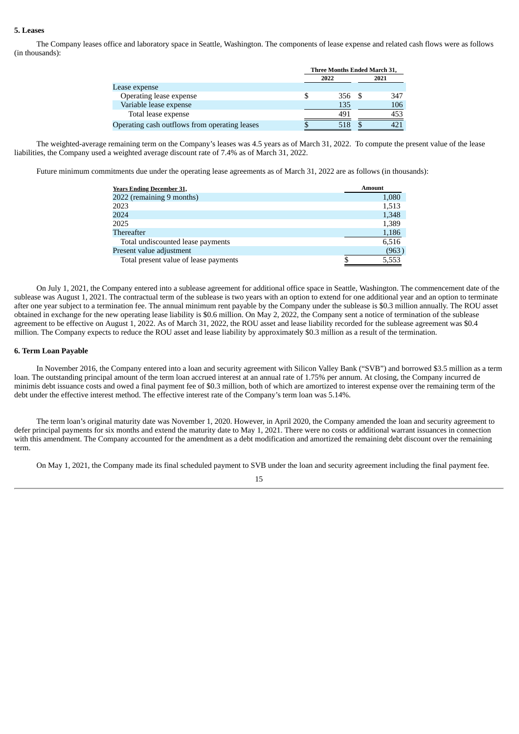# **5. Leases**

The Company leases office and laboratory space in Seattle, Washington. The components of lease expense and related cash flows were as follows (in thousands):

|                                               | Three Months Ended March 31, |  |      |  |
|-----------------------------------------------|------------------------------|--|------|--|
|                                               | 2022                         |  | 2021 |  |
| Lease expense                                 |                              |  |      |  |
| Operating lease expense                       | 356                          |  | 347  |  |
| Variable lease expense                        | 135                          |  | 106  |  |
| Total lease expense                           | 491                          |  | 453  |  |
| Operating cash outflows from operating leases | 518                          |  | 421  |  |

The weighted-average remaining term on the Company's leases was 4.5 years as of March 31, 2022. To compute the present value of the lease liabilities, the Company used a weighted average discount rate of 7.4% as of March 31, 2022.

Future minimum commitments due under the operating lease agreements as of March 31, 2022 are as follows (in thousands):

| <b>Years Ending December 31,</b>      | Amount |
|---------------------------------------|--------|
| 2022 (remaining 9 months)             | 1,080  |
| 2023                                  | 1,513  |
| 2024                                  | 1,348  |
| 2025                                  | 1,389  |
| <b>Thereafter</b>                     | 1,186  |
| Total undiscounted lease payments     | 6,516  |
| Present value adjustment              | (963)  |
| Total present value of lease payments | 5,553  |

On July 1, 2021, the Company entered into a sublease agreement for additional office space in Seattle, Washington. The commencement date of the sublease was August 1, 2021. The contractual term of the sublease is two years with an option to extend for one additional year and an option to terminate after one year subject to a termination fee. The annual minimum rent payable by the Company under the sublease is \$0.3 million annually. The ROU asset obtained in exchange for the new operating lease liability is \$0.6 million. On May 2, 2022, the Company sent a notice of termination of the sublease agreement to be effective on August 1, 2022. As of March 31, 2022, the ROU asset and lease liability recorded for the sublease agreement was \$0.4 million. The Company expects to reduce the ROU asset and lease liability by approximately \$0.3 million as a result of the termination.

#### **6. Term Loan Payable**

In November 2016, the Company entered into a loan and security agreement with Silicon Valley Bank ("SVB") and borrowed \$3.5 million as a term loan. The outstanding principal amount of the term loan accrued interest at an annual rate of 1.75% per annum. At closing, the Company incurred de minimis debt issuance costs and owed a final payment fee of \$0.3 million, both of which are amortized to interest expense over the remaining term of the debt under the effective interest method. The effective interest rate of the Company's term loan was 5.14%.

The term loan's original maturity date was November 1, 2020. However, in April 2020, the Company amended the loan and security agreement to defer principal payments for six months and extend the maturity date to May 1, 2021. There were no costs or additional warrant issuances in connection with this amendment. The Company accounted for the amendment as a debt modification and amortized the remaining debt discount over the remaining term.

On May 1, 2021, the Company made its final scheduled payment to SVB under the loan and security agreement including the final payment fee.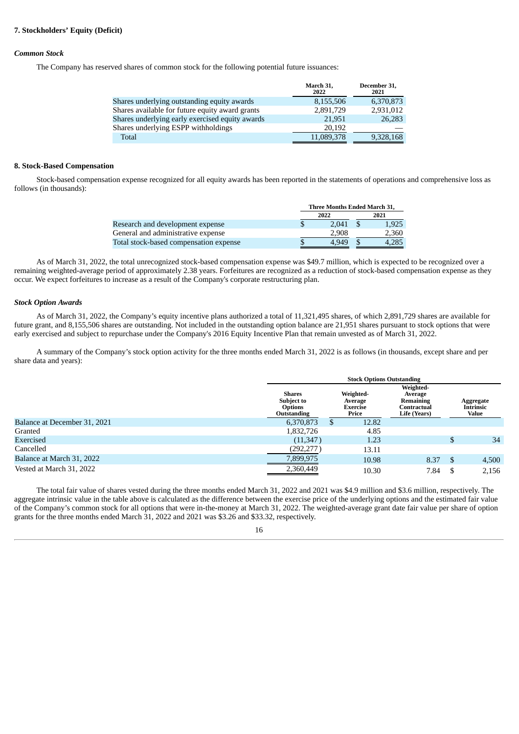# **7. Stockholders' Equity (Deficit)**

#### *Common Stock*

The Company has reserved shares of common stock for the following potential future issuances:

|                                                 | March 31,<br>2022 | December 31,<br>2021 |
|-------------------------------------------------|-------------------|----------------------|
| Shares underlying outstanding equity awards     | 8,155,506         | 6,370,873            |
| Shares available for future equity award grants | 2,891,729         | 2,931,012            |
| Shares underlying early exercised equity awards | 21.951            | 26,283               |
| Shares underlying ESPP withholdings             | 20.192            |                      |
| <b>Total</b>                                    | 11,089,378        | 9,328,168            |

#### **8. Stock-Based Compensation**

Stock-based compensation expense recognized for all equity awards has been reported in the statements of operations and comprehensive loss as follows (in thousands):

|                                        | <b>Three Months Ended March 31.</b> |      |       |  |  |
|----------------------------------------|-------------------------------------|------|-------|--|--|
|                                        | 2022                                | 2021 |       |  |  |
| Research and development expense       | 2.041                               |      | 1,925 |  |  |
| General and administrative expense     | 2.908                               |      | 2,360 |  |  |
| Total stock-based compensation expense | 4.949                               |      | 4.285 |  |  |

As of March 31, 2022, the total unrecognized stock-based compensation expense was \$49.7 million, which is expected to be recognized over a remaining weighted-average period of approximately 2.38 years. Forfeitures are recognized as a reduction of stock-based compensation expense as they occur. We expect forfeitures to increase as a result of the Company's corporate restructuring plan.

## *Stock Option Awards*

As of March 31, 2022, the Company's equity incentive plans authorized a total of 11,321,495 shares, of which 2,891,729 shares are available for future grant, and 8,155,506 shares are outstanding. Not included in the outstanding option balance are 21,951 shares pursuant to stock options that were early exercised and subject to repurchase under the Company's 2016 Equity Incentive Plan that remain unvested as of March 31, 2022.

A summary of the Company's stock option activity for the three months ended March 31, 2022 is as follows (in thousands, except share and per share data and years):

|                              | <b>Stock Options Outstanding</b>                                    |    |                                                  |                                                                         |   |                                               |  |
|------------------------------|---------------------------------------------------------------------|----|--------------------------------------------------|-------------------------------------------------------------------------|---|-----------------------------------------------|--|
|                              | <b>Shares</b><br><b>Subject to</b><br><b>Options</b><br>Outstanding |    | Weighted-<br>Average<br><b>Exercise</b><br>Price | Weighted-<br>Average<br><b>Remaining</b><br>Contractual<br>Life (Years) |   | Aggregate<br><b>Intrinsic</b><br><b>Value</b> |  |
| Balance at December 31, 2021 | 6,370,873                                                           | S. | 12.82                                            |                                                                         |   |                                               |  |
| Granted                      | 1,832,726                                                           |    | 4.85                                             |                                                                         |   |                                               |  |
| Exercised                    | (11, 347)                                                           |    | 1.23                                             |                                                                         |   | 34                                            |  |
| Cancelled                    | (292, 277)                                                          |    | 13.11                                            |                                                                         |   |                                               |  |
| Balance at March 31, 2022    | 7,899,975                                                           |    | 10.98                                            | 8.37                                                                    | S | 4,500                                         |  |
| Vested at March 31, 2022     | 2,360,449                                                           |    | 10.30                                            | 7.84                                                                    |   | 2,156                                         |  |

The total fair value of shares vested during the three months ended March 31, 2022 and 2021 was \$4.9 million and \$3.6 million, respectively. The aggregate intrinsic value in the table above is calculated as the difference between the exercise price of the underlying options and the estimated fair value of the Company's common stock for all options that were in-the-money at March 31, 2022. The weighted-average grant date fair value per share of option grants for the three months ended March 31, 2022 and 2021 was \$3.26 and \$33.32, respectively.

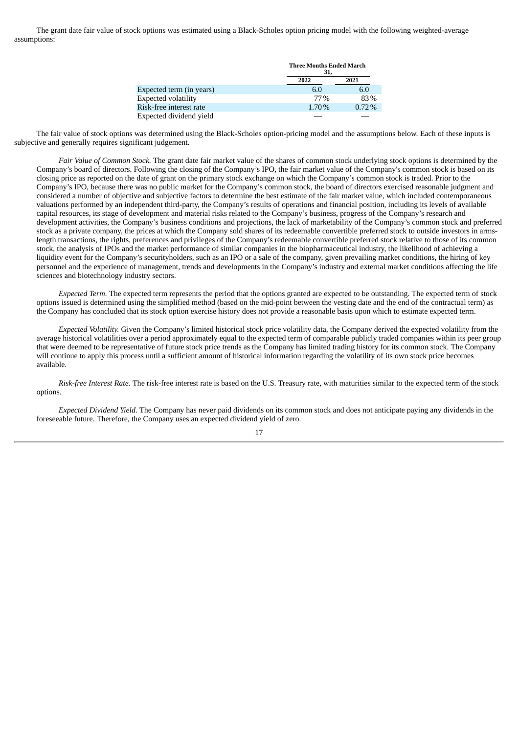The grant date fair value of stock options was estimated using a Black-Scholes option pricing model with the following weighted-average assumptions:

|                            | <b>Three Months Ended March</b><br>31. |          |
|----------------------------|----------------------------------------|----------|
|                            | 2022                                   | 2021     |
| Expected term (in years)   | 6.0                                    | 6.0      |
| <b>Expected volatility</b> | 77 <sub>%</sub>                        | 83%      |
| Risk-free interest rate    | 1.70%                                  | $0.72\%$ |
| Expected dividend yield    |                                        |          |

The fair value of stock options was determined using the Black-Scholes option-pricing model and the assumptions below. Each of these inputs is subjective and generally requires significant judgement.

*Fair Value of Common Stock.* The grant date fair market value of the shares of common stock underlying stock options is determined by the Company's board of directors. Following the closing of the Company's IPO, the fair market value of the Company's common stock is based on its closing price as reported on the date of grant on the primary stock exchange on which the Company's common stock is traded. Prior to the Company's IPO, because there was no public market for the Company's common stock, the board of directors exercised reasonable judgment and considered a number of objective and subjective factors to determine the best estimate of the fair market value, which included contemporaneous valuations performed by an independent third-party, the Company's results of operations and financial position, including its levels of available capital resources, its stage of development and material risks related to the Company's business, progress of the Company's research and development activities, the Company's business conditions and projections, the lack of marketability of the Company's common stock and preferred stock as a private company, the prices at which the Company sold shares of its redeemable convertible preferred stock to outside investors in armslength transactions, the rights, preferences and privileges of the Company's redeemable convertible preferred stock relative to those of its common stock, the analysis of IPOs and the market performance of similar companies in the biopharmaceutical industry, the likelihood of achieving a liquidity event for the Company's securityholders, such as an IPO or a sale of the company, given prevailing market conditions, the hiring of key personnel and the experience of management, trends and developments in the Company's industry and external market conditions affecting the life sciences and biotechnology industry sectors.

*Expected Term.* The expected term represents the period that the options granted are expected to be outstanding. The expected term of stock options issued is determined using the simplified method (based on the mid-point between the vesting date and the end of the contractual term) as the Company has concluded that its stock option exercise history does not provide a reasonable basis upon which to estimate expected term.

*Expected Volatility.* Given the Company's limited historical stock price volatility data, the Company derived the expected volatility from the average historical volatilities over a period approximately equal to the expected term of comparable publicly traded companies within its peer group that were deemed to be representative of future stock price trends as the Company has limited trading history for its common stock. The Company will continue to apply this process until a sufficient amount of historical information regarding the volatility of its own stock price becomes available.

*Risk-free Interest Rate.* The risk-free interest rate is based on the U.S. Treasury rate, with maturities similar to the expected term of the stock options.

*Expected Dividend Yield.* The Company has never paid dividends on its common stock and does not anticipate paying any dividends in the foreseeable future. Therefore, the Company uses an expected dividend yield of zero.

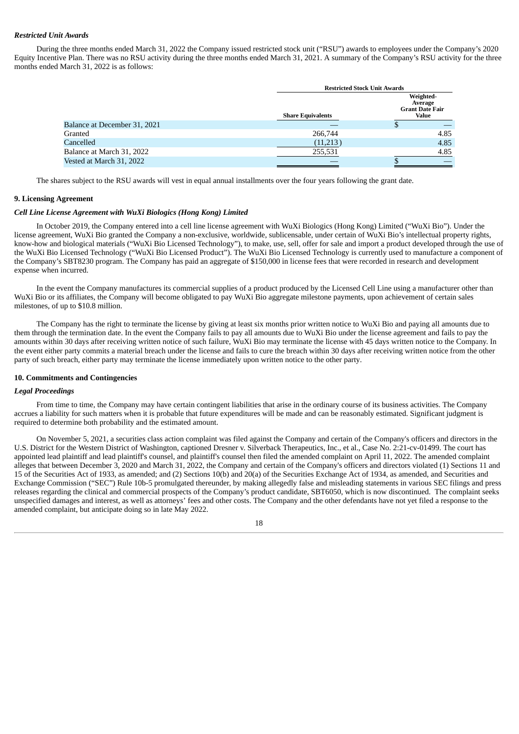# *Restricted Unit Awards*

During the three months ended March 31, 2022 the Company issued restricted stock unit ("RSU") awards to employees under the Company's 2020 Equity Incentive Plan. There was no RSU activity during the three months ended March 31, 2021. A summary of the Company's RSU activity for the three months ended March 31, 2022 is as follows:

|                              | <b>Restricted Stock Unit Awards</b> |  |                                                         |  |  |  |
|------------------------------|-------------------------------------|--|---------------------------------------------------------|--|--|--|
|                              | <b>Share Equivalents</b>            |  | Weighted-<br>Average<br><b>Grant Date Fair</b><br>Value |  |  |  |
| Balance at December 31, 2021 |                                     |  | Φ                                                       |  |  |  |
| Granted                      | 266,744                             |  | 4.85                                                    |  |  |  |
| Cancelled                    | (11,213)                            |  | 4.85                                                    |  |  |  |
| Balance at March 31, 2022    | 255,531                             |  | 4.85                                                    |  |  |  |
| Vested at March 31, 2022     |                                     |  |                                                         |  |  |  |

The shares subject to the RSU awards will vest in equal annual installments over the four years following the grant date.

#### **9. Licensing Agreement**

#### *Cell Line License Agreement with WuXi Biologics (Hong Kong) Limited*

In October 2019, the Company entered into a cell line license agreement with WuXi Biologics (Hong Kong) Limited ("WuXi Bio"). Under the license agreement, WuXi Bio granted the Company a non-exclusive, worldwide, sublicensable, under certain of WuXi Bio's intellectual property rights, know-how and biological materials ("WuXi Bio Licensed Technology"), to make, use, sell, offer for sale and import a product developed through the use of the WuXi Bio Licensed Technology ("WuXi Bio Licensed Product"). The WuXi Bio Licensed Technology is currently used to manufacture a component of the Company's SBT8230 program. The Company has paid an aggregate of \$150,000 in license fees that were recorded in research and development expense when incurred.

In the event the Company manufactures its commercial supplies of a product produced by the Licensed Cell Line using a manufacturer other than WuXi Bio or its affiliates, the Company will become obligated to pay WuXi Bio aggregate milestone payments, upon achievement of certain sales milestones, of up to \$10.8 million.

The Company has the right to terminate the license by giving at least six months prior written notice to WuXi Bio and paying all amounts due to them through the termination date. In the event the Company fails to pay all amounts due to WuXi Bio under the license agreement and fails to pay the amounts within 30 days after receiving written notice of such failure, WuXi Bio may terminate the license with 45 days written notice to the Company. In the event either party commits a material breach under the license and fails to cure the breach within 30 days after receiving written notice from the other party of such breach, either party may terminate the license immediately upon written notice to the other party.

#### **10. Commitments and Contingencies**

#### *Legal Proceedings*

From time to time, the Company may have certain contingent liabilities that arise in the ordinary course of its business activities. The Company accrues a liability for such matters when it is probable that future expenditures will be made and can be reasonably estimated. Significant judgment is required to determine both probability and the estimated amount.

On November 5, 2021, a securities class action complaint was filed against the Company and certain of the Company's officers and directors in the U.S. District for the Western District of Washington, captioned Dresner v. Silverback Therapeutics, Inc., et al., Case No. 2:21-cv-01499. The court has appointed lead plaintiff and lead plaintiff's counsel, and plaintiff's counsel then filed the amended complaint on April 11, 2022. The amended complaint alleges that between December 3, 2020 and March 31, 2022, the Company and certain of the Company's officers and directors violated (1) Sections 11 and 15 of the Securities Act of 1933, as amended; and (2) Sections 10(b) and 20(a) of the Securities Exchange Act of 1934, as amended, and Securities and Exchange Commission ("SEC") Rule 10b-5 promulgated thereunder, by making allegedly false and misleading statements in various SEC filings and press releases regarding the clinical and commercial prospects of the Company's product candidate, SBT6050, which is now discontinued. The complaint seeks unspecified damages and interest, as well as attorneys' fees and other costs. The Company and the other defendants have not yet filed a response to the amended complaint, but anticipate doing so in late May 2022.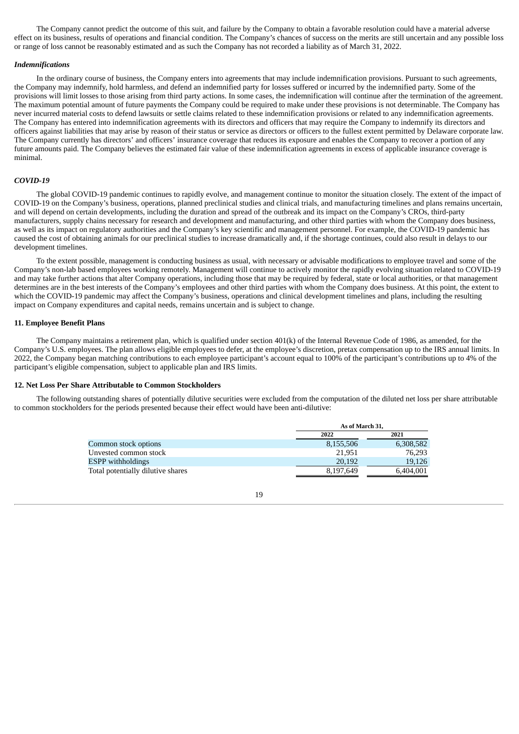The Company cannot predict the outcome of this suit, and failure by the Company to obtain a favorable resolution could have a material adverse effect on its business, results of operations and financial condition. The Company's chances of success on the merits are still uncertain and any possible loss or range of loss cannot be reasonably estimated and as such the Company has not recorded a liability as of March 31, 2022.

#### *Indemnifications*

In the ordinary course of business, the Company enters into agreements that may include indemnification provisions. Pursuant to such agreements, the Company may indemnify, hold harmless, and defend an indemnified party for losses suffered or incurred by the indemnified party. Some of the provisions will limit losses to those arising from third party actions. In some cases, the indemnification will continue after the termination of the agreement. The maximum potential amount of future payments the Company could be required to make under these provisions is not determinable. The Company has never incurred material costs to defend lawsuits or settle claims related to these indemnification provisions or related to any indemnification agreements. The Company has entered into indemnification agreements with its directors and officers that may require the Company to indemnify its directors and officers against liabilities that may arise by reason of their status or service as directors or officers to the fullest extent permitted by Delaware corporate law. The Company currently has directors' and officers' insurance coverage that reduces its exposure and enables the Company to recover a portion of any future amounts paid. The Company believes the estimated fair value of these indemnification agreements in excess of applicable insurance coverage is minimal.

#### *COVID-19*

The global COVID-19 pandemic continues to rapidly evolve, and management continue to monitor the situation closely. The extent of the impact of COVID-19 on the Company's business, operations, planned preclinical studies and clinical trials, and manufacturing timelines and plans remains uncertain, and will depend on certain developments, including the duration and spread of the outbreak and its impact on the Company's CROs, third-party manufacturers, supply chains necessary for research and development and manufacturing, and other third parties with whom the Company does business, as well as its impact on regulatory authorities and the Company's key scientific and management personnel. For example, the COVID-19 pandemic has caused the cost of obtaining animals for our preclinical studies to increase dramatically and, if the shortage continues, could also result in delays to our development timelines.

To the extent possible, management is conducting business as usual, with necessary or advisable modifications to employee travel and some of the Company's non-lab based employees working remotely. Management will continue to actively monitor the rapidly evolving situation related to COVID-19 and may take further actions that alter Company operations, including those that may be required by federal, state or local authorities, or that management determines are in the best interests of the Company's employees and other third parties with whom the Company does business. At this point, the extent to which the COVID-19 pandemic may affect the Company's business, operations and clinical development timelines and plans, including the resulting impact on Company expenditures and capital needs, remains uncertain and is subject to change.

## **11. Employee Benefit Plans**

The Company maintains a retirement plan, which is qualified under section 401(k) of the Internal Revenue Code of 1986, as amended, for the Company's U.S. employees. The plan allows eligible employees to defer, at the employee's discretion, pretax compensation up to the IRS annual limits. In 2022, the Company began matching contributions to each employee participant's account equal to 100% of the participant's contributions up to 4% of the participant's eligible compensation, subject to applicable plan and IRS limits.

#### **12. Net Loss Per Share Attributable to Common Stockholders**

The following outstanding shares of potentially dilutive securities were excluded from the computation of the diluted net loss per share attributable to common stockholders for the periods presented because their effect would have been anti-dilutive:

|                                   |           | As of March 31. |  |  |  |  |
|-----------------------------------|-----------|-----------------|--|--|--|--|
|                                   | 2022      | 2021            |  |  |  |  |
| Common stock options              | 8,155,506 | 6,308,582       |  |  |  |  |
| Unvested common stock             | 21.951    | 76.293          |  |  |  |  |
| <b>ESPP</b> withholdings          | 20.192    | 19.126          |  |  |  |  |
| Total potentially dilutive shares | 8,197,649 | 6.404.001       |  |  |  |  |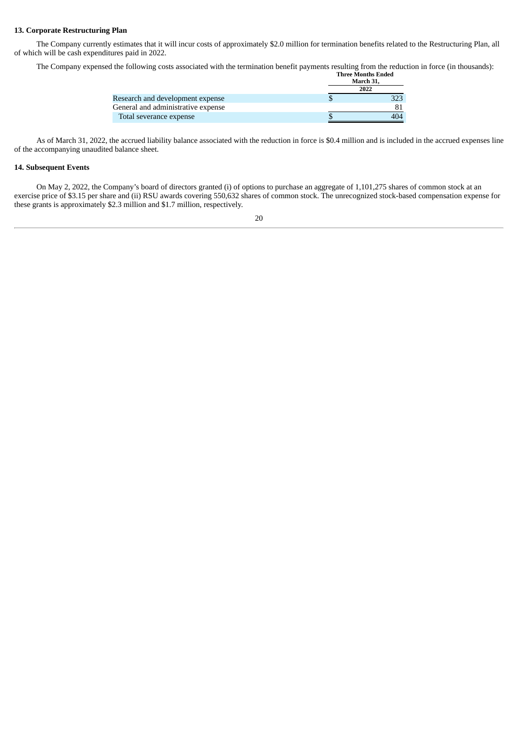# **13. Corporate Restructuring Plan**

The Company currently estimates that it will incur costs of approximately \$2.0 million for termination benefits related to the Restructuring Plan, all of which will be cash expenditures paid in 2022.

The Company expensed the following costs associated with the termination benefit payments resulting from the reduction in force (in thousands):

|                                    | <b>Three Months Ended</b><br>March 31, |
|------------------------------------|----------------------------------------|
|                                    | 2022                                   |
| Research and development expense   | 323                                    |
| General and administrative expense |                                        |
| Total severance expense            | 404                                    |

As of March 31, 2022, the accrued liability balance associated with the reduction in force is \$0.4 million and is included in the accrued expenses line of the accompanying unaudited balance sheet.

# **14. Subsequent Events**

On May 2, 2022, the Company's board of directors granted (i) of options to purchase an aggregate of 1,101,275 shares of common stock at an exercise price of \$3.15 per share and (ii) RSU awards covering 550,632 shares of common stock. The unrecognized stock-based compensation expense for these grants is approximately \$2.3 million and \$1.7 million, respectively.

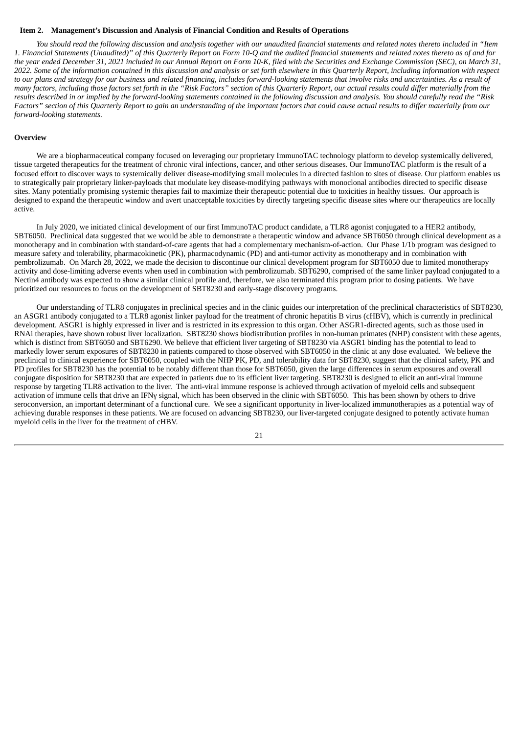#### <span id="page-20-0"></span>**Item 2. Management's Discussion and Analysis of Financial Condition and Results of Operations**

You should read the following discussion and analysis together with our unaudited financial statements and related notes thereto included in "Item 1. Financial Statements (Unaudited)" of this Quarterly Report on Form 10-Q and the audited financial statements and related notes thereto as of and for the vear ended December 31, 2021 included in our Annual Report on Form 10-K, filed with the Securities and Exchange Commission (SEC), on March 31, 2022. Some of the information contained in this discussion and analysis or set forth elsewhere in this Quarterly Report, including information with respect to our plans and strategy for our business and related financing, includes forward-looking statements that involve risks and uncertainties. As a result of many factors, including those factors set forth in the "Risk Factors" section of this Quarterly Report, our actual results could differ materially from the results described in or implied by the forward-looking statements contained in the following discussion and analysis. You should carefully read the "Risk Factors" section of this Quarterly Report to gain an understanding of the important factors that could cause actual results to differ materially from our *forward-looking statements.*

# **Overview**

We are a biopharmaceutical company focused on leveraging our proprietary ImmunoTAC technology platform to develop systemically delivered, tissue targeted therapeutics for the treatment of chronic viral infections, cancer, and other serious diseases. Our ImmunoTAC platform is the result of a focused effort to discover ways to systemically deliver disease-modifying small molecules in a directed fashion to sites of disease. Our platform enables us to strategically pair proprietary linker-payloads that modulate key disease-modifying pathways with monoclonal antibodies directed to specific disease sites. Many potentially promising systemic therapies fail to maximize their therapeutic potential due to toxicities in healthy tissues. Our approach is designed to expand the therapeutic window and avert unacceptable toxicities by directly targeting specific disease sites where our therapeutics are locally active.

In July 2020, we initiated clinical development of our first ImmunoTAC product candidate, a TLR8 agonist conjugated to a HER2 antibody, SBT6050. Preclinical data suggested that we would be able to demonstrate a therapeutic window and advance SBT6050 through clinical development as a monotherapy and in combination with standard-of-care agents that had a complementary mechanism-of-action. Our Phase 1/1b program was designed to measure safety and tolerability, pharmacokinetic (PK), pharmacodynamic (PD) and anti-tumor activity as monotherapy and in combination with pembrolizumab. On March 28, 2022, we made the decision to discontinue our clinical development program for SBT6050 due to limited monotherapy activity and dose-limiting adverse events when used in combination with pembrolizumab. SBT6290, comprised of the same linker payload conjugated to a Nectin4 antibody was expected to show a similar clinical profile and, therefore, we also terminated this program prior to dosing patients. We have prioritized our resources to focus on the development of SBT8230 and early-stage discovery programs.

Our understanding of TLR8 conjugates in preclinical species and in the clinic guides our interpretation of the preclinical characteristics of SBT8230, an ASGR1 antibody conjugated to a TLR8 agonist linker payload for the treatment of chronic hepatitis B virus (cHBV), which is currently in preclinical development. ASGR1 is highly expressed in liver and is restricted in its expression to this organ. Other ASGR1-directed agents, such as those used in RNAi therapies, have shown robust liver localization. SBT8230 shows biodistribution profiles in non-human primates (NHP) consistent with these agents, which is distinct from SBT6050 and SBT6290. We believe that efficient liver targeting of SBT8230 via ASGR1 binding has the potential to lead to markedly lower serum exposures of SBT8230 in patients compared to those observed with SBT6050 in the clinic at any dose evaluated. We believe the preclinical to clinical experience for SBT6050, coupled with the NHP PK, PD, and tolerability data for SBT8230, suggest that the clinical safety, PK and PD profiles for SBT8230 has the potential to be notably different than those for SBT6050, given the large differences in serum exposures and overall conjugate disposition for SBT8230 that are expected in patients due to its efficient liver targeting. SBT8230 is designed to elicit an anti-viral immune response by targeting TLR8 activation to the liver. The anti-viral immune response is achieved through activation of myeloid cells and subsequent activation of immune cells that drive an IFNγ signal, which has been observed in the clinic with SBT6050. This has been shown by others to drive seroconversion, an important determinant of a functional cure. We see a significant opportunity in liver-localized immunotherapies as a potential way of achieving durable responses in these patients. We are focused on advancing SBT8230, our liver-targeted conjugate designed to potently activate human myeloid cells in the liver for the treatment of cHBV.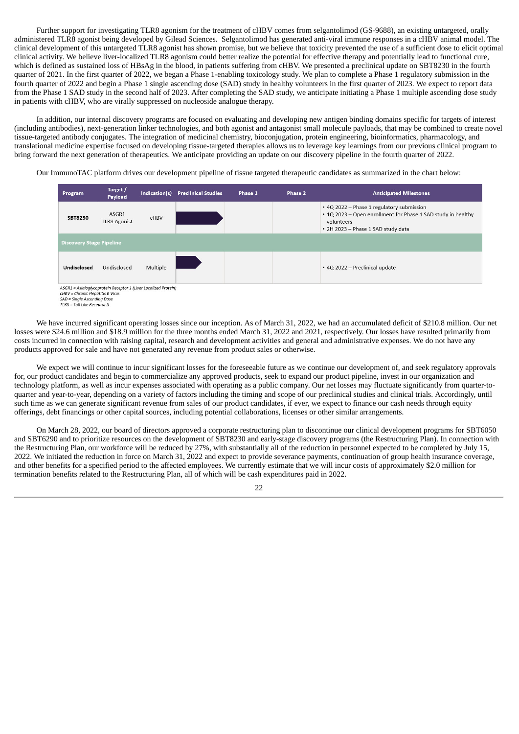Further support for investigating TLR8 agonism for the treatment of cHBV comes from selgantolimod (GS-9688), an existing untargeted, orally administered TLR8 agonist being developed by Gilead Sciences. Selgantolimod has generated anti-viral immune responses in a cHBV animal model. The clinical development of this untargeted TLR8 agonist has shown promise, but we believe that toxicity prevented the use of a sufficient dose to elicit optimal clinical activity. We believe liver-localized TLR8 agonism could better realize the potential for effective therapy and potentially lead to functional cure, which is defined as sustained loss of HBsAg in the blood, in patients suffering from cHBV. We presented a preclinical update on SBT8230 in the fourth quarter of 2021. In the first quarter of 2022, we began a Phase 1-enabling toxicology study. We plan to complete a Phase 1 regulatory submission in the fourth quarter of 2022 and begin a Phase 1 single ascending dose (SAD) study in healthy volunteers in the first quarter of 2023. We expect to report data from the Phase 1 SAD study in the second half of 2023. After completing the SAD study, we anticipate initiating a Phase 1 multiple ascending dose study in patients with cHBV, who are virally suppressed on nucleoside analogue therapy.

In addition, our internal discovery programs are focused on evaluating and developing new antigen binding domains specific for targets of interest (including antibodies), next-generation linker technologies, and both agonist and antagonist small molecule payloads, that may be combined to create novel tissue-targeted antibody conjugates. The integration of medicinal chemistry, bioconjugation, protein engineering, bioinformatics, pharmacology, and translational medicine expertise focused on developing tissue-targeted therapies allows us to leverage key learnings from our previous clinical program to bring forward the next generation of therapeutics. We anticipate providing an update on our discovery pipeline in the fourth quarter of 2022.

Our ImmunoTAC platform drives our development pipeline of tissue targeted therapeutic candidates as summarized in the chart below:



We have incurred significant operating losses since our inception. As of March 31, 2022, we had an accumulated deficit of \$210.8 million. Our net losses were \$24.6 million and \$18.9 million for the three months ended March 31, 2022 and 2021, respectively. Our losses have resulted primarily from costs incurred in connection with raising capital, research and development activities and general and administrative expenses. We do not have any products approved for sale and have not generated any revenue from product sales or otherwise.

We expect we will continue to incur significant losses for the foreseeable future as we continue our development of, and seek regulatory approvals for, our product candidates and begin to commercialize any approved products, seek to expand our product pipeline, invest in our organization and technology platform, as well as incur expenses associated with operating as a public company. Our net losses may fluctuate significantly from quarter-toquarter and year-to-year, depending on a variety of factors including the timing and scope of our preclinical studies and clinical trials. Accordingly, until such time as we can generate significant revenue from sales of our product candidates, if ever, we expect to finance our cash needs through equity offerings, debt financings or other capital sources, including potential collaborations, licenses or other similar arrangements.

On March 28, 2022, our board of directors approved a corporate restructuring plan to discontinue our clinical development programs for SBT6050 and SBT6290 and to prioritize resources on the development of SBT8230 and early-stage discovery programs (the Restructuring Plan). In connection with the Restructuring Plan, our workforce will be reduced by 27%, with substantially all of the reduction in personnel expected to be completed by July 15, 2022. We initiated the reduction in force on March 31, 2022 and expect to provide severance payments, continuation of group health insurance coverage, and other benefits for a specified period to the affected employees. We currently estimate that we will incur costs of approximately \$2.0 million for termination benefits related to the Restructuring Plan, all of which will be cash expenditures paid in 2022.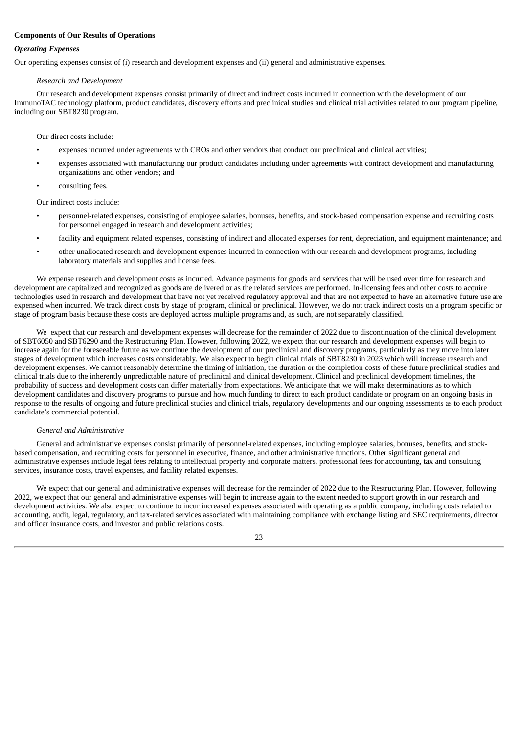# **Components of Our Results of Operations**

# *Operating Expenses*

Our operating expenses consist of (i) research and development expenses and (ii) general and administrative expenses.

#### *Research and Development*

Our research and development expenses consist primarily of direct and indirect costs incurred in connection with the development of our ImmunoTAC technology platform, product candidates, discovery efforts and preclinical studies and clinical trial activities related to our program pipeline, including our SBT8230 program.

Our direct costs include:

- expenses incurred under agreements with CROs and other vendors that conduct our preclinical and clinical activities;
- expenses associated with manufacturing our product candidates including under agreements with contract development and manufacturing organizations and other vendors; and
- consulting fees.

Our indirect costs include:

- personnel-related expenses, consisting of employee salaries, bonuses, benefits, and stock-based compensation expense and recruiting costs for personnel engaged in research and development activities;
- facility and equipment related expenses, consisting of indirect and allocated expenses for rent, depreciation, and equipment maintenance; and
- other unallocated research and development expenses incurred in connection with our research and development programs, including laboratory materials and supplies and license fees.

We expense research and development costs as incurred. Advance payments for goods and services that will be used over time for research and development are capitalized and recognized as goods are delivered or as the related services are performed. In-licensing fees and other costs to acquire technologies used in research and development that have not yet received regulatory approval and that are not expected to have an alternative future use are expensed when incurred. We track direct costs by stage of program, clinical or preclinical. However, we do not track indirect costs on a program specific or stage of program basis because these costs are deployed across multiple programs and, as such, are not separately classified.

We expect that our research and development expenses will decrease for the remainder of 2022 due to discontinuation of the clinical development of SBT6050 and SBT6290 and the Restructuring Plan. However, following 2022, we expect that our research and development expenses will begin to increase again for the foreseeable future as we continue the development of our preclinical and discovery programs, particularly as they move into later stages of development which increases costs considerably. We also expect to begin clinical trials of SBT8230 in 2023 which will increase research and development expenses. We cannot reasonably determine the timing of initiation, the duration or the completion costs of these future preclinical studies and clinical trials due to the inherently unpredictable nature of preclinical and clinical development. Clinical and preclinical development timelines, the probability of success and development costs can differ materially from expectations. We anticipate that we will make determinations as to which development candidates and discovery programs to pursue and how much funding to direct to each product candidate or program on an ongoing basis in response to the results of ongoing and future preclinical studies and clinical trials, regulatory developments and our ongoing assessments as to each product candidate's commercial potential.

#### *General and Administrative*

General and administrative expenses consist primarily of personnel-related expenses, including employee salaries, bonuses, benefits, and stockbased compensation, and recruiting costs for personnel in executive, finance, and other administrative functions. Other significant general and administrative expenses include legal fees relating to intellectual property and corporate matters, professional fees for accounting, tax and consulting services, insurance costs, travel expenses, and facility related expenses.

We expect that our general and administrative expenses will decrease for the remainder of 2022 due to the Restructuring Plan. However, following 2022, we expect that our general and administrative expenses will begin to increase again to the extent needed to support growth in our research and development activities. We also expect to continue to incur increased expenses associated with operating as a public company, including costs related to accounting, audit, legal, regulatory, and tax-related services associated with maintaining compliance with exchange listing and SEC requirements, director and officer insurance costs, and investor and public relations costs.

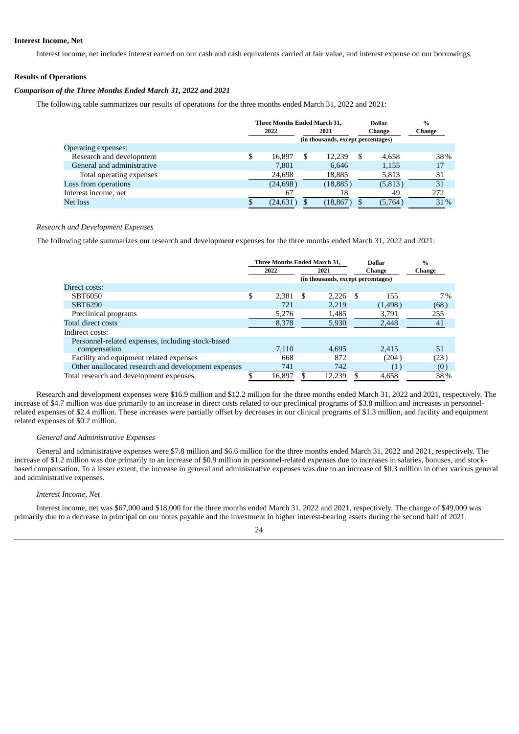## **Interest Income, Net**

Interest income, net includes interest earned on our cash and cash equivalents carried at fair value, and interest expense on our borrowings.

# **Results of Operations**

# *Comparison of the Three Months Ended March 31, 2022 and 2021*

The following table summarizes our results of operations for the three months ended March 31, 2022 and 2021:

|                            |    | Three Months Ended March 31, |  |                                    |  | <b>Dollar</b> | $\%$   |
|----------------------------|----|------------------------------|--|------------------------------------|--|---------------|--------|
|                            |    | 2022<br>2021                 |  | Change                             |  |               | Change |
|                            |    |                              |  | (in thousands, except percentages) |  |               |        |
| Operating expenses:        |    |                              |  |                                    |  |               |        |
| Research and development   | \$ | 16.897                       |  | 12.239                             |  | 4.658         | 38%    |
| General and administrative |    | 7,801                        |  | 6,646                              |  | 1,155         | 17     |
| Total operating expenses   |    | 24,698                       |  | 18,885                             |  | 5,813         | 31     |
| Loss from operations       |    | (24, 698)                    |  | (18, 885)                          |  | (5,813)       | 31     |
| Interest income, net       |    | 67                           |  | 18                                 |  | 49            | 272    |
| Net loss                   |    | (24, 631)                    |  | (18, 867)                          |  | (5,764)       | 31%    |

#### *Research and Development Expenses*

The following table summarizes our research and development expenses for the three months ended March 31, 2022 and 2021:

| 2022<br>2021<br><b>Change</b><br>Change<br>(in thousands, except percentages)<br>Direct costs:<br>\$<br><b>SBT6050</b><br>2,381<br>- \$<br>2,226<br>- \$<br>155<br><b>SBT6290</b><br>(1, 498)<br>721<br>2.219<br>Preclinical programs<br>5,276<br>1,485<br>3,791<br>Total direct costs<br>8,378<br>41<br>5,930<br>2,448<br>Indirect costs:<br>Personnel-related expenses, including stock-based<br>7,110<br>4.695<br>2.415<br>compensation<br>51<br>Facility and equipment related expenses<br>872<br>(204)<br>668<br>Other unallocated research and development expenses<br>741<br>742<br>Total research and development expenses<br>16.897<br>12.239<br>4.658 |  | Three Months Ended March 31, |  |  | Dollar | $\frac{0}{0}$ |      |
|-----------------------------------------------------------------------------------------------------------------------------------------------------------------------------------------------------------------------------------------------------------------------------------------------------------------------------------------------------------------------------------------------------------------------------------------------------------------------------------------------------------------------------------------------------------------------------------------------------------------------------------------------------------------|--|------------------------------|--|--|--------|---------------|------|
|                                                                                                                                                                                                                                                                                                                                                                                                                                                                                                                                                                                                                                                                 |  |                              |  |  |        |               |      |
|                                                                                                                                                                                                                                                                                                                                                                                                                                                                                                                                                                                                                                                                 |  |                              |  |  |        |               |      |
|                                                                                                                                                                                                                                                                                                                                                                                                                                                                                                                                                                                                                                                                 |  |                              |  |  |        |               |      |
|                                                                                                                                                                                                                                                                                                                                                                                                                                                                                                                                                                                                                                                                 |  |                              |  |  |        |               | 7%   |
|                                                                                                                                                                                                                                                                                                                                                                                                                                                                                                                                                                                                                                                                 |  |                              |  |  |        |               | (68) |
|                                                                                                                                                                                                                                                                                                                                                                                                                                                                                                                                                                                                                                                                 |  |                              |  |  |        |               | 255  |
|                                                                                                                                                                                                                                                                                                                                                                                                                                                                                                                                                                                                                                                                 |  |                              |  |  |        |               |      |
|                                                                                                                                                                                                                                                                                                                                                                                                                                                                                                                                                                                                                                                                 |  |                              |  |  |        |               |      |
|                                                                                                                                                                                                                                                                                                                                                                                                                                                                                                                                                                                                                                                                 |  |                              |  |  |        |               |      |
|                                                                                                                                                                                                                                                                                                                                                                                                                                                                                                                                                                                                                                                                 |  |                              |  |  |        |               |      |
|                                                                                                                                                                                                                                                                                                                                                                                                                                                                                                                                                                                                                                                                 |  |                              |  |  |        |               | (23) |
|                                                                                                                                                                                                                                                                                                                                                                                                                                                                                                                                                                                                                                                                 |  |                              |  |  |        |               | (0)  |
|                                                                                                                                                                                                                                                                                                                                                                                                                                                                                                                                                                                                                                                                 |  |                              |  |  |        |               | 38%  |

Research and development expenses were \$16.9 million and \$12.2 million for the three months ended March 31, 2022 and 2021, respectively. The increase of \$4.7 million was due primarily to an increase in direct costs related to our preclinical programs of \$3.8 million and increases in personnelrelated expenses of \$2.4 million. These increases were partially offset by decreases in our clinical programs of \$1.3 million, and facility and equipment related expenses of \$0.2 million.

# *General and Administrative Expenses*

General and administrative expenses were \$7.8 million and \$6.6 million for the three months ended March 31, 2022 and 2021, respectively. The increase of \$1.2 million was due primarily to an increase of \$0.9 million in personnel-related expenses due to increases in salaries, bonuses, and stockbased compensation. To a lesser extent, the increase in general and administrative expenses was due to an increase of \$0.3 million in other various general and administrative expenses.

#### *Interest Income, Net*

Interest income, net was \$67,000 and \$18,000 for the three months ended March 31, 2022 and 2021, respectively. The change of \$49,000 was primarily due to a decrease in principal on our notes payable and the investment in higher interest-bearing assets during the second half of 2021.

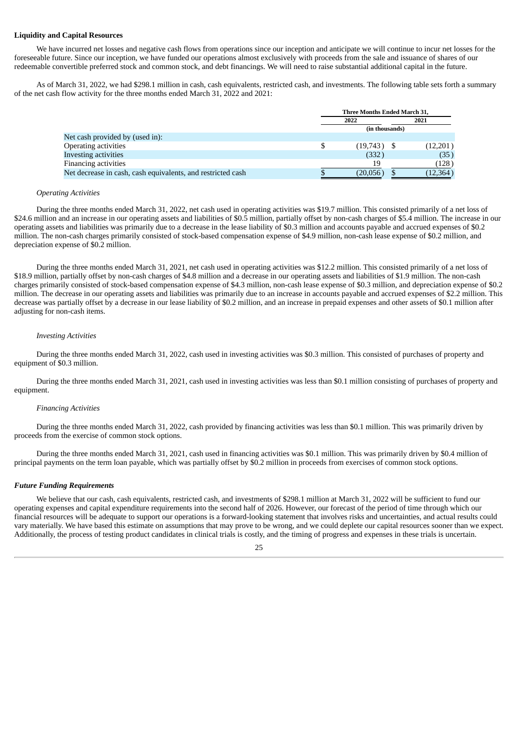# **Liquidity and Capital Resources**

We have incurred net losses and negative cash flows from operations since our inception and anticipate we will continue to incur net losses for the foreseeable future. Since our inception, we have funded our operations almost exclusively with proceeds from the sale and issuance of shares of our redeemable convertible preferred stock and common stock, and debt financings. We will need to raise substantial additional capital in the future.

As of March 31, 2022, we had \$298.1 million in cash, cash equivalents, restricted cash, and investments. The following table sets forth a summary of the net cash flow activity for the three months ended March 31, 2022 and 2021:

|                                                             | Three Months Ended March 31, |  |          |  |  |
|-------------------------------------------------------------|------------------------------|--|----------|--|--|
|                                                             | 2021<br>2022                 |  |          |  |  |
|                                                             | (in thousands)               |  |          |  |  |
| Net cash provided by (used in):                             |                              |  |          |  |  |
| Operating activities                                        | $(19,743)$ \$                |  | (12,201) |  |  |
| Investing activities                                        | (332)                        |  | (35)     |  |  |
| <b>Financing activities</b>                                 | 19                           |  | (128)    |  |  |
| Net decrease in cash, cash equivalents, and restricted cash | (20,056)                     |  | (12,364) |  |  |

#### *Operating Activities*

During the three months ended March 31, 2022, net cash used in operating activities was \$19.7 million. This consisted primarily of a net loss of \$24.6 million and an increase in our operating assets and liabilities of \$0.5 million, partially offset by non-cash charges of \$5.4 million. The increase in our operating assets and liabilities was primarily due to a decrease in the lease liability of \$0.3 million and accounts payable and accrued expenses of \$0.2 million. The non-cash charges primarily consisted of stock-based compensation expense of \$4.9 million, non-cash lease expense of \$0.2 million, and depreciation expense of \$0.2 million.

During the three months ended March 31, 2021, net cash used in operating activities was \$12.2 million. This consisted primarily of a net loss of \$18.9 million, partially offset by non-cash charges of \$4.8 million and a decrease in our operating assets and liabilities of \$1.9 million. The non-cash charges primarily consisted of stock-based compensation expense of \$4.3 million, non-cash lease expense of \$0.3 million, and depreciation expense of \$0.2 million. The decrease in our operating assets and liabilities was primarily due to an increase in accounts payable and accrued expenses of \$2.2 million. This decrease was partially offset by a decrease in our lease liability of \$0.2 million, and an increase in prepaid expenses and other assets of \$0.1 million after adjusting for non-cash items.

#### *Investing Activities*

During the three months ended March 31, 2022, cash used in investing activities was \$0.3 million. This consisted of purchases of property and equipment of \$0.3 million.

During the three months ended March 31, 2021, cash used in investing activities was less than \$0.1 million consisting of purchases of property and equipment.

#### *Financing Activities*

During the three months ended March 31, 2022, cash provided by financing activities was less than \$0.1 million. This was primarily driven by proceeds from the exercise of common stock options.

During the three months ended March 31, 2021, cash used in financing activities was \$0.1 million. This was primarily driven by \$0.4 million of principal payments on the term loan payable, which was partially offset by \$0.2 million in proceeds from exercises of common stock options.

#### *Future Funding Requirements*

We believe that our cash, cash equivalents, restricted cash, and investments of \$298.1 million at March 31, 2022 will be sufficient to fund our operating expenses and capital expenditure requirements into the second half of 2026. However, our forecast of the period of time through which our financial resources will be adequate to support our operations is a forward-looking statement that involves risks and uncertainties, and actual results could vary materially. We have based this estimate on assumptions that may prove to be wrong, and we could deplete our capital resources sooner than we expect. Additionally, the process of testing product candidates in clinical trials is costly, and the timing of progress and expenses in these trials is uncertain.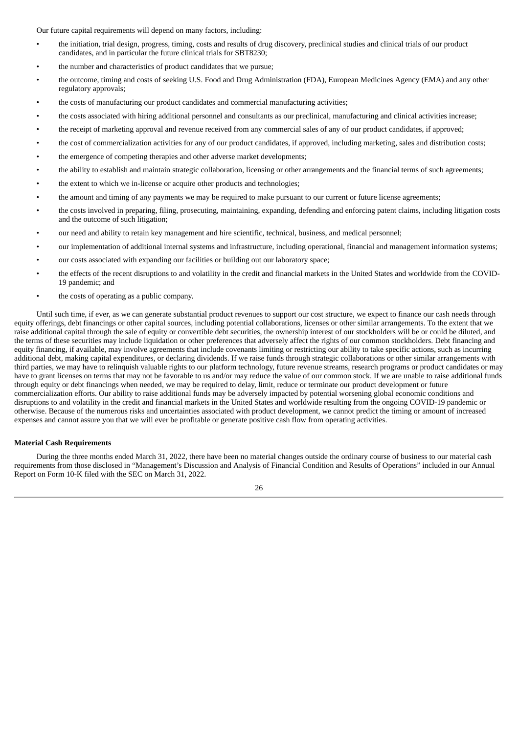Our future capital requirements will depend on many factors, including:

- the initiation, trial design, progress, timing, costs and results of drug discovery, preclinical studies and clinical trials of our product candidates, and in particular the future clinical trials for SBT8230;
- the number and characteristics of product candidates that we pursue;
- the outcome, timing and costs of seeking U.S. Food and Drug Administration (FDA), European Medicines Agency (EMA) and any other regulatory approvals;
- the costs of manufacturing our product candidates and commercial manufacturing activities;
- the costs associated with hiring additional personnel and consultants as our preclinical, manufacturing and clinical activities increase;
- the receipt of marketing approval and revenue received from any commercial sales of any of our product candidates, if approved;
- the cost of commercialization activities for any of our product candidates, if approved, including marketing, sales and distribution costs;
- the emergence of competing therapies and other adverse market developments;
- the ability to establish and maintain strategic collaboration, licensing or other arrangements and the financial terms of such agreements;
- the extent to which we in-license or acquire other products and technologies;
- the amount and timing of any payments we may be required to make pursuant to our current or future license agreements;
- the costs involved in preparing, filing, prosecuting, maintaining, expanding, defending and enforcing patent claims, including litigation costs and the outcome of such litigation;
- our need and ability to retain key management and hire scientific, technical, business, and medical personnel;
- our implementation of additional internal systems and infrastructure, including operational, financial and management information systems;
- our costs associated with expanding our facilities or building out our laboratory space;
- the effects of the recent disruptions to and volatility in the credit and financial markets in the United States and worldwide from the COVID-19 pandemic; and
- the costs of operating as a public company.

Until such time, if ever, as we can generate substantial product revenues to support our cost structure, we expect to finance our cash needs through equity offerings, debt financings or other capital sources, including potential collaborations, licenses or other similar arrangements. To the extent that we raise additional capital through the sale of equity or convertible debt securities, the ownership interest of our stockholders will be or could be diluted, and the terms of these securities may include liquidation or other preferences that adversely affect the rights of our common stockholders. Debt financing and equity financing, if available, may involve agreements that include covenants limiting or restricting our ability to take specific actions, such as incurring additional debt, making capital expenditures, or declaring dividends. If we raise funds through strategic collaborations or other similar arrangements with third parties, we may have to relinquish valuable rights to our platform technology, future revenue streams, research programs or product candidates or may have to grant licenses on terms that may not be favorable to us and/or may reduce the value of our common stock. If we are unable to raise additional funds through equity or debt financings when needed, we may be required to delay, limit, reduce or terminate our product development or future commercialization efforts. Our ability to raise additional funds may be adversely impacted by potential worsening global economic conditions and disruptions to and volatility in the credit and financial markets in the United States and worldwide resulting from the ongoing COVID-19 pandemic or otherwise. Because of the numerous risks and uncertainties associated with product development, we cannot predict the timing or amount of increased expenses and cannot assure you that we will ever be profitable or generate positive cash flow from operating activities.

### **Material Cash Requirements**

During the three months ended March 31, 2022, there have been no material changes outside the ordinary course of business to our material cash requirements from those disclosed in "Management's Discussion and Analysis of Financial Condition and Results of Operations" included in our Annual Report on Form 10-K filed with the SEC on March 31, 2022.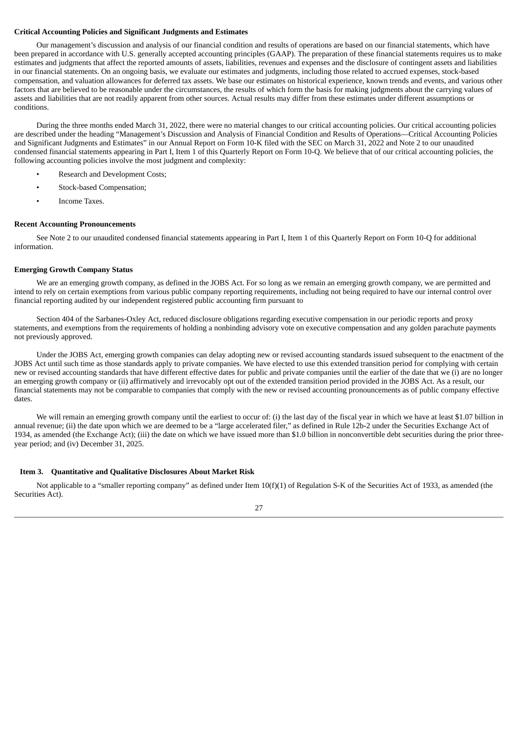# **Critical Accounting Policies and Significant Judgments and Estimates**

Our management's discussion and analysis of our financial condition and results of operations are based on our financial statements, which have been prepared in accordance with U.S. generally accepted accounting principles (GAAP). The preparation of these financial statements requires us to make estimates and judgments that affect the reported amounts of assets, liabilities, revenues and expenses and the disclosure of contingent assets and liabilities in our financial statements. On an ongoing basis, we evaluate our estimates and judgments, including those related to accrued expenses, stock-based compensation, and valuation allowances for deferred tax assets. We base our estimates on historical experience, known trends and events, and various other factors that are believed to be reasonable under the circumstances, the results of which form the basis for making judgments about the carrying values of assets and liabilities that are not readily apparent from other sources. Actual results may differ from these estimates under different assumptions or conditions.

During the three months ended March 31, 2022, there were no material changes to our critical accounting policies. Our critical accounting policies are described under the heading "Management's Discussion and Analysis of Financial Condition and Results of Operations—Critical Accounting Policies and Significant Judgments and Estimates" in our Annual Report on Form 10-K filed with the SEC on March 31, 2022 and Note 2 to our unaudited condensed financial statements appearing in Part I, Item 1 of this Quarterly Report on Form 10-Q. We believe that of our critical accounting policies, the following accounting policies involve the most judgment and complexity:

- Research and Development Costs;
- Stock-based Compensation;
- Income Taxes.

#### **Recent Accounting Pronouncements**

See Note 2 to our unaudited condensed financial statements appearing in Part I, Item 1 of this Quarterly Report on Form 10-Q for additional information.

#### **Emerging Growth Company Status**

We are an emerging growth company, as defined in the JOBS Act. For so long as we remain an emerging growth company, we are permitted and intend to rely on certain exemptions from various public company reporting requirements, including not being required to have our internal control over financial reporting audited by our independent registered public accounting firm pursuant to

Section 404 of the Sarbanes-Oxley Act, reduced disclosure obligations regarding executive compensation in our periodic reports and proxy statements, and exemptions from the requirements of holding a nonbinding advisory vote on executive compensation and any golden parachute payments not previously approved.

Under the JOBS Act, emerging growth companies can delay adopting new or revised accounting standards issued subsequent to the enactment of the JOBS Act until such time as those standards apply to private companies. We have elected to use this extended transition period for complying with certain new or revised accounting standards that have different effective dates for public and private companies until the earlier of the date that we (i) are no longer an emerging growth company or (ii) affirmatively and irrevocably opt out of the extended transition period provided in the JOBS Act. As a result, our financial statements may not be comparable to companies that comply with the new or revised accounting pronouncements as of public company effective dates.

We will remain an emerging growth company until the earliest to occur of: (i) the last day of the fiscal year in which we have at least \$1.07 billion in annual revenue; (ii) the date upon which we are deemed to be a "large accelerated filer," as defined in Rule 12b-2 under the Securities Exchange Act of 1934, as amended (the Exchange Act); (iii) the date on which we have issued more than \$1.0 billion in nonconvertible debt securities during the prior threeyear period; and (iv) December 31, 2025.

# <span id="page-26-0"></span>**Item 3. Quantitative and Qualitative Disclosures About Market Risk**

Not applicable to a "smaller reporting company" as defined under Item 10(f)(1) of Regulation S-K of the Securities Act of 1933, as amended (the Securities Act).

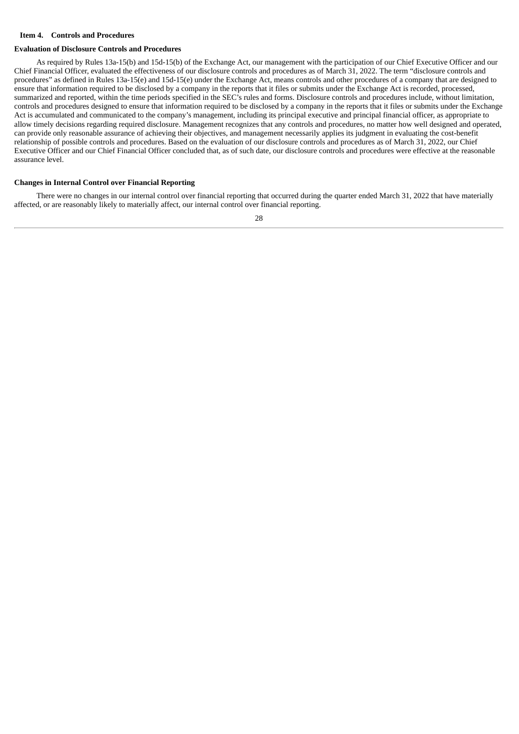# <span id="page-27-0"></span>**Item 4. Controls and Procedures**

### **Evaluation of Disclosure Controls and Procedures**

As required by Rules 13a-15(b) and 15d-15(b) of the Exchange Act, our management with the participation of our Chief Executive Officer and our Chief Financial Officer, evaluated the effectiveness of our disclosure controls and procedures as of March 31, 2022. The term "disclosure controls and procedures" as defined in Rules 13a-15(e) and 15d-15(e) under the Exchange Act, means controls and other procedures of a company that are designed to ensure that information required to be disclosed by a company in the reports that it files or submits under the Exchange Act is recorded, processed, summarized and reported, within the time periods specified in the SEC's rules and forms. Disclosure controls and procedures include, without limitation, controls and procedures designed to ensure that information required to be disclosed by a company in the reports that it files or submits under the Exchange Act is accumulated and communicated to the company's management, including its principal executive and principal financial officer, as appropriate to allow timely decisions regarding required disclosure. Management recognizes that any controls and procedures, no matter how well designed and operated, can provide only reasonable assurance of achieving their objectives, and management necessarily applies its judgment in evaluating the cost-benefit relationship of possible controls and procedures. Based on the evaluation of our disclosure controls and procedures as of March 31, 2022, our Chief Executive Officer and our Chief Financial Officer concluded that, as of such date, our disclosure controls and procedures were effective at the reasonable assurance level.

#### **Changes in Internal Control over Financial Reporting**

There were no changes in our internal control over financial reporting that occurred during the quarter ended March 31, 2022 that have materially affected, or are reasonably likely to materially affect, our internal control over financial reporting.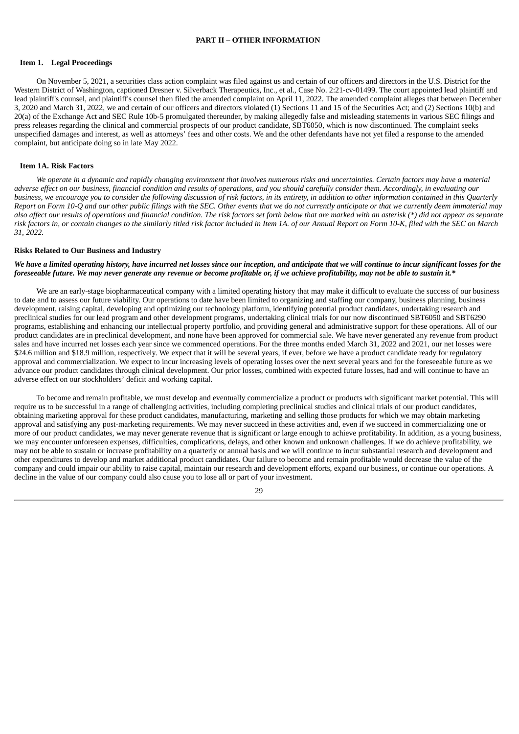## **PART II – OTHER INFORMATION**

# <span id="page-28-1"></span><span id="page-28-0"></span>**Item 1. Legal Proceedings**

On November 5, 2021, a securities class action complaint was filed against us and certain of our officers and directors in the U.S. District for the Western District of Washington, captioned Dresner v. Silverback Therapeutics, Inc., et al., Case No. 2:21-cv-01499. The court appointed lead plaintiff and lead plaintiff's counsel, and plaintiff's counsel then filed the amended complaint on April 11, 2022. The amended complaint alleges that between December 3, 2020 and March 31, 2022, we and certain of our officers and directors violated (1) Sections 11 and 15 of the Securities Act; and (2) Sections 10(b) and 20(a) of the Exchange Act and SEC Rule 10b-5 promulgated thereunder, by making allegedly false and misleading statements in various SEC filings and press releases regarding the clinical and commercial prospects of our product candidate, SBT6050, which is now discontinued. The complaint seeks unspecified damages and interest, as well as attorneys' fees and other costs. We and the other defendants have not yet filed a response to the amended complaint, but anticipate doing so in late May 2022.

#### <span id="page-28-2"></span>**Item 1A. Risk Factors**

We operate in a dynamic and rapidly changing environment that involves numerous risks and uncertainties. Certain factors may have a material adverse effect on our business, financial condition and results of operations, and you should carefully consider them. Accordingly, in evaluating our business, we encourage you to consider the following discussion of risk factors, in its entirety, in addition to other information contained in this Quarterly Report on Form 10-O and our other public filings with the SEC. Other events that we do not currently anticipate or that we currently deem immaterial may also affect our results of operations and financial condition. The risk factors set forth below that are marked with an asterisk (\*) did not appear as separate risk factors in, or contain changes to the similarly titled risk factor included in Item 1A. of our Annual Report on Form 10-K, filed with the SEC on March *31, 2022.*

### **Risks Related to Our Business and Industry**

# We have a limited operating history, have incurred net losses since our inception, and anticipate that we will continue to incur significant losses for the foreseeable future. We may never generate any revenue or become profitable or, if we achieve profitability, may not be able to sustain it.\*

We are an early-stage biopharmaceutical company with a limited operating history that may make it difficult to evaluate the success of our business to date and to assess our future viability. Our operations to date have been limited to organizing and staffing our company, business planning, business development, raising capital, developing and optimizing our technology platform, identifying potential product candidates, undertaking research and preclinical studies for our lead program and other development programs, undertaking clinical trials for our now discontinued SBT6050 and SBT6290 programs, establishing and enhancing our intellectual property portfolio, and providing general and administrative support for these operations. All of our product candidates are in preclinical development, and none have been approved for commercial sale. We have never generated any revenue from product sales and have incurred net losses each year since we commenced operations. For the three months ended March 31, 2022 and 2021, our net losses were \$24.6 million and \$18.9 million, respectively. We expect that it will be several years, if ever, before we have a product candidate ready for regulatory approval and commercialization. We expect to incur increasing levels of operating losses over the next several years and for the foreseeable future as we advance our product candidates through clinical development. Our prior losses, combined with expected future losses, had and will continue to have an adverse effect on our stockholders' deficit and working capital.

To become and remain profitable, we must develop and eventually commercialize a product or products with significant market potential. This will require us to be successful in a range of challenging activities, including completing preclinical studies and clinical trials of our product candidates, obtaining marketing approval for these product candidates, manufacturing, marketing and selling those products for which we may obtain marketing approval and satisfying any post-marketing requirements. We may never succeed in these activities and, even if we succeed in commercializing one or more of our product candidates, we may never generate revenue that is significant or large enough to achieve profitability. In addition, as a young business, we may encounter unforeseen expenses, difficulties, complications, delays, and other known and unknown challenges. If we do achieve profitability, we may not be able to sustain or increase profitability on a quarterly or annual basis and we will continue to incur substantial research and development and other expenditures to develop and market additional product candidates. Our failure to become and remain profitable would decrease the value of the company and could impair our ability to raise capital, maintain our research and development efforts, expand our business, or continue our operations. A decline in the value of our company could also cause you to lose all or part of your investment.

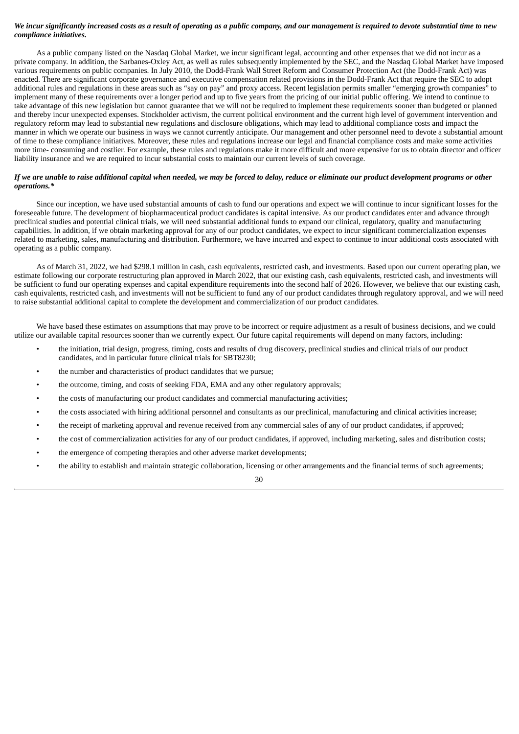# We incur significantly increased costs as a result of operating as a public company, and our management is required to devote substantial time to new *compliance initiatives.*

As a public company listed on the Nasdaq Global Market, we incur significant legal, accounting and other expenses that we did not incur as a private company. In addition, the Sarbanes-Oxley Act, as well as rules subsequently implemented by the SEC, and the Nasdaq Global Market have imposed various requirements on public companies. In July 2010, the Dodd-Frank Wall Street Reform and Consumer Protection Act (the Dodd-Frank Act) was enacted. There are significant corporate governance and executive compensation related provisions in the Dodd-Frank Act that require the SEC to adopt additional rules and regulations in these areas such as "say on pay" and proxy access. Recent legislation permits smaller "emerging growth companies" to implement many of these requirements over a longer period and up to five years from the pricing of our initial public offering. We intend to continue to take advantage of this new legislation but cannot guarantee that we will not be required to implement these requirements sooner than budgeted or planned and thereby incur unexpected expenses. Stockholder activism, the current political environment and the current high level of government intervention and regulatory reform may lead to substantial new regulations and disclosure obligations, which may lead to additional compliance costs and impact the manner in which we operate our business in ways we cannot currently anticipate. Our management and other personnel need to devote a substantial amount of time to these compliance initiatives. Moreover, these rules and regulations increase our legal and financial compliance costs and make some activities more time- consuming and costlier. For example, these rules and regulations make it more difficult and more expensive for us to obtain director and officer liability insurance and we are required to incur substantial costs to maintain our current levels of such coverage.

# If we are unable to raise additional capital when needed, we may be forced to delay, reduce or eliminate our product development programs or other *operations.\**

Since our inception, we have used substantial amounts of cash to fund our operations and expect we will continue to incur significant losses for the foreseeable future. The development of biopharmaceutical product candidates is capital intensive. As our product candidates enter and advance through preclinical studies and potential clinical trials, we will need substantial additional funds to expand our clinical, regulatory, quality and manufacturing capabilities. In addition, if we obtain marketing approval for any of our product candidates, we expect to incur significant commercialization expenses related to marketing, sales, manufacturing and distribution. Furthermore, we have incurred and expect to continue to incur additional costs associated with operating as a public company.

As of March 31, 2022, we had \$298.1 million in cash, cash equivalents, restricted cash, and investments. Based upon our current operating plan, we estimate following our corporate restructuring plan approved in March 2022, that our existing cash, cash equivalents, restricted cash, and investments will be sufficient to fund our operating expenses and capital expenditure requirements into the second half of 2026. However, we believe that our existing cash, cash equivalents, restricted cash, and investments will not be sufficient to fund any of our product candidates through regulatory approval, and we will need to raise substantial additional capital to complete the development and commercialization of our product candidates.

We have based these estimates on assumptions that may prove to be incorrect or require adjustment as a result of business decisions, and we could utilize our available capital resources sooner than we currently expect. Our future capital requirements will depend on many factors, including:

- the initiation, trial design, progress, timing, costs and results of drug discovery, preclinical studies and clinical trials of our product candidates, and in particular future clinical trials for SBT8230;
- the number and characteristics of product candidates that we pursue;
- the outcome, timing, and costs of seeking FDA, EMA and any other regulatory approvals;
- the costs of manufacturing our product candidates and commercial manufacturing activities;
- the costs associated with hiring additional personnel and consultants as our preclinical, manufacturing and clinical activities increase;
- the receipt of marketing approval and revenue received from any commercial sales of any of our product candidates, if approved;
- the cost of commercialization activities for any of our product candidates, if approved, including marketing, sales and distribution costs;
- the emergence of competing therapies and other adverse market developments;
- the ability to establish and maintain strategic collaboration, licensing or other arrangements and the financial terms of such agreements; 30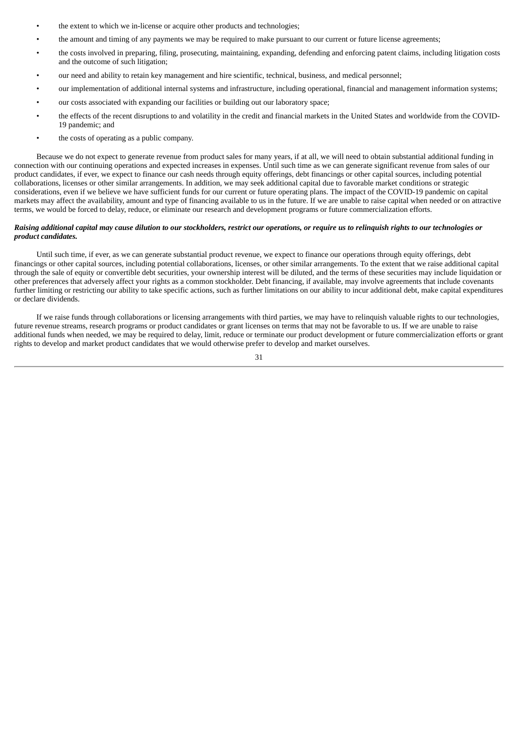- the extent to which we in-license or acquire other products and technologies;
- the amount and timing of any payments we may be required to make pursuant to our current or future license agreements;
- the costs involved in preparing, filing, prosecuting, maintaining, expanding, defending and enforcing patent claims, including litigation costs and the outcome of such litigation;
- our need and ability to retain key management and hire scientific, technical, business, and medical personnel;
- our implementation of additional internal systems and infrastructure, including operational, financial and management information systems;
- our costs associated with expanding our facilities or building out our laboratory space;
- the effects of the recent disruptions to and volatility in the credit and financial markets in the United States and worldwide from the COVID-19 pandemic; and
- the costs of operating as a public company.

Because we do not expect to generate revenue from product sales for many years, if at all, we will need to obtain substantial additional funding in connection with our continuing operations and expected increases in expenses. Until such time as we can generate significant revenue from sales of our product candidates, if ever, we expect to finance our cash needs through equity offerings, debt financings or other capital sources, including potential collaborations, licenses or other similar arrangements. In addition, we may seek additional capital due to favorable market conditions or strategic considerations, even if we believe we have sufficient funds for our current or future operating plans. The impact of the COVID-19 pandemic on capital markets may affect the availability, amount and type of financing available to us in the future. If we are unable to raise capital when needed or on attractive terms, we would be forced to delay, reduce, or eliminate our research and development programs or future commercialization efforts.

#### Raisina additional capital may cause dilution to our stockholders, restrict our operations, or require us to relinauish rights to our technologies or *product candidates.*

Until such time, if ever, as we can generate substantial product revenue, we expect to finance our operations through equity offerings, debt financings or other capital sources, including potential collaborations, licenses, or other similar arrangements. To the extent that we raise additional capital through the sale of equity or convertible debt securities, your ownership interest will be diluted, and the terms of these securities may include liquidation or other preferences that adversely affect your rights as a common stockholder. Debt financing, if available, may involve agreements that include covenants further limiting or restricting our ability to take specific actions, such as further limitations on our ability to incur additional debt, make capital expenditures or declare dividends.

If we raise funds through collaborations or licensing arrangements with third parties, we may have to relinquish valuable rights to our technologies, future revenue streams, research programs or product candidates or grant licenses on terms that may not be favorable to us. If we are unable to raise additional funds when needed, we may be required to delay, limit, reduce or terminate our product development or future commercialization efforts or grant rights to develop and market product candidates that we would otherwise prefer to develop and market ourselves.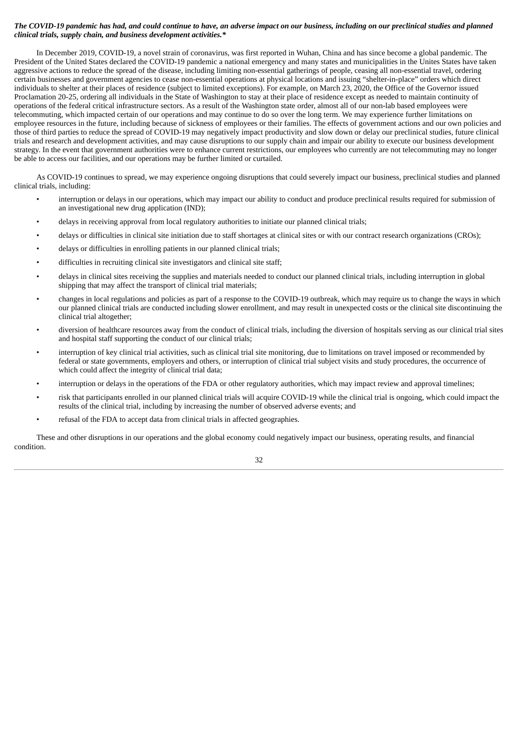# The COVID-19 pandemic has had, and could continue to have, an adverse impact on our business, including on our preclinical studies and planned *clinical trials, supply chain, and business development activities.\**

In December 2019, COVID-19, a novel strain of coronavirus, was first reported in Wuhan, China and has since become a global pandemic. The President of the United States declared the COVID-19 pandemic a national emergency and many states and municipalities in the Unites States have taken aggressive actions to reduce the spread of the disease, including limiting non-essential gatherings of people, ceasing all non-essential travel, ordering certain businesses and government agencies to cease non-essential operations at physical locations and issuing "shelter-in-place" orders which direct individuals to shelter at their places of residence (subject to limited exceptions). For example, on March 23, 2020, the Office of the Governor issued Proclamation 20-25, ordering all individuals in the State of Washington to stay at their place of residence except as needed to maintain continuity of operations of the federal critical infrastructure sectors. As a result of the Washington state order, almost all of our non-lab based employees were telecommuting, which impacted certain of our operations and may continue to do so over the long term. We may experience further limitations on employee resources in the future, including because of sickness of employees or their families. The effects of government actions and our own policies and those of third parties to reduce the spread of COVID-19 may negatively impact productivity and slow down or delay our preclinical studies, future clinical trials and research and development activities, and may cause disruptions to our supply chain and impair our ability to execute our business development strategy. In the event that government authorities were to enhance current restrictions, our employees who currently are not telecommuting may no longer be able to access our facilities, and our operations may be further limited or curtailed.

As COVID-19 continues to spread, we may experience ongoing disruptions that could severely impact our business, preclinical studies and planned clinical trials, including:

- interruption or delays in our operations, which may impact our ability to conduct and produce preclinical results required for submission of an investigational new drug application (IND);
- delays in receiving approval from local regulatory authorities to initiate our planned clinical trials;
- delays or difficulties in clinical site initiation due to staff shortages at clinical sites or with our contract research organizations (CROs);
- delays or difficulties in enrolling patients in our planned clinical trials;
- difficulties in recruiting clinical site investigators and clinical site staff;
- delays in clinical sites receiving the supplies and materials needed to conduct our planned clinical trials, including interruption in global shipping that may affect the transport of clinical trial materials;
- changes in local regulations and policies as part of a response to the COVID-19 outbreak, which may require us to change the ways in which our planned clinical trials are conducted including slower enrollment, and may result in unexpected costs or the clinical site discontinuing the clinical trial altogether;
- diversion of healthcare resources away from the conduct of clinical trials, including the diversion of hospitals serving as our clinical trial sites and hospital staff supporting the conduct of our clinical trials;
- interruption of key clinical trial activities, such as clinical trial site monitoring, due to limitations on travel imposed or recommended by federal or state governments, employers and others, or interruption of clinical trial subject visits and study procedures, the occurrence of which could affect the integrity of clinical trial data;
- interruption or delays in the operations of the FDA or other regulatory authorities, which may impact review and approval timelines;
- risk that participants enrolled in our planned clinical trials will acquire COVID-19 while the clinical trial is ongoing, which could impact the results of the clinical trial, including by increasing the number of observed adverse events; and
- refusal of the FDA to accept data from clinical trials in affected geographies.

These and other disruptions in our operations and the global economy could negatively impact our business, operating results, and financial condition.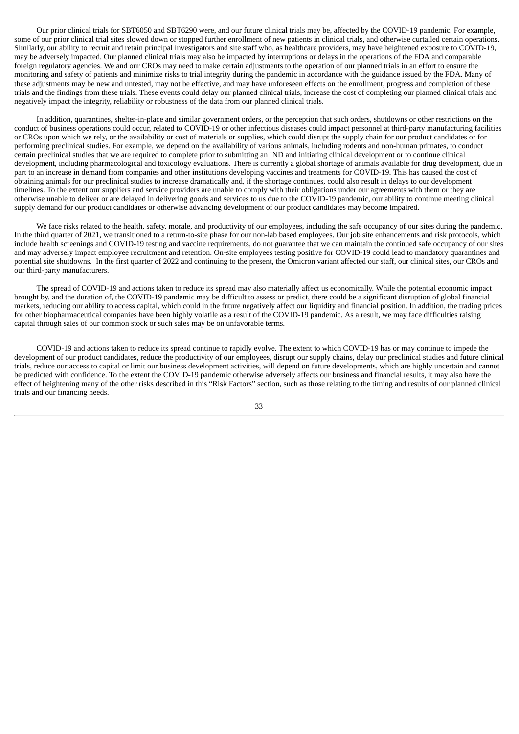Our prior clinical trials for SBT6050 and SBT6290 were, and our future clinical trials may be, affected by the COVID-19 pandemic. For example, some of our prior clinical trial sites slowed down or stopped further enrollment of new patients in clinical trials, and otherwise curtailed certain operations. Similarly, our ability to recruit and retain principal investigators and site staff who, as healthcare providers, may have heightened exposure to COVID-19, may be adversely impacted. Our planned clinical trials may also be impacted by interruptions or delays in the operations of the FDA and comparable foreign regulatory agencies. We and our CROs may need to make certain adjustments to the operation of our planned trials in an effort to ensure the monitoring and safety of patients and minimize risks to trial integrity during the pandemic in accordance with the guidance issued by the FDA. Many of these adjustments may be new and untested, may not be effective, and may have unforeseen effects on the enrollment, progress and completion of these trials and the findings from these trials. These events could delay our planned clinical trials, increase the cost of completing our planned clinical trials and negatively impact the integrity, reliability or robustness of the data from our planned clinical trials.

In addition, quarantines, shelter-in-place and similar government orders, or the perception that such orders, shutdowns or other restrictions on the conduct of business operations could occur, related to COVID-19 or other infectious diseases could impact personnel at third-party manufacturing facilities or CROs upon which we rely, or the availability or cost of materials or supplies, which could disrupt the supply chain for our product candidates or for performing preclinical studies. For example, we depend on the availability of various animals, including rodents and non-human primates, to conduct certain preclinical studies that we are required to complete prior to submitting an IND and initiating clinical development or to continue clinical development, including pharmacological and toxicology evaluations. There is currently a global shortage of animals available for drug development, due in part to an increase in demand from companies and other institutions developing vaccines and treatments for COVID-19. This has caused the cost of obtaining animals for our preclinical studies to increase dramatically and, if the shortage continues, could also result in delays to our development timelines. To the extent our suppliers and service providers are unable to comply with their obligations under our agreements with them or they are otherwise unable to deliver or are delayed in delivering goods and services to us due to the COVID-19 pandemic, our ability to continue meeting clinical supply demand for our product candidates or otherwise advancing development of our product candidates may become impaired.

We face risks related to the health, safety, morale, and productivity of our employees, including the safe occupancy of our sites during the pandemic. In the third quarter of 2021, we transitioned to a return-to-site phase for our non-lab based employees. Our job site enhancements and risk protocols, which include health screenings and COVID-19 testing and vaccine requirements, do not guarantee that we can maintain the continued safe occupancy of our sites and may adversely impact employee recruitment and retention. On-site employees testing positive for COVID-19 could lead to mandatory quarantines and potential site shutdowns. In the first quarter of 2022 and continuing to the present, the Omicron variant affected our staff, our clinical sites, our CROs and our third-party manufacturers.

The spread of COVID-19 and actions taken to reduce its spread may also materially affect us economically. While the potential economic impact brought by, and the duration of, the COVID-19 pandemic may be difficult to assess or predict, there could be a significant disruption of global financial markets, reducing our ability to access capital, which could in the future negatively affect our liquidity and financial position. In addition, the trading prices for other biopharmaceutical companies have been highly volatile as a result of the COVID-19 pandemic. As a result, we may face difficulties raising capital through sales of our common stock or such sales may be on unfavorable terms.

COVID-19 and actions taken to reduce its spread continue to rapidly evolve. The extent to which COVID-19 has or may continue to impede the development of our product candidates, reduce the productivity of our employees, disrupt our supply chains, delay our preclinical studies and future clinical trials, reduce our access to capital or limit our business development activities, will depend on future developments, which are highly uncertain and cannot be predicted with confidence. To the extent the COVID-19 pandemic otherwise adversely affects our business and financial results, it may also have the effect of heightening many of the other risks described in this "Risk Factors" section, such as those relating to the timing and results of our planned clinical trials and our financing needs.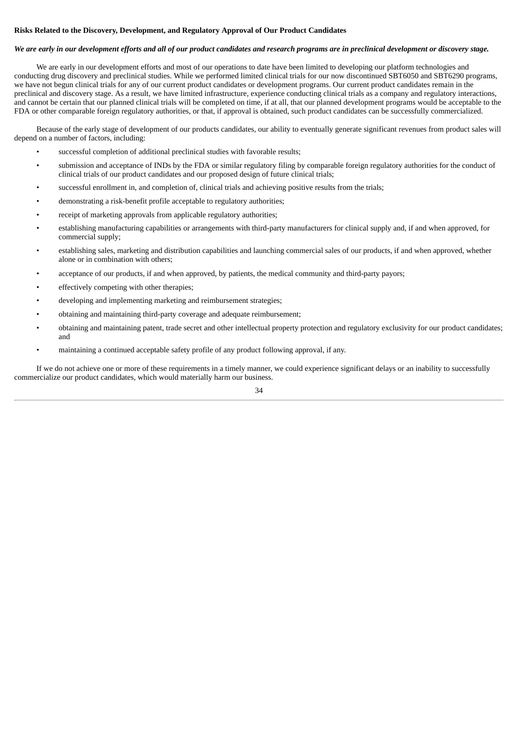# **Risks Related to the Discovery, Development, and Regulatory Approval of Our Product Candidates**

# We are early in our development efforts and all of our product candidates and research programs are in preclinical development or discovery stage.

We are early in our development efforts and most of our operations to date have been limited to developing our platform technologies and conducting drug discovery and preclinical studies. While we performed limited clinical trials for our now discontinued SBT6050 and SBT6290 programs, we have not begun clinical trials for any of our current product candidates or development programs. Our current product candidates remain in the preclinical and discovery stage. As a result, we have limited infrastructure, experience conducting clinical trials as a company and regulatory interactions, and cannot be certain that our planned clinical trials will be completed on time, if at all, that our planned development programs would be acceptable to the FDA or other comparable foreign regulatory authorities, or that, if approval is obtained, such product candidates can be successfully commercialized.

Because of the early stage of development of our products candidates, our ability to eventually generate significant revenues from product sales will depend on a number of factors, including:

- successful completion of additional preclinical studies with favorable results;
- submission and acceptance of INDs by the FDA or similar regulatory filing by comparable foreign regulatory authorities for the conduct of clinical trials of our product candidates and our proposed design of future clinical trials;
- successful enrollment in, and completion of, clinical trials and achieving positive results from the trials;
- demonstrating a risk-benefit profile acceptable to regulatory authorities;
- receipt of marketing approvals from applicable regulatory authorities;
- establishing manufacturing capabilities or arrangements with third-party manufacturers for clinical supply and, if and when approved, for commercial supply;
- establishing sales, marketing and distribution capabilities and launching commercial sales of our products, if and when approved, whether alone or in combination with others;
- acceptance of our products, if and when approved, by patients, the medical community and third-party payors;
- effectively competing with other therapies;
- developing and implementing marketing and reimbursement strategies;
- obtaining and maintaining third-party coverage and adequate reimbursement;
- obtaining and maintaining patent, trade secret and other intellectual property protection and regulatory exclusivity for our product candidates; and
- maintaining a continued acceptable safety profile of any product following approval, if any.

If we do not achieve one or more of these requirements in a timely manner, we could experience significant delays or an inability to successfully commercialize our product candidates, which would materially harm our business.

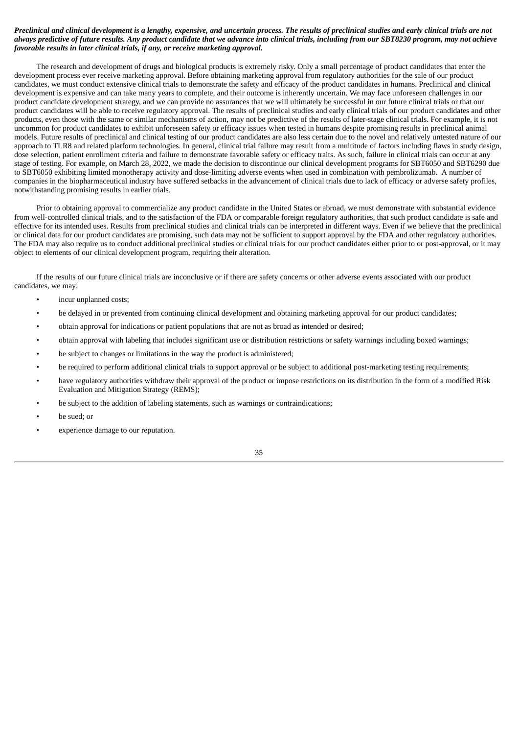# Preclinical and clinical development is a lengthy, expensive, and uncertain process. The results of preclinical studies and early clinical trials are not always predictive of future results. Any product candidate that we advance into clinical trials, including from our SBT8230 program, may not achieve *favorable results in later clinical trials, if any, or receive marketing approval.*

The research and development of drugs and biological products is extremely risky. Only a small percentage of product candidates that enter the development process ever receive marketing approval. Before obtaining marketing approval from regulatory authorities for the sale of our product candidates, we must conduct extensive clinical trials to demonstrate the safety and efficacy of the product candidates in humans. Preclinical and clinical development is expensive and can take many years to complete, and their outcome is inherently uncertain. We may face unforeseen challenges in our product candidate development strategy, and we can provide no assurances that we will ultimately be successful in our future clinical trials or that our product candidates will be able to receive regulatory approval. The results of preclinical studies and early clinical trials of our product candidates and other products, even those with the same or similar mechanisms of action, may not be predictive of the results of later-stage clinical trials. For example, it is not uncommon for product candidates to exhibit unforeseen safety or efficacy issues when tested in humans despite promising results in preclinical animal models. Future results of preclinical and clinical testing of our product candidates are also less certain due to the novel and relatively untested nature of our approach to TLR8 and related platform technologies. In general, clinical trial failure may result from a multitude of factors including flaws in study design, dose selection, patient enrollment criteria and failure to demonstrate favorable safety or efficacy traits. As such, failure in clinical trials can occur at any stage of testing. For example, on March 28, 2022, we made the decision to discontinue our clinical development programs for SBT6050 and SBT6290 due to SBT6050 exhibiting limited monotherapy activity and dose-limiting adverse events when used in combination with pembrolizumab. A number of companies in the biopharmaceutical industry have suffered setbacks in the advancement of clinical trials due to lack of efficacy or adverse safety profiles, notwithstanding promising results in earlier trials.

Prior to obtaining approval to commercialize any product candidate in the United States or abroad, we must demonstrate with substantial evidence from well-controlled clinical trials, and to the satisfaction of the FDA or comparable foreign regulatory authorities, that such product candidate is safe and effective for its intended uses. Results from preclinical studies and clinical trials can be interpreted in different ways. Even if we believe that the preclinical or clinical data for our product candidates are promising, such data may not be sufficient to support approval by the FDA and other regulatory authorities. The FDA may also require us to conduct additional preclinical studies or clinical trials for our product candidates either prior to or post-approval, or it may object to elements of our clinical development program, requiring their alteration.

If the results of our future clinical trials are inconclusive or if there are safety concerns or other adverse events associated with our product candidates, we may:

- incur unplanned costs;
- be delayed in or prevented from continuing clinical development and obtaining marketing approval for our product candidates;
- obtain approval for indications or patient populations that are not as broad as intended or desired;
- obtain approval with labeling that includes significant use or distribution restrictions or safety warnings including boxed warnings;
- be subject to changes or limitations in the way the product is administered;
- be required to perform additional clinical trials to support approval or be subject to additional post-marketing testing requirements;
- have regulatory authorities withdraw their approval of the product or impose restrictions on its distribution in the form of a modified Risk Evaluation and Mitigation Strategy (REMS);
- be subject to the addition of labeling statements, such as warnings or contraindications;
- be sued; or
- experience damage to our reputation.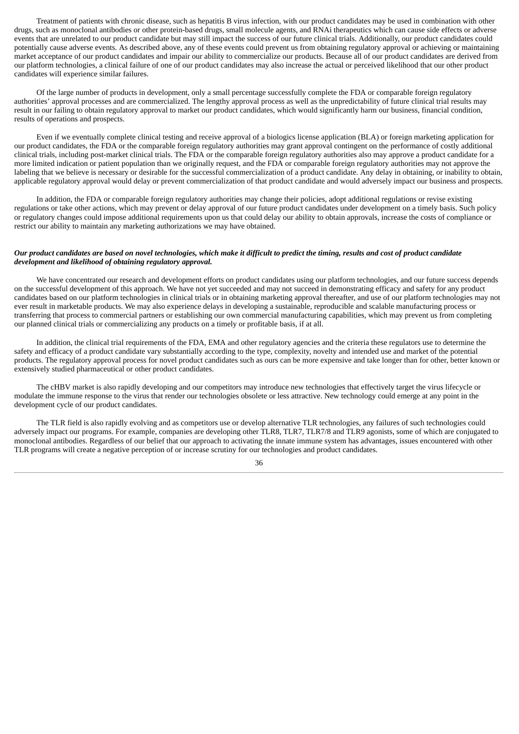Treatment of patients with chronic disease, such as hepatitis B virus infection, with our product candidates may be used in combination with other drugs, such as monoclonal antibodies or other protein-based drugs, small molecule agents, and RNAi therapeutics which can cause side effects or adverse events that are unrelated to our product candidate but may still impact the success of our future clinical trials. Additionally, our product candidates could potentially cause adverse events. As described above, any of these events could prevent us from obtaining regulatory approval or achieving or maintaining market acceptance of our product candidates and impair our ability to commercialize our products. Because all of our product candidates are derived from our platform technologies, a clinical failure of one of our product candidates may also increase the actual or perceived likelihood that our other product candidates will experience similar failures.

Of the large number of products in development, only a small percentage successfully complete the FDA or comparable foreign regulatory authorities' approval processes and are commercialized. The lengthy approval process as well as the unpredictability of future clinical trial results may result in our failing to obtain regulatory approval to market our product candidates, which would significantly harm our business, financial condition, results of operations and prospects.

Even if we eventually complete clinical testing and receive approval of a biologics license application (BLA) or foreign marketing application for our product candidates, the FDA or the comparable foreign regulatory authorities may grant approval contingent on the performance of costly additional clinical trials, including post-market clinical trials. The FDA or the comparable foreign regulatory authorities also may approve a product candidate for a more limited indication or patient population than we originally request, and the FDA or comparable foreign regulatory authorities may not approve the labeling that we believe is necessary or desirable for the successful commercialization of a product candidate. Any delay in obtaining, or inability to obtain, applicable regulatory approval would delay or prevent commercialization of that product candidate and would adversely impact our business and prospects.

In addition, the FDA or comparable foreign regulatory authorities may change their policies, adopt additional regulations or revise existing regulations or take other actions, which may prevent or delay approval of our future product candidates under development on a timely basis. Such policy or regulatory changes could impose additional requirements upon us that could delay our ability to obtain approvals, increase the costs of compliance or restrict our ability to maintain any marketing authorizations we may have obtained.

# Our product candidates are based on novel technologies, which make it difficult to predict the timing, results and cost of product candidate *development and likelihood of obtaining regulatory approval.*

We have concentrated our research and development efforts on product candidates using our platform technologies, and our future success depends on the successful development of this approach. We have not yet succeeded and may not succeed in demonstrating efficacy and safety for any product candidates based on our platform technologies in clinical trials or in obtaining marketing approval thereafter, and use of our platform technologies may not ever result in marketable products. We may also experience delays in developing a sustainable, reproducible and scalable manufacturing process or transferring that process to commercial partners or establishing our own commercial manufacturing capabilities, which may prevent us from completing our planned clinical trials or commercializing any products on a timely or profitable basis, if at all.

In addition, the clinical trial requirements of the FDA, EMA and other regulatory agencies and the criteria these regulators use to determine the safety and efficacy of a product candidate vary substantially according to the type, complexity, novelty and intended use and market of the potential products. The regulatory approval process for novel product candidates such as ours can be more expensive and take longer than for other, better known or extensively studied pharmaceutical or other product candidates.

The cHBV market is also rapidly developing and our competitors may introduce new technologies that effectively target the virus lifecycle or modulate the immune response to the virus that render our technologies obsolete or less attractive. New technology could emerge at any point in the development cycle of our product candidates.

The TLR field is also rapidly evolving and as competitors use or develop alternative TLR technologies, any failures of such technologies could adversely impact our programs. For example, companies are developing other TLR8, TLR7, TLR7/8 and TLR9 agonists, some of which are conjugated to monoclonal antibodies. Regardless of our belief that our approach to activating the innate immune system has advantages, issues encountered with other TLR programs will create a negative perception of or increase scrutiny for our technologies and product candidates.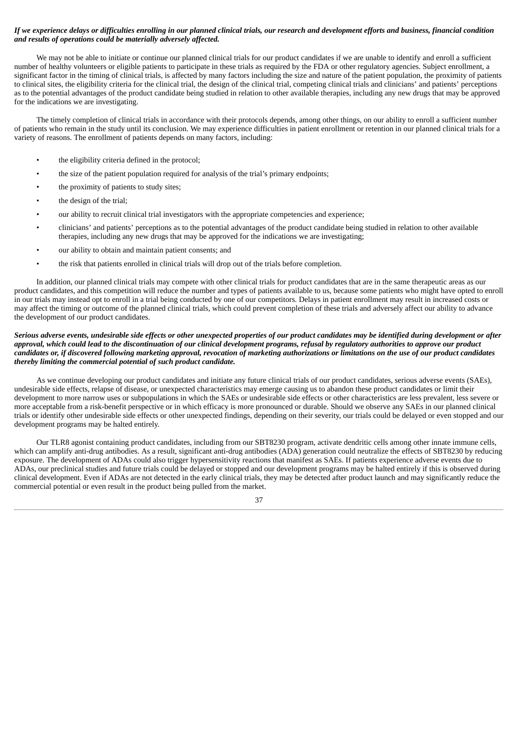# If we experience delays or difficulties enrolling in our planned clinical trials, our research and development efforts and business, financial condition *and results of operations could be materially adversely affected.*

We may not be able to initiate or continue our planned clinical trials for our product candidates if we are unable to identify and enroll a sufficient number of healthy volunteers or eligible patients to participate in these trials as required by the FDA or other regulatory agencies. Subject enrollment, a significant factor in the timing of clinical trials, is affected by many factors including the size and nature of the patient population, the proximity of patients to clinical sites, the eligibility criteria for the clinical trial, the design of the clinical trial, competing clinical trials and clinicians' and patients' perceptions as to the potential advantages of the product candidate being studied in relation to other available therapies, including any new drugs that may be approved for the indications we are investigating.

The timely completion of clinical trials in accordance with their protocols depends, among other things, on our ability to enroll a sufficient number of patients who remain in the study until its conclusion. We may experience difficulties in patient enrollment or retention in our planned clinical trials for a variety of reasons. The enrollment of patients depends on many factors, including:

- the eligibility criteria defined in the protocol;
- the size of the patient population required for analysis of the trial's primary endpoints;
- the proximity of patients to study sites;
- the design of the trial;
- our ability to recruit clinical trial investigators with the appropriate competencies and experience;
- clinicians' and patients' perceptions as to the potential advantages of the product candidate being studied in relation to other available therapies, including any new drugs that may be approved for the indications we are investigating;
- our ability to obtain and maintain patient consents; and
- the risk that patients enrolled in clinical trials will drop out of the trials before completion.

In addition, our planned clinical trials may compete with other clinical trials for product candidates that are in the same therapeutic areas as our product candidates, and this competition will reduce the number and types of patients available to us, because some patients who might have opted to enroll in our trials may instead opt to enroll in a trial being conducted by one of our competitors. Delays in patient enrollment may result in increased costs or may affect the timing or outcome of the planned clinical trials, which could prevent completion of these trials and adversely affect our ability to advance the development of our product candidates.

# Serious adverse events, undesirable side effects or other unexpected properties of our product candidates may be identified during development or after approval, which could lead to the discontinuation of our clinical development programs, refusal by regulatory authorities to approve our product candidates or, if discovered following marketing approval, revocation of marketing authorizations or limitations on the use of our product candidates *thereby limiting the commercial potential of such product candidate.*

As we continue developing our product candidates and initiate any future clinical trials of our product candidates, serious adverse events (SAEs), undesirable side effects, relapse of disease, or unexpected characteristics may emerge causing us to abandon these product candidates or limit their development to more narrow uses or subpopulations in which the SAEs or undesirable side effects or other characteristics are less prevalent, less severe or more acceptable from a risk-benefit perspective or in which efficacy is more pronounced or durable. Should we observe any SAEs in our planned clinical trials or identify other undesirable side effects or other unexpected findings, depending on their severity, our trials could be delayed or even stopped and our development programs may be halted entirely.

Our TLR8 agonist containing product candidates, including from our SBT8230 program, activate dendritic cells among other innate immune cells, which can amplify anti-drug antibodies. As a result, significant anti-drug antibodies (ADA) generation could neutralize the effects of SBT8230 by reducing exposure. The development of ADAs could also trigger hypersensitivity reactions that manifest as SAEs. If patients experience adverse events due to ADAs, our preclinical studies and future trials could be delayed or stopped and our development programs may be halted entirely if this is observed during clinical development. Even if ADAs are not detected in the early clinical trials, they may be detected after product launch and may significantly reduce the commercial potential or even result in the product being pulled from the market.

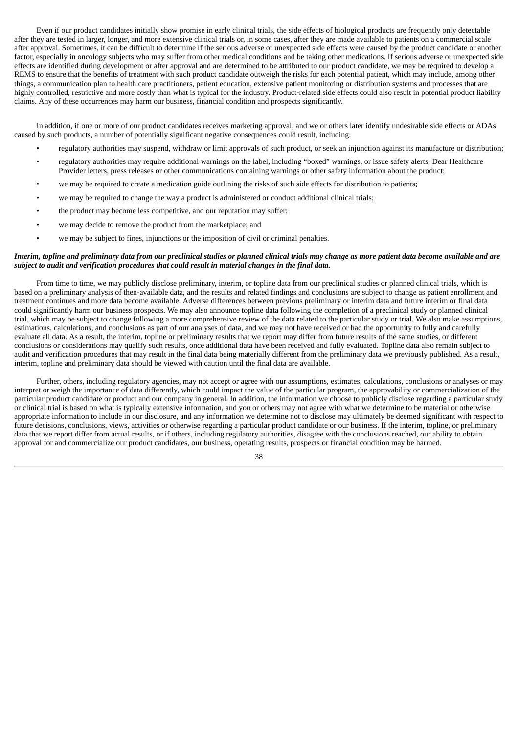Even if our product candidates initially show promise in early clinical trials, the side effects of biological products are frequently only detectable after they are tested in larger, longer, and more extensive clinical trials or, in some cases, after they are made available to patients on a commercial scale after approval. Sometimes, it can be difficult to determine if the serious adverse or unexpected side effects were caused by the product candidate or another factor, especially in oncology subjects who may suffer from other medical conditions and be taking other medications. If serious adverse or unexpected side effects are identified during development or after approval and are determined to be attributed to our product candidate, we may be required to develop a REMS to ensure that the benefits of treatment with such product candidate outweigh the risks for each potential patient, which may include, among other things, a communication plan to health care practitioners, patient education, extensive patient monitoring or distribution systems and processes that are highly controlled, restrictive and more costly than what is typical for the industry. Product-related side effects could also result in potential product liability claims. Any of these occurrences may harm our business, financial condition and prospects significantly.

In addition, if one or more of our product candidates receives marketing approval, and we or others later identify undesirable side effects or ADAs caused by such products, a number of potentially significant negative consequences could result, including:

- regulatory authorities may suspend, withdraw or limit approvals of such product, or seek an injunction against its manufacture or distribution;
- regulatory authorities may require additional warnings on the label, including "boxed" warnings, or issue safety alerts, Dear Healthcare Provider letters, press releases or other communications containing warnings or other safety information about the product;
- we may be required to create a medication guide outlining the risks of such side effects for distribution to patients;
- we may be required to change the way a product is administered or conduct additional clinical trials;
- the product may become less competitive, and our reputation may suffer;
- we may decide to remove the product from the marketplace; and
- we may be subject to fines, injunctions or the imposition of civil or criminal penalties.

## Interim, topline and preliminary data from our preclinical studies or planned clinical trials may change as more patient data become available and are *subject to audit and verification procedures that could result in material changes in the final data.*

From time to time, we may publicly disclose preliminary, interim, or topline data from our preclinical studies or planned clinical trials, which is based on a preliminary analysis of then-available data, and the results and related findings and conclusions are subject to change as patient enrollment and treatment continues and more data become available. Adverse differences between previous preliminary or interim data and future interim or final data could significantly harm our business prospects. We may also announce topline data following the completion of a preclinical study or planned clinical trial, which may be subject to change following a more comprehensive review of the data related to the particular study or trial. We also make assumptions, estimations, calculations, and conclusions as part of our analyses of data, and we may not have received or had the opportunity to fully and carefully evaluate all data. As a result, the interim, topline or preliminary results that we report may differ from future results of the same studies, or different conclusions or considerations may qualify such results, once additional data have been received and fully evaluated. Topline data also remain subject to audit and verification procedures that may result in the final data being materially different from the preliminary data we previously published. As a result, interim, topline and preliminary data should be viewed with caution until the final data are available.

Further, others, including regulatory agencies, may not accept or agree with our assumptions, estimates, calculations, conclusions or analyses or may interpret or weigh the importance of data differently, which could impact the value of the particular program, the approvability or commercialization of the particular product candidate or product and our company in general. In addition, the information we choose to publicly disclose regarding a particular study or clinical trial is based on what is typically extensive information, and you or others may not agree with what we determine to be material or otherwise appropriate information to include in our disclosure, and any information we determine not to disclose may ultimately be deemed significant with respect to future decisions, conclusions, views, activities or otherwise regarding a particular product candidate or our business. If the interim, topline, or preliminary data that we report differ from actual results, or if others, including regulatory authorities, disagree with the conclusions reached, our ability to obtain approval for and commercialize our product candidates, our business, operating results, prospects or financial condition may be harmed.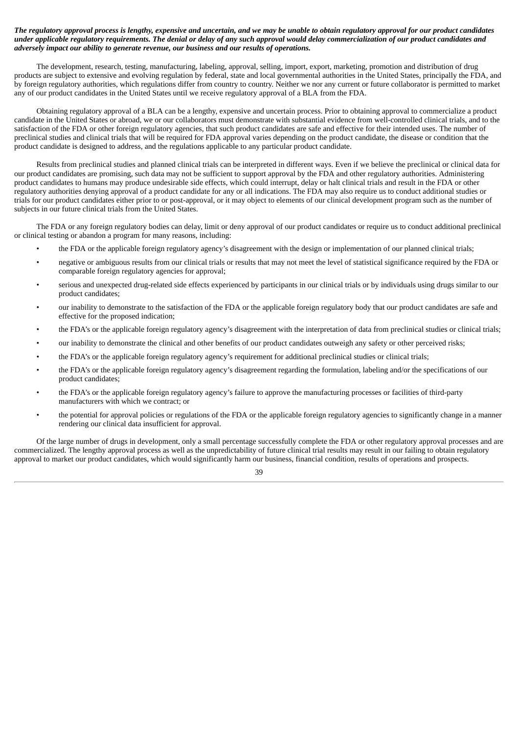# The regulatory approval process is lengthy, expensive and uncertain, and we may be unable to obtain regulatory approval for our product candidates under applicable regulatory requirements. The denial or delay of any such approval would delay commercialization of our product candidates and *adversely impact our ability to generate revenue, our business and our results of operations.*

The development, research, testing, manufacturing, labeling, approval, selling, import, export, marketing, promotion and distribution of drug products are subject to extensive and evolving regulation by federal, state and local governmental authorities in the United States, principally the FDA, and by foreign regulatory authorities, which regulations differ from country to country. Neither we nor any current or future collaborator is permitted to market any of our product candidates in the United States until we receive regulatory approval of a BLA from the FDA.

Obtaining regulatory approval of a BLA can be a lengthy, expensive and uncertain process. Prior to obtaining approval to commercialize a product candidate in the United States or abroad, we or our collaborators must demonstrate with substantial evidence from well-controlled clinical trials, and to the satisfaction of the FDA or other foreign regulatory agencies, that such product candidates are safe and effective for their intended uses. The number of preclinical studies and clinical trials that will be required for FDA approval varies depending on the product candidate, the disease or condition that the product candidate is designed to address, and the regulations applicable to any particular product candidate.

Results from preclinical studies and planned clinical trials can be interpreted in different ways. Even if we believe the preclinical or clinical data for our product candidates are promising, such data may not be sufficient to support approval by the FDA and other regulatory authorities. Administering product candidates to humans may produce undesirable side effects, which could interrupt, delay or halt clinical trials and result in the FDA or other regulatory authorities denying approval of a product candidate for any or all indications. The FDA may also require us to conduct additional studies or trials for our product candidates either prior to or post-approval, or it may object to elements of our clinical development program such as the number of subjects in our future clinical trials from the United States.

The FDA or any foreign regulatory bodies can delay, limit or deny approval of our product candidates or require us to conduct additional preclinical or clinical testing or abandon a program for many reasons, including:

- the FDA or the applicable foreign regulatory agency's disagreement with the design or implementation of our planned clinical trials;
- negative or ambiguous results from our clinical trials or results that may not meet the level of statistical significance required by the FDA or comparable foreign regulatory agencies for approval;
- serious and unexpected drug-related side effects experienced by participants in our clinical trials or by individuals using drugs similar to our product candidates;
- our inability to demonstrate to the satisfaction of the FDA or the applicable foreign regulatory body that our product candidates are safe and effective for the proposed indication;
- the FDA's or the applicable foreign regulatory agency's disagreement with the interpretation of data from preclinical studies or clinical trials;
- our inability to demonstrate the clinical and other benefits of our product candidates outweigh any safety or other perceived risks;
- the FDA's or the applicable foreign regulatory agency's requirement for additional preclinical studies or clinical trials;
- the FDA's or the applicable foreign regulatory agency's disagreement regarding the formulation, labeling and/or the specifications of our product candidates;
- the FDA's or the applicable foreign regulatory agency's failure to approve the manufacturing processes or facilities of third-party manufacturers with which we contract; or
- the potential for approval policies or regulations of the FDA or the applicable foreign regulatory agencies to significantly change in a manner rendering our clinical data insufficient for approval.

Of the large number of drugs in development, only a small percentage successfully complete the FDA or other regulatory approval processes and are commercialized. The lengthy approval process as well as the unpredictability of future clinical trial results may result in our failing to obtain regulatory approval to market our product candidates, which would significantly harm our business, financial condition, results of operations and prospects.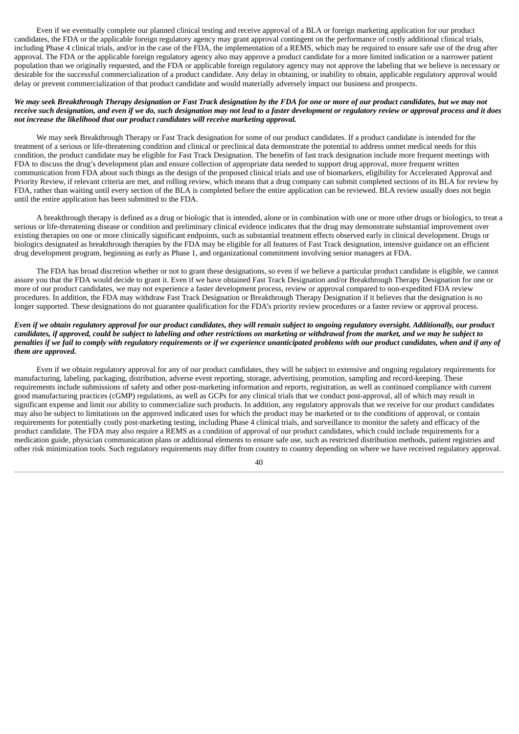Even if we eventually complete our planned clinical testing and receive approval of a BLA or foreign marketing application for our product candidates, the FDA or the applicable foreign regulatory agency may grant approval contingent on the performance of costly additional clinical trials, including Phase 4 clinical trials, and/or in the case of the FDA, the implementation of a REMS, which may be required to ensure safe use of the drug after approval. The FDA or the applicable foreign regulatory agency also may approve a product candidate for a more limited indication or a narrower patient population than we originally requested, and the FDA or applicable foreign regulatory agency may not approve the labeling that we believe is necessary or desirable for the successful commercialization of a product candidate. Any delay in obtaining, or inability to obtain, applicable regulatory approval would delay or prevent commercialization of that product candidate and would materially adversely impact our business and prospects.

## We may seek Breakthrough Therapy designation or Fast Track designation by the FDA for one or more of our product candidates, but we may not receive such designation, and even if we do, such designation may not lead to a faster development or regulatory review or approval process and it does *not increase the likelihood that our product candidates will receive marketing approval.*

We may seek Breakthrough Therapy or Fast Track designation for some of our product candidates. If a product candidate is intended for the treatment of a serious or life-threatening condition and clinical or preclinical data demonstrate the potential to address unmet medical needs for this condition, the product candidate may be eligible for Fast Track Designation. The benefits of fast track designation include more frequent meetings with FDA to discuss the drug's development plan and ensure collection of appropriate data needed to support drug approval, more frequent written communication from FDA about such things as the design of the proposed clinical trials and use of biomarkers, eligibility for Accelerated Approval and Priority Review, if relevant criteria are met, and rolling review, which means that a drug company can submit completed sections of its BLA for review by FDA, rather than waiting until every section of the BLA is completed before the entire application can be reviewed. BLA review usually does not begin until the entire application has been submitted to the FDA.

A breakthrough therapy is defined as a drug or biologic that is intended, alone or in combination with one or more other drugs or biologics, to treat a serious or life-threatening disease or condition and preliminary clinical evidence indicates that the drug may demonstrate substantial improvement over existing therapies on one or more clinically significant endpoints, such as substantial treatment effects observed early in clinical development. Drugs or biologics designated as breakthrough therapies by the FDA may be eligible for all features of Fast Track designation, intensive guidance on an efficient drug development program, beginning as early as Phase 1, and organizational commitment involving senior managers at FDA.

The FDA has broad discretion whether or not to grant these designations, so even if we believe a particular product candidate is eligible, we cannot assure you that the FDA would decide to grant it. Even if we have obtained Fast Track Designation and/or Breakthrough Therapy Designation for one or more of our product candidates, we may not experience a faster development process, review or approval compared to non-expedited FDA review procedures. In addition, the FDA may withdraw Fast Track Designation or Breakthrough Therapy Designation if it believes that the designation is no longer supported. These designations do not guarantee qualification for the FDA's priority review procedures or a faster review or approval process.

## Even if we obtain regulatory approval for our product candidates, they will remain subject to ongoing regulatory oversight. Additionally, our product candidates, if approved, could be subject to labeling and other restrictions on marketing or withdrawal from the market, and we may be subject to penalties if we fail to comply with regulatory requirements or if we experience unanticipated problems with our product candidates, when and if any of *them are approved.*

Even if we obtain regulatory approval for any of our product candidates, they will be subject to extensive and ongoing regulatory requirements for manufacturing, labeling, packaging, distribution, adverse event reporting, storage, advertising, promotion, sampling and record-keeping. These requirements include submissions of safety and other post-marketing information and reports, registration, as well as continued compliance with current good manufacturing practices (cGMP) regulations, as well as GCPs for any clinical trials that we conduct post-approval, all of which may result in significant expense and limit our ability to commercialize such products. In addition, any regulatory approvals that we receive for our product candidates may also be subject to limitations on the approved indicated uses for which the product may be marketed or to the conditions of approval, or contain requirements for potentially costly post-marketing testing, including Phase 4 clinical trials, and surveillance to monitor the safety and efficacy of the product candidate. The FDA may also require a REMS as a condition of approval of our product candidates, which could include requirements for a medication guide, physician communication plans or additional elements to ensure safe use, such as restricted distribution methods, patient registries and other risk minimization tools. Such regulatory requirements may differ from country to country depending on where we have received regulatory approval.

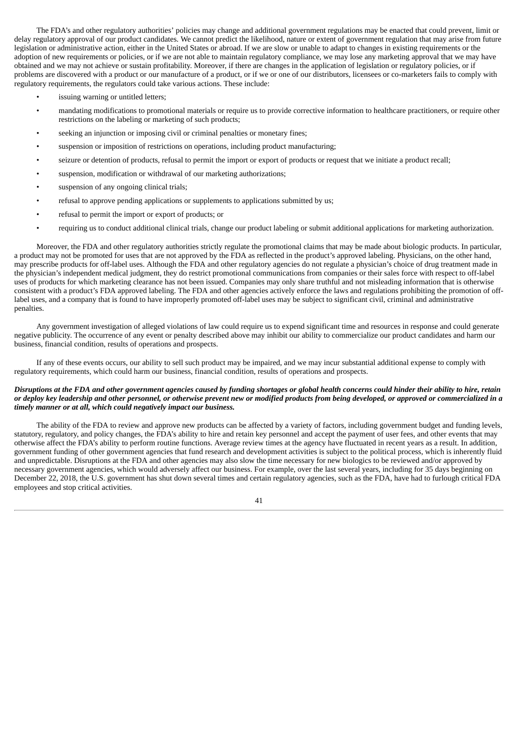The FDA's and other regulatory authorities' policies may change and additional government regulations may be enacted that could prevent, limit or delay regulatory approval of our product candidates. We cannot predict the likelihood, nature or extent of government regulation that may arise from future legislation or administrative action, either in the United States or abroad. If we are slow or unable to adapt to changes in existing requirements or the adoption of new requirements or policies, or if we are not able to maintain regulatory compliance, we may lose any marketing approval that we may have obtained and we may not achieve or sustain profitability. Moreover, if there are changes in the application of legislation or regulatory policies, or if problems are discovered with a product or our manufacture of a product, or if we or one of our distributors, licensees or co-marketers fails to comply with regulatory requirements, the regulators could take various actions. These include:

- issuing warning or untitled letters;
- mandating modifications to promotional materials or require us to provide corrective information to healthcare practitioners, or require other restrictions on the labeling or marketing of such products;
- seeking an injunction or imposing civil or criminal penalties or monetary fines;
- suspension or imposition of restrictions on operations, including product manufacturing;
- seizure or detention of products, refusal to permit the import or export of products or request that we initiate a product recall;
- suspension, modification or withdrawal of our marketing authorizations;
- suspension of any ongoing clinical trials;
- refusal to approve pending applications or supplements to applications submitted by us;
- refusal to permit the import or export of products; or
- requiring us to conduct additional clinical trials, change our product labeling or submit additional applications for marketing authorization.

Moreover, the FDA and other regulatory authorities strictly regulate the promotional claims that may be made about biologic products. In particular, a product may not be promoted for uses that are not approved by the FDA as reflected in the product's approved labeling. Physicians, on the other hand, may prescribe products for off-label uses. Although the FDA and other regulatory agencies do not regulate a physician's choice of drug treatment made in the physician's independent medical judgment, they do restrict promotional communications from companies or their sales force with respect to off-label uses of products for which marketing clearance has not been issued. Companies may only share truthful and not misleading information that is otherwise consistent with a product's FDA approved labeling. The FDA and other agencies actively enforce the laws and regulations prohibiting the promotion of offlabel uses, and a company that is found to have improperly promoted off-label uses may be subject to significant civil, criminal and administrative penalties.

Any government investigation of alleged violations of law could require us to expend significant time and resources in response and could generate negative publicity. The occurrence of any event or penalty described above may inhibit our ability to commercialize our product candidates and harm our business, financial condition, results of operations and prospects.

If any of these events occurs, our ability to sell such product may be impaired, and we may incur substantial additional expense to comply with regulatory requirements, which could harm our business, financial condition, results of operations and prospects.

# Disruptions at the FDA and other government agencies caused by funding shortages or global health concerns could hinder their ability to hire, retain or deploy key leadership and other personnel, or otherwise prevent new or modified products from being developed, or approved or commercialized in a *timely manner or at all, which could negatively impact our business.*

The ability of the FDA to review and approve new products can be affected by a variety of factors, including government budget and funding levels, statutory, regulatory, and policy changes, the FDA's ability to hire and retain key personnel and accept the payment of user fees, and other events that may otherwise affect the FDA's ability to perform routine functions. Average review times at the agency have fluctuated in recent years as a result. In addition, government funding of other government agencies that fund research and development activities is subject to the political process, which is inherently fluid and unpredictable. Disruptions at the FDA and other agencies may also slow the time necessary for new biologics to be reviewed and/or approved by necessary government agencies, which would adversely affect our business. For example, over the last several years, including for 35 days beginning on December 22, 2018, the U.S. government has shut down several times and certain regulatory agencies, such as the FDA, have had to furlough critical FDA employees and stop critical activities.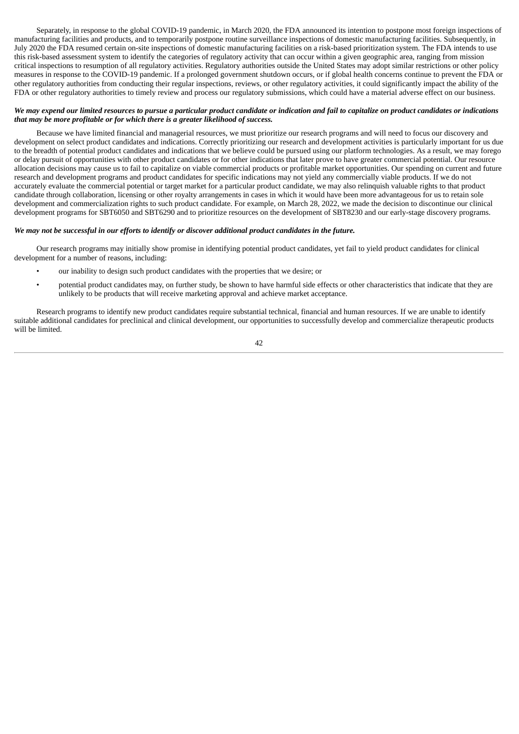Separately, in response to the global COVID-19 pandemic, in March 2020, the FDA announced its intention to postpone most foreign inspections of manufacturing facilities and products, and to temporarily postpone routine surveillance inspections of domestic manufacturing facilities. Subsequently, in July 2020 the FDA resumed certain on-site inspections of domestic manufacturing facilities on a risk-based prioritization system. The FDA intends to use this risk-based assessment system to identify the categories of regulatory activity that can occur within a given geographic area, ranging from mission critical inspections to resumption of all regulatory activities. Regulatory authorities outside the United States may adopt similar restrictions or other policy measures in response to the COVID-19 pandemic. If a prolonged government shutdown occurs, or if global health concerns continue to prevent the FDA or other regulatory authorities from conducting their regular inspections, reviews, or other regulatory activities, it could significantly impact the ability of the FDA or other regulatory authorities to timely review and process our regulatory submissions, which could have a material adverse effect on our business.

# We may expend our limited resources to pursue a particular product candidate or indication and fail to capitalize on product candidates or indications *that may be more profitable or for which there is a greater likelihood of success.*

Because we have limited financial and managerial resources, we must prioritize our research programs and will need to focus our discovery and development on select product candidates and indications. Correctly prioritizing our research and development activities is particularly important for us due to the breadth of potential product candidates and indications that we believe could be pursued using our platform technologies. As a result, we may forego or delay pursuit of opportunities with other product candidates or for other indications that later prove to have greater commercial potential. Our resource allocation decisions may cause us to fail to capitalize on viable commercial products or profitable market opportunities. Our spending on current and future research and development programs and product candidates for specific indications may not yield any commercially viable products. If we do not accurately evaluate the commercial potential or target market for a particular product candidate, we may also relinquish valuable rights to that product candidate through collaboration, licensing or other royalty arrangements in cases in which it would have been more advantageous for us to retain sole development and commercialization rights to such product candidate. For example, on March 28, 2022, we made the decision to discontinue our clinical development programs for SBT6050 and SBT6290 and to prioritize resources on the development of SBT8230 and our early-stage discovery programs.

# We may not be successful in our efforts to identify or discover additional product candidates in the future.

Our research programs may initially show promise in identifying potential product candidates, yet fail to yield product candidates for clinical development for a number of reasons, including:

- our inability to design such product candidates with the properties that we desire; or
- potential product candidates may, on further study, be shown to have harmful side effects or other characteristics that indicate that they are unlikely to be products that will receive marketing approval and achieve market acceptance.

Research programs to identify new product candidates require substantial technical, financial and human resources. If we are unable to identify suitable additional candidates for preclinical and clinical development, our opportunities to successfully develop and commercialize therapeutic products will be limited.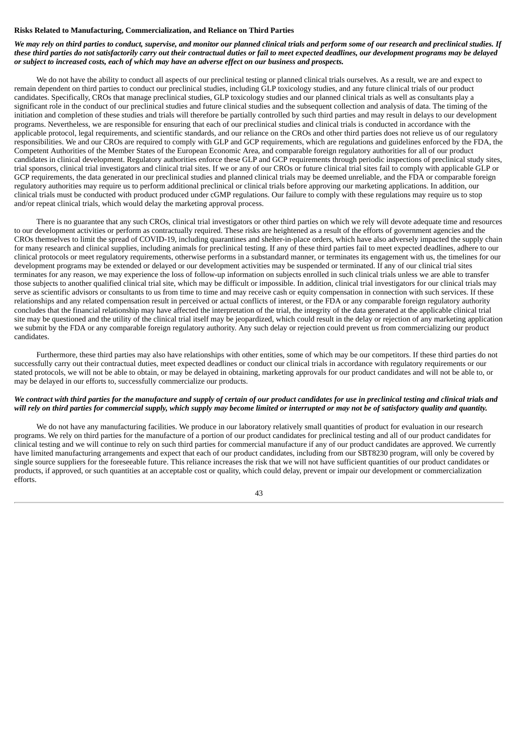#### **Risks Related to Manufacturing, Commercialization, and Reliance on Third Parties**

We may rely on third parties to conduct, supervise, and monitor our planned clinical trials and perform some of our research and preclinical studies. If these third parties do not satisfactorily carry out their contractual duties or fail to meet expected deadlines, our development programs may be delayed or subject to increased costs, each of which may have an adverse effect on our business and prospects.

We do not have the ability to conduct all aspects of our preclinical testing or planned clinical trials ourselves. As a result, we are and expect to remain dependent on third parties to conduct our preclinical studies, including GLP toxicology studies, and any future clinical trials of our product candidates. Specifically, CROs that manage preclinical studies, GLP toxicology studies and our planned clinical trials as well as consultants play a significant role in the conduct of our preclinical studies and future clinical studies and the subsequent collection and analysis of data. The timing of the initiation and completion of these studies and trials will therefore be partially controlled by such third parties and may result in delays to our development programs. Nevertheless, we are responsible for ensuring that each of our preclinical studies and clinical trials is conducted in accordance with the applicable protocol, legal requirements, and scientific standards, and our reliance on the CROs and other third parties does not relieve us of our regulatory responsibilities. We and our CROs are required to comply with GLP and GCP requirements, which are regulations and guidelines enforced by the FDA, the Competent Authorities of the Member States of the European Economic Area, and comparable foreign regulatory authorities for all of our product candidates in clinical development. Regulatory authorities enforce these GLP and GCP requirements through periodic inspections of preclinical study sites, trial sponsors, clinical trial investigators and clinical trial sites. If we or any of our CROs or future clinical trial sites fail to comply with applicable GLP or GCP requirements, the data generated in our preclinical studies and planned clinical trials may be deemed unreliable, and the FDA or comparable foreign regulatory authorities may require us to perform additional preclinical or clinical trials before approving our marketing applications. In addition, our clinical trials must be conducted with product produced under cGMP regulations. Our failure to comply with these regulations may require us to stop and/or repeat clinical trials, which would delay the marketing approval process.

There is no guarantee that any such CROs, clinical trial investigators or other third parties on which we rely will devote adequate time and resources to our development activities or perform as contractually required. These risks are heightened as a result of the efforts of government agencies and the CROs themselves to limit the spread of COVID-19, including quarantines and shelter-in-place orders, which have also adversely impacted the supply chain for many research and clinical supplies, including animals for preclinical testing. If any of these third parties fail to meet expected deadlines, adhere to our clinical protocols or meet regulatory requirements, otherwise performs in a substandard manner, or terminates its engagement with us, the timelines for our development programs may be extended or delayed or our development activities may be suspended or terminated. If any of our clinical trial sites terminates for any reason, we may experience the loss of follow-up information on subjects enrolled in such clinical trials unless we are able to transfer those subjects to another qualified clinical trial site, which may be difficult or impossible. In addition, clinical trial investigators for our clinical trials may serve as scientific advisors or consultants to us from time to time and may receive cash or equity compensation in connection with such services. If these relationships and any related compensation result in perceived or actual conflicts of interest, or the FDA or any comparable foreign regulatory authority concludes that the financial relationship may have affected the interpretation of the trial, the integrity of the data generated at the applicable clinical trial site may be questioned and the utility of the clinical trial itself may be jeopardized, which could result in the delay or rejection of any marketing application we submit by the FDA or any comparable foreign regulatory authority. Any such delay or rejection could prevent us from commercializing our product candidates.

Furthermore, these third parties may also have relationships with other entities, some of which may be our competitors. If these third parties do not successfully carry out their contractual duties, meet expected deadlines or conduct our clinical trials in accordance with regulatory requirements or our stated protocols, we will not be able to obtain, or may be delayed in obtaining, marketing approvals for our product candidates and will not be able to, or may be delayed in our efforts to, successfully commercialize our products.

## We contract with third parties for the manufacture and supply of certain of our product candidates for use in preclinical testina and clinical trials and will rely on third parties for commercial supply, which supply may become limited or interrupted or may not be of satisfactory quality and quantity.

We do not have any manufacturing facilities. We produce in our laboratory relatively small quantities of product for evaluation in our research programs. We rely on third parties for the manufacture of a portion of our product candidates for preclinical testing and all of our product candidates for clinical testing and we will continue to rely on such third parties for commercial manufacture if any of our product candidates are approved. We currently have limited manufacturing arrangements and expect that each of our product candidates, including from our SBT8230 program, will only be covered by single source suppliers for the foreseeable future. This reliance increases the risk that we will not have sufficient quantities of our product candidates or products, if approved, or such quantities at an acceptable cost or quality, which could delay, prevent or impair our development or commercialization efforts.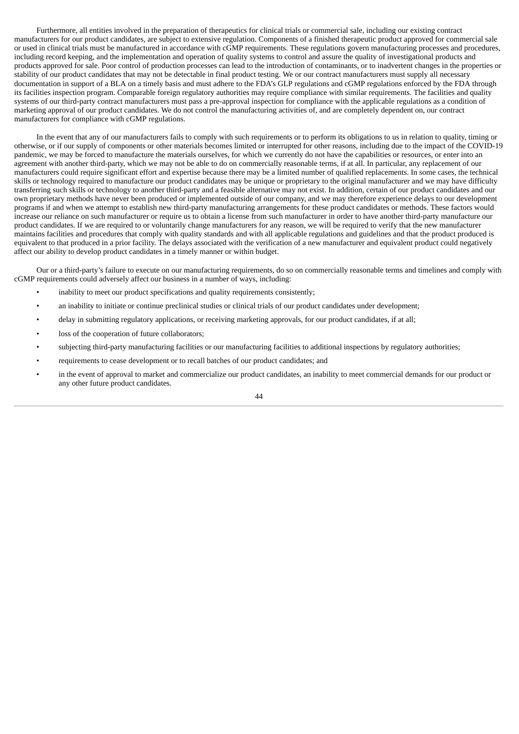Furthermore, all entities involved in the preparation of therapeutics for clinical trials or commercial sale, including our existing contract manufacturers for our product candidates, are subject to extensive regulation. Components of a finished therapeutic product approved for commercial sale or used in clinical trials must be manufactured in accordance with cGMP requirements. These regulations govern manufacturing processes and procedures, including record keeping, and the implementation and operation of quality systems to control and assure the quality of investigational products and products approved for sale. Poor control of production processes can lead to the introduction of contaminants, or to inadvertent changes in the properties or stability of our product candidates that may not be detectable in final product testing. We or our contract manufacturers must supply all necessary documentation in support of a BLA on a timely basis and must adhere to the FDA's GLP regulations and cGMP regulations enforced by the FDA through its facilities inspection program. Comparable foreign regulatory authorities may require compliance with similar requirements. The facilities and quality systems of our third-party contract manufacturers must pass a pre-approval inspection for compliance with the applicable regulations as a condition of marketing approval of our product candidates. We do not control the manufacturing activities of, and are completely dependent on, our contract manufacturers for compliance with cGMP regulations.

In the event that any of our manufacturers fails to comply with such requirements or to perform its obligations to us in relation to quality, timing or otherwise, or if our supply of components or other materials becomes limited or interrupted for other reasons, including due to the impact of the COVID-19 pandemic, we may be forced to manufacture the materials ourselves, for which we currently do not have the capabilities or resources, or enter into an agreement with another third-party, which we may not be able to do on commercially reasonable terms, if at all. In particular, any replacement of our manufacturers could require significant effort and expertise because there may be a limited number of qualified replacements. In some cases, the technical skills or technology required to manufacture our product candidates may be unique or proprietary to the original manufacturer and we may have difficulty transferring such skills or technology to another third-party and a feasible alternative may not exist. In addition, certain of our product candidates and our own proprietary methods have never been produced or implemented outside of our company, and we may therefore experience delays to our development programs if and when we attempt to establish new third-party manufacturing arrangements for these product candidates or methods. These factors would increase our reliance on such manufacturer or require us to obtain a license from such manufacturer in order to have another third-party manufacture our product candidates. If we are required to or voluntarily change manufacturers for any reason, we will be required to verify that the new manufacturer maintains facilities and procedures that comply with quality standards and with all applicable regulations and guidelines and that the product produced is equivalent to that produced in a prior facility. The delays associated with the verification of a new manufacturer and equivalent product could negatively affect our ability to develop product candidates in a timely manner or within budget.

Our or a third-party's failure to execute on our manufacturing requirements, do so on commercially reasonable terms and timelines and comply with cGMP requirements could adversely affect our business in a number of ways, including:

- inability to meet our product specifications and quality requirements consistently;
- an inability to initiate or continue preclinical studies or clinical trials of our product candidates under development;
- delay in submitting regulatory applications, or receiving marketing approvals, for our product candidates, if at all;
- loss of the cooperation of future collaborators:
- subjecting third-party manufacturing facilities or our manufacturing facilities to additional inspections by regulatory authorities;
- requirements to cease development or to recall batches of our product candidates; and
- in the event of approval to market and commercialize our product candidates, an inability to meet commercial demands for our product or any other future product candidates.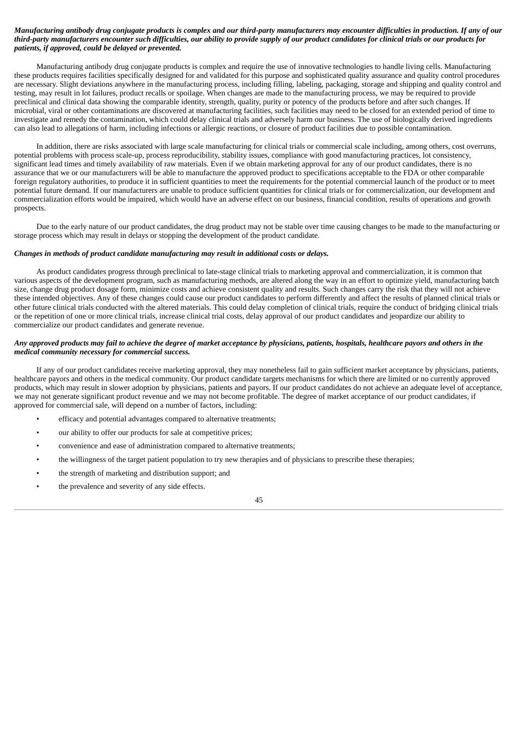# Manufacturing antibody drug conjugate products is complex and our third-party manufacturers may encounter difficulties in production. If any of our third-party manufacturers encounter such difficulties, our ability to provide supply of our product candidates for clinical trials or our products for *patients, if approved, could be delayed or prevented.*

Manufacturing antibody drug conjugate products is complex and require the use of innovative technologies to handle living cells. Manufacturing these products requires facilities specifically designed for and validated for this purpose and sophisticated quality assurance and quality control procedures are necessary. Slight deviations anywhere in the manufacturing process, including filling, labeling, packaging, storage and shipping and quality control and testing, may result in lot failures, product recalls or spoilage. When changes are made to the manufacturing process, we may be required to provide preclinical and clinical data showing the comparable identity, strength, quality, purity or potency of the products before and after such changes. If microbial, viral or other contaminations are discovered at manufacturing facilities, such facilities may need to be closed for an extended period of time to investigate and remedy the contamination, which could delay clinical trials and adversely harm our business. The use of biologically derived ingredients can also lead to allegations of harm, including infections or allergic reactions, or closure of product facilities due to possible contamination.

In addition, there are risks associated with large scale manufacturing for clinical trials or commercial scale including, among others, cost overruns, potential problems with process scale-up, process reproducibility, stability issues, compliance with good manufacturing practices, lot consistency, significant lead times and timely availability of raw materials. Even if we obtain marketing approval for any of our product candidates, there is no assurance that we or our manufacturers will be able to manufacture the approved product to specifications acceptable to the FDA or other comparable foreign regulatory authorities, to produce it in sufficient quantities to meet the requirements for the potential commercial launch of the product or to meet potential future demand. If our manufacturers are unable to produce sufficient quantities for clinical trials or for commercialization, our development and commercialization efforts would be impaired, which would have an adverse effect on our business, financial condition, results of operations and growth prospects.

Due to the early nature of our product candidates, the drug product may not be stable over time causing changes to be made to the manufacturing or storage process which may result in delays or stopping the development of the product candidate.

#### *Changes in methods of product candidate manufacturing may result in additional costs or delays.*

As product candidates progress through preclinical to late-stage clinical trials to marketing approval and commercialization, it is common that various aspects of the development program, such as manufacturing methods, are altered along the way in an effort to optimize yield, manufacturing batch size, change drug product dosage form, minimize costs and achieve consistent quality and results. Such changes carry the risk that they will not achieve these intended objectives. Any of these changes could cause our product candidates to perform differently and affect the results of planned clinical trials or other future clinical trials conducted with the altered materials. This could delay completion of clinical trials, require the conduct of bridging clinical trials or the repetition of one or more clinical trials, increase clinical trial costs, delay approval of our product candidates and jeopardize our ability to commercialize our product candidates and generate revenue.

# Any approved products may fail to achieve the degree of market acceptance by physicians, patients, hospitals, healthcare payors and others in the *medical community necessary for commercial success.*

If any of our product candidates receive marketing approval, they may nonetheless fail to gain sufficient market acceptance by physicians, patients, healthcare payors and others in the medical community. Our product candidate targets mechanisms for which there are limited or no currently approved products, which may result in slower adoption by physicians, patients and payors. If our product candidates do not achieve an adequate level of acceptance, we may not generate significant product revenue and we may not become profitable. The degree of market acceptance of our product candidates, if approved for commercial sale, will depend on a number of factors, including:

- efficacy and potential advantages compared to alternative treatments;
- our ability to offer our products for sale at competitive prices;
- convenience and ease of administration compared to alternative treatments;
- the willingness of the target patient population to try new therapies and of physicians to prescribe these therapies;
- the strength of marketing and distribution support; and
- the prevalence and severity of any side effects.

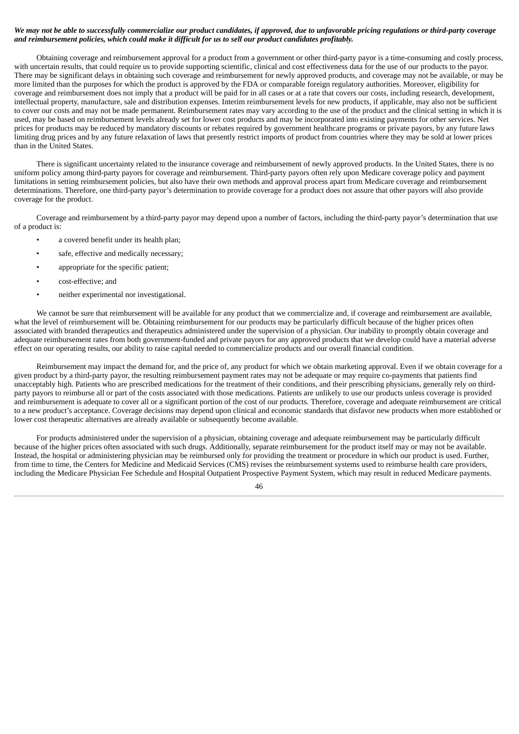# We may not be able to successfully commercialize our product candidates, if approved, due to unfavorable pricing regulations or third-party coverage *and reimbursement policies, which could make it difficult for us to sell our product candidates profitably.*

Obtaining coverage and reimbursement approval for a product from a government or other third-party payor is a time-consuming and costly process, with uncertain results, that could require us to provide supporting scientific, clinical and cost effectiveness data for the use of our products to the payor. There may be significant delays in obtaining such coverage and reimbursement for newly approved products, and coverage may not be available, or may be more limited than the purposes for which the product is approved by the FDA or comparable foreign regulatory authorities. Moreover, eligibility for coverage and reimbursement does not imply that a product will be paid for in all cases or at a rate that covers our costs, including research, development, intellectual property, manufacture, sale and distribution expenses. Interim reimbursement levels for new products, if applicable, may also not be sufficient to cover our costs and may not be made permanent. Reimbursement rates may vary according to the use of the product and the clinical setting in which it is used, may be based on reimbursement levels already set for lower cost products and may be incorporated into existing payments for other services. Net prices for products may be reduced by mandatory discounts or rebates required by government healthcare programs or private payors, by any future laws limiting drug prices and by any future relaxation of laws that presently restrict imports of product from countries where they may be sold at lower prices than in the United States.

There is significant uncertainty related to the insurance coverage and reimbursement of newly approved products. In the United States, there is no uniform policy among third-party payors for coverage and reimbursement. Third-party payors often rely upon Medicare coverage policy and payment limitations in setting reimbursement policies, but also have their own methods and approval process apart from Medicare coverage and reimbursement determinations. Therefore, one third-party payor's determination to provide coverage for a product does not assure that other payors will also provide coverage for the product.

Coverage and reimbursement by a third-party payor may depend upon a number of factors, including the third-party payor's determination that use of a product is:

- a covered benefit under its health plan;
- safe, effective and medically necessary;
- appropriate for the specific patient;
- cost-effective; and
- neither experimental nor investigational.

We cannot be sure that reimbursement will be available for any product that we commercialize and, if coverage and reimbursement are available, what the level of reimbursement will be. Obtaining reimbursement for our products may be particularly difficult because of the higher prices often associated with branded therapeutics and therapeutics administered under the supervision of a physician. Our inability to promptly obtain coverage and adequate reimbursement rates from both government-funded and private payors for any approved products that we develop could have a material adverse effect on our operating results, our ability to raise capital needed to commercialize products and our overall financial condition.

Reimbursement may impact the demand for, and the price of, any product for which we obtain marketing approval. Even if we obtain coverage for a given product by a third-party payor, the resulting reimbursement payment rates may not be adequate or may require co-payments that patients find unacceptably high. Patients who are prescribed medications for the treatment of their conditions, and their prescribing physicians, generally rely on thirdparty payors to reimburse all or part of the costs associated with those medications. Patients are unlikely to use our products unless coverage is provided and reimbursement is adequate to cover all or a significant portion of the cost of our products. Therefore, coverage and adequate reimbursement are critical to a new product's acceptance. Coverage decisions may depend upon clinical and economic standards that disfavor new products when more established or lower cost therapeutic alternatives are already available or subsequently become available.

For products administered under the supervision of a physician, obtaining coverage and adequate reimbursement may be particularly difficult because of the higher prices often associated with such drugs. Additionally, separate reimbursement for the product itself may or may not be available. Instead, the hospital or administering physician may be reimbursed only for providing the treatment or procedure in which our product is used. Further, from time to time, the Centers for Medicine and Medicaid Services (CMS) revises the reimbursement systems used to reimburse health care providers, including the Medicare Physician Fee Schedule and Hospital Outpatient Prospective Payment System, which may result in reduced Medicare payments.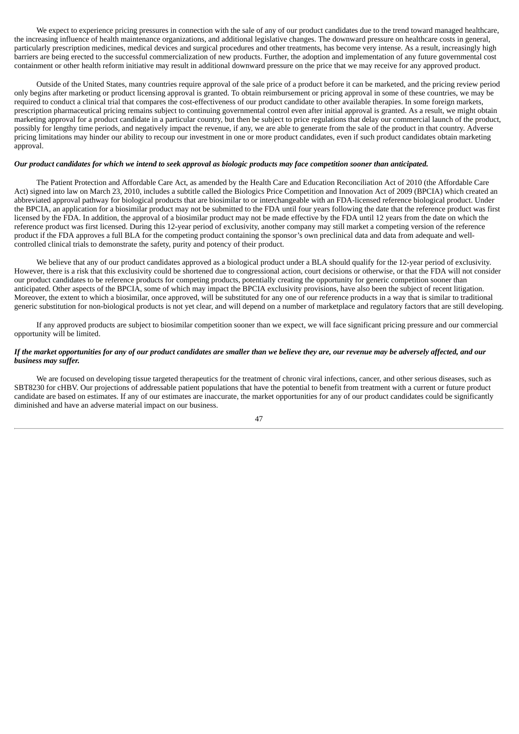We expect to experience pricing pressures in connection with the sale of any of our product candidates due to the trend toward managed healthcare, the increasing influence of health maintenance organizations, and additional legislative changes. The downward pressure on healthcare costs in general, particularly prescription medicines, medical devices and surgical procedures and other treatments, has become very intense. As a result, increasingly high barriers are being erected to the successful commercialization of new products. Further, the adoption and implementation of any future governmental cost containment or other health reform initiative may result in additional downward pressure on the price that we may receive for any approved product.

Outside of the United States, many countries require approval of the sale price of a product before it can be marketed, and the pricing review period only begins after marketing or product licensing approval is granted. To obtain reimbursement or pricing approval in some of these countries, we may be required to conduct a clinical trial that compares the cost-effectiveness of our product candidate to other available therapies. In some foreign markets, prescription pharmaceutical pricing remains subject to continuing governmental control even after initial approval is granted. As a result, we might obtain marketing approval for a product candidate in a particular country, but then be subject to price regulations that delay our commercial launch of the product, possibly for lengthy time periods, and negatively impact the revenue, if any, we are able to generate from the sale of the product in that country. Adverse pricing limitations may hinder our ability to recoup our investment in one or more product candidates, even if such product candidates obtain marketing approval.

## Our product candidates for which we intend to seek approval as biologic products may face competition sooner than anticipated.

The Patient Protection and Affordable Care Act, as amended by the Health Care and Education Reconciliation Act of 2010 (the Affordable Care Act) signed into law on March 23, 2010, includes a subtitle called the Biologics Price Competition and Innovation Act of 2009 (BPCIA) which created an abbreviated approval pathway for biological products that are biosimilar to or interchangeable with an FDA-licensed reference biological product. Under the BPCIA, an application for a biosimilar product may not be submitted to the FDA until four years following the date that the reference product was first licensed by the FDA. In addition, the approval of a biosimilar product may not be made effective by the FDA until 12 years from the date on which the reference product was first licensed. During this 12-year period of exclusivity, another company may still market a competing version of the reference product if the FDA approves a full BLA for the competing product containing the sponsor's own preclinical data and data from adequate and wellcontrolled clinical trials to demonstrate the safety, purity and potency of their product.

We believe that any of our product candidates approved as a biological product under a BLA should qualify for the 12-year period of exclusivity. However, there is a risk that this exclusivity could be shortened due to congressional action, court decisions or otherwise, or that the FDA will not consider our product candidates to be reference products for competing products, potentially creating the opportunity for generic competition sooner than anticipated. Other aspects of the BPCIA, some of which may impact the BPCIA exclusivity provisions, have also been the subject of recent litigation. Moreover, the extent to which a biosimilar, once approved, will be substituted for any one of our reference products in a way that is similar to traditional generic substitution for non-biological products is not yet clear, and will depend on a number of marketplace and regulatory factors that are still developing.

If any approved products are subject to biosimilar competition sooner than we expect, we will face significant pricing pressure and our commercial opportunity will be limited.

#### If the market opportunities for any of our product candidates are smaller than we believe they are, our revenue may be adversely affected, and our *business may suffer.*

We are focused on developing tissue targeted therapeutics for the treatment of chronic viral infections, cancer, and other serious diseases, such as SBT8230 for cHBV. Our projections of addressable patient populations that have the potential to benefit from treatment with a current or future product candidate are based on estimates. If any of our estimates are inaccurate, the market opportunities for any of our product candidates could be significantly diminished and have an adverse material impact on our business.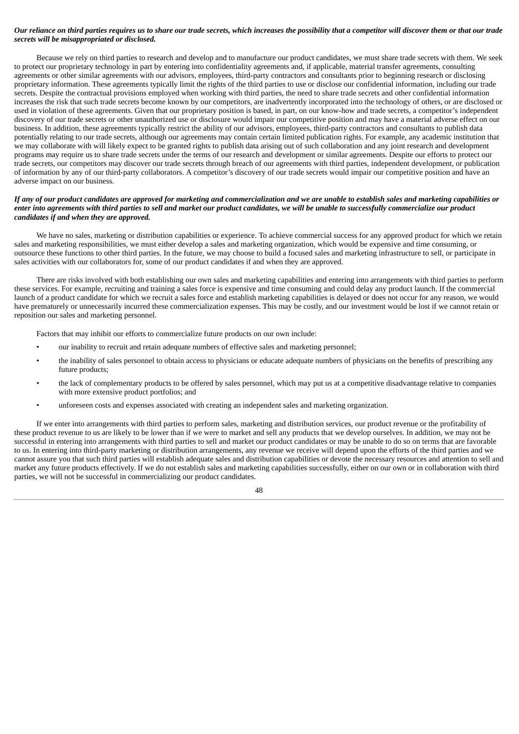# Our reliance on third parties requires us to share our trade secrets, which increases the possibility that a competitor will discover them or that our trade *secrets will be misappropriated or disclosed.*

Because we rely on third parties to research and develop and to manufacture our product candidates, we must share trade secrets with them. We seek to protect our proprietary technology in part by entering into confidentiality agreements and, if applicable, material transfer agreements, consulting agreements or other similar agreements with our advisors, employees, third-party contractors and consultants prior to beginning research or disclosing proprietary information. These agreements typically limit the rights of the third parties to use or disclose our confidential information, including our trade secrets. Despite the contractual provisions employed when working with third parties, the need to share trade secrets and other confidential information increases the risk that such trade secrets become known by our competitors, are inadvertently incorporated into the technology of others, or are disclosed or used in violation of these agreements. Given that our proprietary position is based, in part, on our know-how and trade secrets, a competitor's independent discovery of our trade secrets or other unauthorized use or disclosure would impair our competitive position and may have a material adverse effect on our business. In addition, these agreements typically restrict the ability of our advisors, employees, third-party contractors and consultants to publish data potentially relating to our trade secrets, although our agreements may contain certain limited publication rights. For example, any academic institution that we may collaborate with will likely expect to be granted rights to publish data arising out of such collaboration and any joint research and development programs may require us to share trade secrets under the terms of our research and development or similar agreements. Despite our efforts to protect our trade secrets, our competitors may discover our trade secrets through breach of our agreements with third parties, independent development, or publication of information by any of our third-party collaborators. A competitor's discovery of our trade secrets would impair our competitive position and have an adverse impact on our business.

## If any of our product candidates are approved for marketing and commercialization and we are unable to establish sales and marketing capabilities or enter into agreements with third parties to sell and market our product candidates, we will be unable to successfully commercialize our product *candidates if and when they are approved.*

We have no sales, marketing or distribution capabilities or experience. To achieve commercial success for any approved product for which we retain sales and marketing responsibilities, we must either develop a sales and marketing organization, which would be expensive and time consuming, or outsource these functions to other third parties. In the future, we may choose to build a focused sales and marketing infrastructure to sell, or participate in sales activities with our collaborators for, some of our product candidates if and when they are approved.

There are risks involved with both establishing our own sales and marketing capabilities and entering into arrangements with third parties to perform these services. For example, recruiting and training a sales force is expensive and time consuming and could delay any product launch. If the commercial launch of a product candidate for which we recruit a sales force and establish marketing capabilities is delayed or does not occur for any reason, we would have prematurely or unnecessarily incurred these commercialization expenses. This may be costly, and our investment would be lost if we cannot retain or reposition our sales and marketing personnel.

Factors that may inhibit our efforts to commercialize future products on our own include:

- our inability to recruit and retain adequate numbers of effective sales and marketing personnel;
- the inability of sales personnel to obtain access to physicians or educate adequate numbers of physicians on the benefits of prescribing any future products;
- the lack of complementary products to be offered by sales personnel, which may put us at a competitive disadvantage relative to companies with more extensive product portfolios; and
- unforeseen costs and expenses associated with creating an independent sales and marketing organization.

If we enter into arrangements with third parties to perform sales, marketing and distribution services, our product revenue or the profitability of these product revenue to us are likely to be lower than if we were to market and sell any products that we develop ourselves. In addition, we may not be successful in entering into arrangements with third parties to sell and market our product candidates or may be unable to do so on terms that are favorable to us. In entering into third-party marketing or distribution arrangements, any revenue we receive will depend upon the efforts of the third parties and we cannot assure you that such third parties will establish adequate sales and distribution capabilities or devote the necessary resources and attention to sell and market any future products effectively. If we do not establish sales and marketing capabilities successfully, either on our own or in collaboration with third parties, we will not be successful in commercializing our product candidates.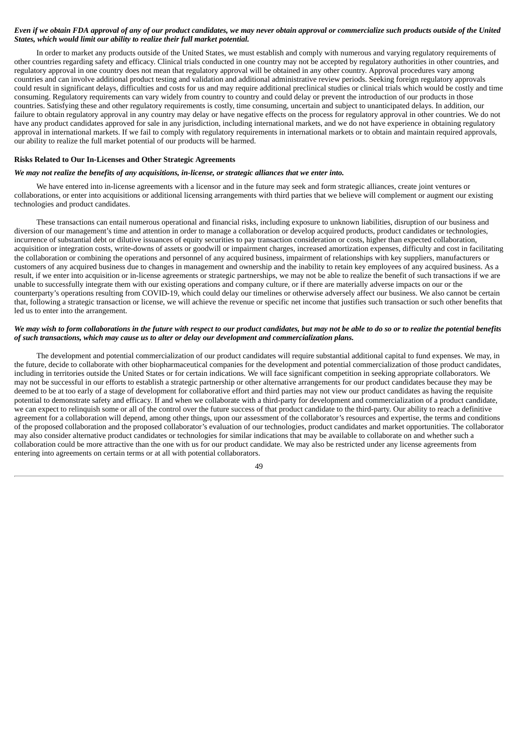# Even if we obtain FDA approval of any of our product candidates, we may never obtain approval or commercialize such products outside of the United *States, which would limit our ability to realize their full market potential.*

In order to market any products outside of the United States, we must establish and comply with numerous and varying regulatory requirements of other countries regarding safety and efficacy. Clinical trials conducted in one country may not be accepted by regulatory authorities in other countries, and regulatory approval in one country does not mean that regulatory approval will be obtained in any other country. Approval procedures vary among countries and can involve additional product testing and validation and additional administrative review periods. Seeking foreign regulatory approvals could result in significant delays, difficulties and costs for us and may require additional preclinical studies or clinical trials which would be costly and time consuming. Regulatory requirements can vary widely from country to country and could delay or prevent the introduction of our products in those countries. Satisfying these and other regulatory requirements is costly, time consuming, uncertain and subject to unanticipated delays. In addition, our failure to obtain regulatory approval in any country may delay or have negative effects on the process for regulatory approval in other countries. We do not have any product candidates approved for sale in any jurisdiction, including international markets, and we do not have experience in obtaining regulatory approval in international markets. If we fail to comply with regulatory requirements in international markets or to obtain and maintain required approvals, our ability to realize the full market potential of our products will be harmed.

# **Risks Related to Our In-Licenses and Other Strategic Agreements**

#### We may not realize the benefits of any acquisitions, in-license, or strategic alliances that we enter into.

We have entered into in-license agreements with a licensor and in the future may seek and form strategic alliances, create joint ventures or collaborations, or enter into acquisitions or additional licensing arrangements with third parties that we believe will complement or augment our existing technologies and product candidates.

These transactions can entail numerous operational and financial risks, including exposure to unknown liabilities, disruption of our business and diversion of our management's time and attention in order to manage a collaboration or develop acquired products, product candidates or technologies, incurrence of substantial debt or dilutive issuances of equity securities to pay transaction consideration or costs, higher than expected collaboration, acquisition or integration costs, write-downs of assets or goodwill or impairment charges, increased amortization expenses, difficulty and cost in facilitating the collaboration or combining the operations and personnel of any acquired business, impairment of relationships with key suppliers, manufacturers or customers of any acquired business due to changes in management and ownership and the inability to retain key employees of any acquired business. As a result, if we enter into acquisition or in-license agreements or strategic partnerships, we may not be able to realize the benefit of such transactions if we are unable to successfully integrate them with our existing operations and company culture, or if there are materially adverse impacts on our or the counterparty's operations resulting from COVID-19, which could delay our timelines or otherwise adversely affect our business. We also cannot be certain that, following a strategic transaction or license, we will achieve the revenue or specific net income that justifies such transaction or such other benefits that led us to enter into the arrangement.

# We may wish to form collaborations in the future with respect to our product candidates, but may not be able to do so or to realize the potential benefits *of such transactions, which may cause us to alter or delay our development and commercialization plans.*

The development and potential commercialization of our product candidates will require substantial additional capital to fund expenses. We may, in the future, decide to collaborate with other biopharmaceutical companies for the development and potential commercialization of those product candidates, including in territories outside the United States or for certain indications. We will face significant competition in seeking appropriate collaborators. We may not be successful in our efforts to establish a strategic partnership or other alternative arrangements for our product candidates because they may be deemed to be at too early of a stage of development for collaborative effort and third parties may not view our product candidates as having the requisite potential to demonstrate safety and efficacy. If and when we collaborate with a third-party for development and commercialization of a product candidate, we can expect to relinquish some or all of the control over the future success of that product candidate to the third-party. Our ability to reach a definitive agreement for a collaboration will depend, among other things, upon our assessment of the collaborator's resources and expertise, the terms and conditions of the proposed collaboration and the proposed collaborator's evaluation of our technologies, product candidates and market opportunities. The collaborator may also consider alternative product candidates or technologies for similar indications that may be available to collaborate on and whether such a collaboration could be more attractive than the one with us for our product candidate. We may also be restricted under any license agreements from entering into agreements on certain terms or at all with potential collaborators.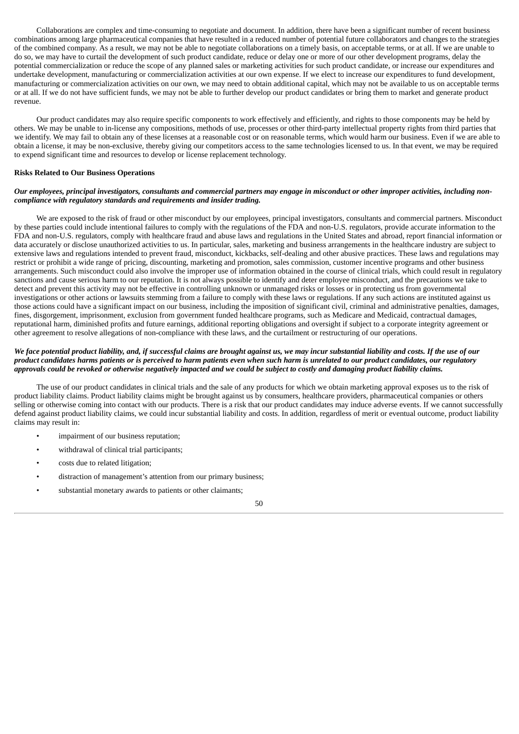Collaborations are complex and time-consuming to negotiate and document. In addition, there have been a significant number of recent business combinations among large pharmaceutical companies that have resulted in a reduced number of potential future collaborators and changes to the strategies of the combined company. As a result, we may not be able to negotiate collaborations on a timely basis, on acceptable terms, or at all. If we are unable to do so, we may have to curtail the development of such product candidate, reduce or delay one or more of our other development programs, delay the potential commercialization or reduce the scope of any planned sales or marketing activities for such product candidate, or increase our expenditures and undertake development, manufacturing or commercialization activities at our own expense. If we elect to increase our expenditures to fund development, manufacturing or commercialization activities on our own, we may need to obtain additional capital, which may not be available to us on acceptable terms or at all. If we do not have sufficient funds, we may not be able to further develop our product candidates or bring them to market and generate product revenue.

Our product candidates may also require specific components to work effectively and efficiently, and rights to those components may be held by others. We may be unable to in-license any compositions, methods of use, processes or other third-party intellectual property rights from third parties that we identify. We may fail to obtain any of these licenses at a reasonable cost or on reasonable terms, which would harm our business. Even if we are able to obtain a license, it may be non-exclusive, thereby giving our competitors access to the same technologies licensed to us. In that event, we may be required to expend significant time and resources to develop or license replacement technology.

#### **Risks Related to Our Business Operations**

#### Our employees, principal investigators, consultants and commercial partners may engage in misconduct or other improper activities, including non*compliance with regulatory standards and requirements and insider trading.*

We are exposed to the risk of fraud or other misconduct by our employees, principal investigators, consultants and commercial partners. Misconduct by these parties could include intentional failures to comply with the regulations of the FDA and non-U.S. regulators, provide accurate information to the FDA and non-U.S. regulators, comply with healthcare fraud and abuse laws and regulations in the United States and abroad, report financial information or data accurately or disclose unauthorized activities to us. In particular, sales, marketing and business arrangements in the healthcare industry are subject to extensive laws and regulations intended to prevent fraud, misconduct, kickbacks, self-dealing and other abusive practices. These laws and regulations may restrict or prohibit a wide range of pricing, discounting, marketing and promotion, sales commission, customer incentive programs and other business arrangements. Such misconduct could also involve the improper use of information obtained in the course of clinical trials, which could result in regulatory sanctions and cause serious harm to our reputation. It is not always possible to identify and deter employee misconduct, and the precautions we take to detect and prevent this activity may not be effective in controlling unknown or unmanaged risks or losses or in protecting us from governmental investigations or other actions or lawsuits stemming from a failure to comply with these laws or regulations. If any such actions are instituted against us those actions could have a significant impact on our business, including the imposition of significant civil, criminal and administrative penalties, damages, fines, disgorgement, imprisonment, exclusion from government funded healthcare programs, such as Medicare and Medicaid, contractual damages, reputational harm, diminished profits and future earnings, additional reporting obligations and oversight if subject to a corporate integrity agreement or other agreement to resolve allegations of non-compliance with these laws, and the curtailment or restructuring of our operations.

# We face potential product liability, and, if successful claims are brought against us, we may incur substantial liability and costs. If the use of our product candidates harms patients or is perceived to harm patients even when such harm is unrelated to our product candidates, our regulatory approvals could be revoked or otherwise negatively impacted and we could be subject to costly and damaging product ligbility claims.

The use of our product candidates in clinical trials and the sale of any products for which we obtain marketing approval exposes us to the risk of product liability claims. Product liability claims might be brought against us by consumers, healthcare providers, pharmaceutical companies or others selling or otherwise coming into contact with our products. There is a risk that our product candidates may induce adverse events. If we cannot successfully defend against product liability claims, we could incur substantial liability and costs. In addition, regardless of merit or eventual outcome, product liability claims may result in:

- impairment of our business reputation;
- withdrawal of clinical trial participants;
- costs due to related litigation;
- distraction of management's attention from our primary business;
- substantial monetary awards to patients or other claimants;

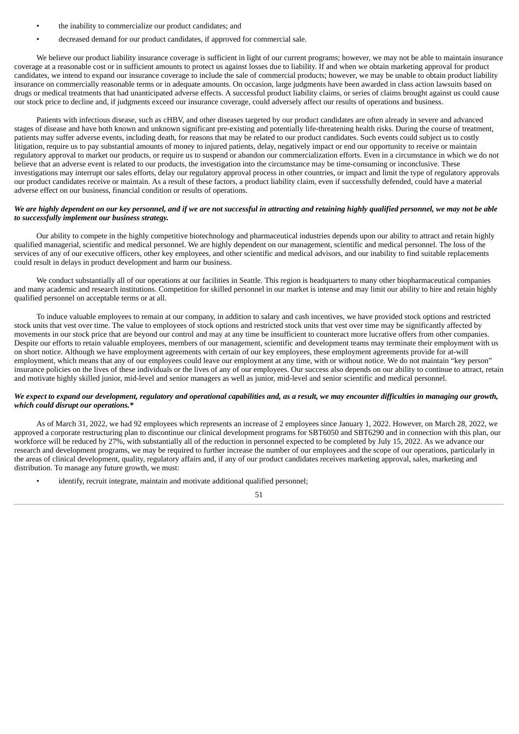- the inability to commercialize our product candidates; and
- decreased demand for our product candidates, if approved for commercial sale.

We believe our product liability insurance coverage is sufficient in light of our current programs; however, we may not be able to maintain insurance coverage at a reasonable cost or in sufficient amounts to protect us against losses due to liability. If and when we obtain marketing approval for product candidates, we intend to expand our insurance coverage to include the sale of commercial products; however, we may be unable to obtain product liability insurance on commercially reasonable terms or in adequate amounts. On occasion, large judgments have been awarded in class action lawsuits based on drugs or medical treatments that had unanticipated adverse effects. A successful product liability claims, or series of claims brought against us could cause our stock price to decline and, if judgments exceed our insurance coverage, could adversely affect our results of operations and business.

Patients with infectious disease, such as cHBV, and other diseases targeted by our product candidates are often already in severe and advanced stages of disease and have both known and unknown significant pre-existing and potentially life-threatening health risks. During the course of treatment, patients may suffer adverse events, including death, for reasons that may be related to our product candidates. Such events could subject us to costly litigation, require us to pay substantial amounts of money to injured patients, delay, negatively impact or end our opportunity to receive or maintain regulatory approval to market our products, or require us to suspend or abandon our commercialization efforts. Even in a circumstance in which we do not believe that an adverse event is related to our products, the investigation into the circumstance may be time-consuming or inconclusive. These investigations may interrupt our sales efforts, delay our regulatory approval process in other countries, or impact and limit the type of regulatory approvals our product candidates receive or maintain. As a result of these factors, a product liability claim, even if successfully defended, could have a material adverse effect on our business, financial condition or results of operations.

## We are highly dependent on our key personnel, and if we are not successful in attracting and retaining highly qualified personnel, we may not be able *to successfully implement our business strategy.*

Our ability to compete in the highly competitive biotechnology and pharmaceutical industries depends upon our ability to attract and retain highly qualified managerial, scientific and medical personnel. We are highly dependent on our management, scientific and medical personnel. The loss of the services of any of our executive officers, other key employees, and other scientific and medical advisors, and our inability to find suitable replacements could result in delays in product development and harm our business.

We conduct substantially all of our operations at our facilities in Seattle. This region is headquarters to many other biopharmaceutical companies and many academic and research institutions. Competition for skilled personnel in our market is intense and may limit our ability to hire and retain highly qualified personnel on acceptable terms or at all.

To induce valuable employees to remain at our company, in addition to salary and cash incentives, we have provided stock options and restricted stock units that vest over time. The value to employees of stock options and restricted stock units that vest over time may be significantly affected by movements in our stock price that are beyond our control and may at any time be insufficient to counteract more lucrative offers from other companies. Despite our efforts to retain valuable employees, members of our management, scientific and development teams may terminate their employment with us on short notice. Although we have employment agreements with certain of our key employees, these employment agreements provide for at-will employment, which means that any of our employees could leave our employment at any time, with or without notice. We do not maintain "key person" insurance policies on the lives of these individuals or the lives of any of our employees. Our success also depends on our ability to continue to attract, retain and motivate highly skilled junior, mid-level and senior managers as well as junior, mid-level and senior scientific and medical personnel.

# We expect to expand our development, requiatory and operational capabilities and, as a result, we may encounter difficulties in managing our growth, *which could disrupt our operations.\**

As of March 31, 2022, we had 92 employees which represents an increase of 2 employees since January 1, 2022. However, on March 28, 2022, we approved a corporate restructuring plan to discontinue our clinical development programs for SBT6050 and SBT6290 and in connection with this plan, our workforce will be reduced by 27%, with substantially all of the reduction in personnel expected to be completed by July 15, 2022. As we advance our research and development programs, we may be required to further increase the number of our employees and the scope of our operations, particularly in the areas of clinical development, quality, regulatory affairs and, if any of our product candidates receives marketing approval, sales, marketing and distribution. To manage any future growth, we must:

• identify, recruit integrate, maintain and motivate additional qualified personnel;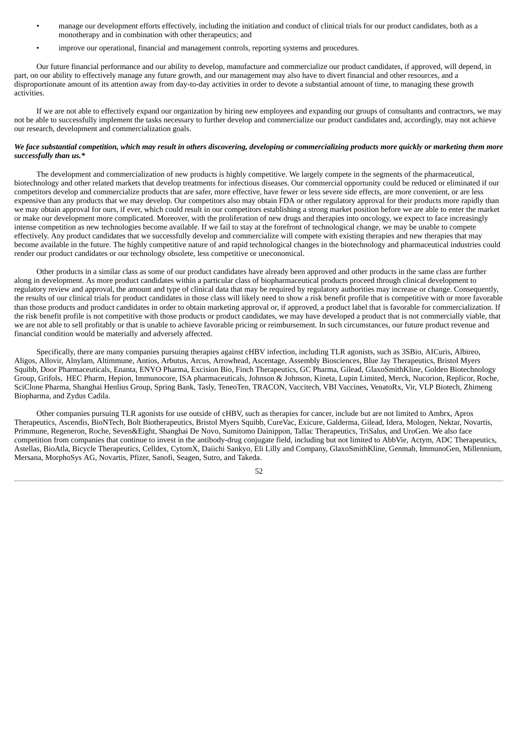- manage our development efforts effectively, including the initiation and conduct of clinical trials for our product candidates, both as a monotherapy and in combination with other therapeutics; and
- improve our operational, financial and management controls, reporting systems and procedures.

Our future financial performance and our ability to develop, manufacture and commercialize our product candidates, if approved, will depend, in part, on our ability to effectively manage any future growth, and our management may also have to divert financial and other resources, and a disproportionate amount of its attention away from day-to-day activities in order to devote a substantial amount of time, to managing these growth activities.

If we are not able to effectively expand our organization by hiring new employees and expanding our groups of consultants and contractors, we may not be able to successfully implement the tasks necessary to further develop and commercialize our product candidates and, accordingly, may not achieve our research, development and commercialization goals.

# We face substantial competition, which may result in others discovering, developing or commercializing products more quickly or marketing them more *successfully than us.\**

The development and commercialization of new products is highly competitive. We largely compete in the segments of the pharmaceutical, biotechnology and other related markets that develop treatments for infectious diseases. Our commercial opportunity could be reduced or eliminated if our competitors develop and commercialize products that are safer, more effective, have fewer or less severe side effects, are more convenient, or are less expensive than any products that we may develop. Our competitors also may obtain FDA or other regulatory approval for their products more rapidly than we may obtain approval for ours, if ever, which could result in our competitors establishing a strong market position before we are able to enter the market or make our development more complicated. Moreover, with the proliferation of new drugs and therapies into oncology, we expect to face increasingly intense competition as new technologies become available. If we fail to stay at the forefront of technological change, we may be unable to compete effectively. Any product candidates that we successfully develop and commercialize will compete with existing therapies and new therapies that may become available in the future. The highly competitive nature of and rapid technological changes in the biotechnology and pharmaceutical industries could render our product candidates or our technology obsolete, less competitive or uneconomical.

Other products in a similar class as some of our product candidates have already been approved and other products in the same class are further along in development. As more product candidates within a particular class of biopharmaceutical products proceed through clinical development to regulatory review and approval, the amount and type of clinical data that may be required by regulatory authorities may increase or change. Consequently, the results of our clinical trials for product candidates in those class will likely need to show a risk benefit profile that is competitive with or more favorable than those products and product candidates in order to obtain marketing approval or, if approved, a product label that is favorable for commercialization. If the risk benefit profile is not competitive with those products or product candidates, we may have developed a product that is not commercially viable, that we are not able to sell profitably or that is unable to achieve favorable pricing or reimbursement. In such circumstances, our future product revenue and financial condition would be materially and adversely affected.

Specifically, there are many companies pursuing therapies against cHBV infection, including TLR agonists, such as 3SBio, AICuris, Albireo, Aligos, Allovir, Alnylam, Altimmune, Antios, Arbutus, Arcus, Arrowhead, Ascentage, Assembly Biosciences, Blue Jay Therapeutics, Bristol Myers Squibb, Door Pharmaceuticals, Enanta, ENYO Pharma, Excision Bio, Finch Therapeutics, GC Pharma, Gilead, GlaxoSmithKline, Golden Biotechnology Group, Grifols, HEC Pharm, Hepion, Immunocore, ISA pharmaceuticals, Johnson & Johnson, Kineta, Lupin Limited, Merck, Nucorion, Replicor, Roche, SciClone Pharma, Shanghai Henlius Group, Spring Bank, Tasly, TeneoTen, TRACON, Vaccitech, VBI Vaccines, VenatoRx, Vir, VLP Biotech, Zhimeng Biopharma, and Zydus Cadila.

Other companies pursuing TLR agonists for use outside of cHBV, such as therapies for cancer, include but are not limited to Ambrx, Apros Therapeutics, Ascendis, BioNTech, Bolt Biotherapeutics, Bristol Myers Squibb, CureVac, Exicure, Galderma, Gilead, Idera, Mologen, Nektar, Novartis, Primmune, Regeneron, Roche, Seven&Eight, Shanghai De Novo, Sumitomo Dainippon, Tallac Therapeutics, TriSalus, and UroGen. We also face competition from companies that continue to invest in the antibody-drug conjugate field, including but not limited to AbbVie, Actym, ADC Therapeutics, Astellas, BioAtla, Bicycle Therapeutics, Celldex, CytomX, Daiichi Sankyo, Eli Lilly and Company, GlaxoSmithKline, Genmab, ImmunoGen, Millennium, Mersana, MorphoSys AG, Novartis, Pfizer, Sanofi, Seagen, Sutro, and Takeda.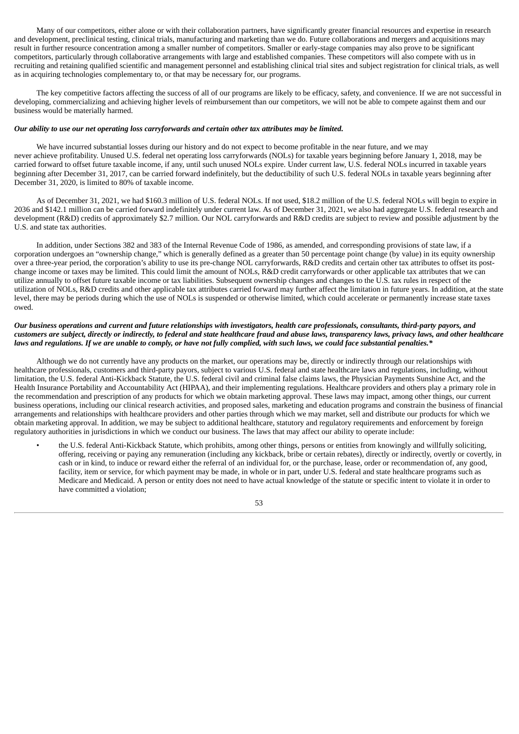Many of our competitors, either alone or with their collaboration partners, have significantly greater financial resources and expertise in research and development, preclinical testing, clinical trials, manufacturing and marketing than we do. Future collaborations and mergers and acquisitions may result in further resource concentration among a smaller number of competitors. Smaller or early-stage companies may also prove to be significant competitors, particularly through collaborative arrangements with large and established companies. These competitors will also compete with us in recruiting and retaining qualified scientific and management personnel and establishing clinical trial sites and subject registration for clinical trials, as well as in acquiring technologies complementary to, or that may be necessary for, our programs.

The key competitive factors affecting the success of all of our programs are likely to be efficacy, safety, and convenience. If we are not successful in developing, commercializing and achieving higher levels of reimbursement than our competitors, we will not be able to compete against them and our business would be materially harmed.

#### *Our ability to use our net operating loss carryforwards and certain other tax attributes may be limited.*

We have incurred substantial losses during our history and do not expect to become profitable in the near future, and we may never achieve profitability. Unused U.S. federal net operating loss carryforwards (NOLs) for taxable years beginning before January 1, 2018, may be carried forward to offset future taxable income, if any, until such unused NOLs expire. Under current law, U.S. federal NOLs incurred in taxable years beginning after December 31, 2017, can be carried forward indefinitely, but the deductibility of such U.S. federal NOLs in taxable years beginning after December 31, 2020, is limited to 80% of taxable income.

As of December 31, 2021, we had \$160.3 million of U.S. federal NOLs. If not used, \$18.2 million of the U.S. federal NOLs will begin to expire in 2036 and \$142.1 million can be carried forward indefinitely under current law. As of December 31, 2021, we also had aggregate U.S. federal research and development (R&D) credits of approximately \$2.7 million. Our NOL carryforwards and R&D credits are subject to review and possible adjustment by the U.S. and state tax authorities.

In addition, under Sections 382 and 383 of the Internal Revenue Code of 1986, as amended, and corresponding provisions of state law, if a corporation undergoes an "ownership change," which is generally defined as a greater than 50 percentage point change (by value) in its equity ownership over a three-year period, the corporation's ability to use its pre-change NOL carryforwards, R&D credits and certain other tax attributes to offset its postchange income or taxes may be limited. This could limit the amount of NOLs, R&D credit carryforwards or other applicable tax attributes that we can utilize annually to offset future taxable income or tax liabilities. Subsequent ownership changes and changes to the U.S. tax rules in respect of the utilization of NOLs, R&D credits and other applicable tax attributes carried forward may further affect the limitation in future years. In addition, at the state level, there may be periods during which the use of NOLs is suspended or otherwise limited, which could accelerate or permanently increase state taxes owed.

# Our business operations and current and future relationships with investigators, health care professionals, consultants, third-party payors, and customers are subject, directly or indirectly, to federal and state healthcare fraud and abuse laws, transparency laws, privacy laws, and other healthcare laws and regulations. If we are unable to comply, or have not fully complied, with such laws, we could face substantial penalties.\*

Although we do not currently have any products on the market, our operations may be, directly or indirectly through our relationships with healthcare professionals, customers and third-party payors, subject to various U.S. federal and state healthcare laws and regulations, including, without limitation, the U.S. federal Anti-Kickback Statute, the U.S. federal civil and criminal false claims laws, the Physician Payments Sunshine Act, and the Health Insurance Portability and Accountability Act (HIPAA), and their implementing regulations. Healthcare providers and others play a primary role in the recommendation and prescription of any products for which we obtain marketing approval. These laws may impact, among other things, our current business operations, including our clinical research activities, and proposed sales, marketing and education programs and constrain the business of financial arrangements and relationships with healthcare providers and other parties through which we may market, sell and distribute our products for which we obtain marketing approval. In addition, we may be subject to additional healthcare, statutory and regulatory requirements and enforcement by foreign regulatory authorities in jurisdictions in which we conduct our business. The laws that may affect our ability to operate include:

• the U.S. federal Anti-Kickback Statute, which prohibits, among other things, persons or entities from knowingly and willfully soliciting, offering, receiving or paying any remuneration (including any kickback, bribe or certain rebates), directly or indirectly, overtly or covertly, in cash or in kind, to induce or reward either the referral of an individual for, or the purchase, lease, order or recommendation of, any good, facility, item or service, for which payment may be made, in whole or in part, under U.S. federal and state healthcare programs such as Medicare and Medicaid. A person or entity does not need to have actual knowledge of the statute or specific intent to violate it in order to have committed a violation;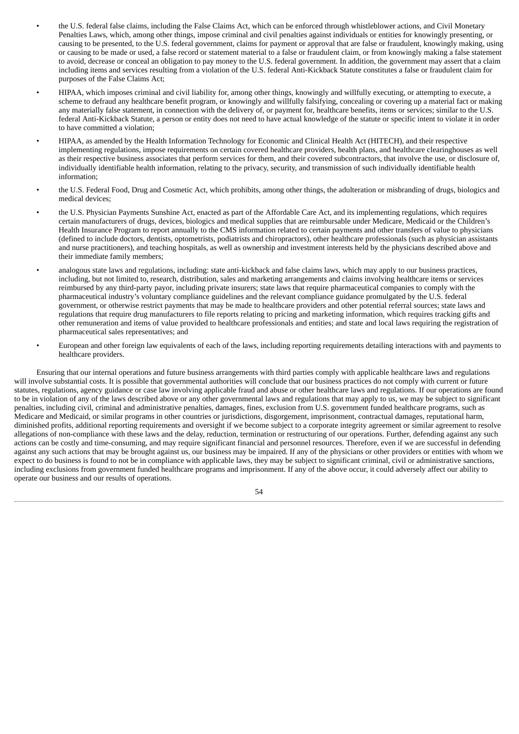- the U.S. federal false claims, including the False Claims Act, which can be enforced through whistleblower actions, and Civil Monetary Penalties Laws, which, among other things, impose criminal and civil penalties against individuals or entities for knowingly presenting, or causing to be presented, to the U.S. federal government, claims for payment or approval that are false or fraudulent, knowingly making, using or causing to be made or used, a false record or statement material to a false or fraudulent claim, or from knowingly making a false statement to avoid, decrease or conceal an obligation to pay money to the U.S. federal government. In addition, the government may assert that a claim including items and services resulting from a violation of the U.S. federal Anti-Kickback Statute constitutes a false or fraudulent claim for purposes of the False Claims Act;
- HIPAA, which imposes criminal and civil liability for, among other things, knowingly and willfully executing, or attempting to execute, a scheme to defraud any healthcare benefit program, or knowingly and willfully falsifying, concealing or covering up a material fact or making any materially false statement, in connection with the delivery of, or payment for, healthcare benefits, items or services; similar to the U.S. federal Anti-Kickback Statute, a person or entity does not need to have actual knowledge of the statute or specific intent to violate it in order to have committed a violation;
- HIPAA, as amended by the Health Information Technology for Economic and Clinical Health Act (HITECH), and their respective implementing regulations, impose requirements on certain covered healthcare providers, health plans, and healthcare clearinghouses as well as their respective business associates that perform services for them, and their covered subcontractors, that involve the use, or disclosure of, individually identifiable health information, relating to the privacy, security, and transmission of such individually identifiable health information;
- the U.S. Federal Food, Drug and Cosmetic Act, which prohibits, among other things, the adulteration or misbranding of drugs, biologics and medical devices;
- the U.S. Physician Payments Sunshine Act, enacted as part of the Affordable Care Act, and its implementing regulations, which requires certain manufacturers of drugs, devices, biologics and medical supplies that are reimbursable under Medicare, Medicaid or the Children's Health Insurance Program to report annually to the CMS information related to certain payments and other transfers of value to physicians (defined to include doctors, dentists, optometrists, podiatrists and chiropractors), other healthcare professionals (such as physician assistants and nurse practitioners), and teaching hospitals, as well as ownership and investment interests held by the physicians described above and their immediate family members;
- analogous state laws and regulations, including: state anti-kickback and false claims laws, which may apply to our business practices, including, but not limited to, research, distribution, sales and marketing arrangements and claims involving healthcare items or services reimbursed by any third-party payor, including private insurers; state laws that require pharmaceutical companies to comply with the pharmaceutical industry's voluntary compliance guidelines and the relevant compliance guidance promulgated by the U.S. federal government, or otherwise restrict payments that may be made to healthcare providers and other potential referral sources; state laws and regulations that require drug manufacturers to file reports relating to pricing and marketing information, which requires tracking gifts and other remuneration and items of value provided to healthcare professionals and entities; and state and local laws requiring the registration of pharmaceutical sales representatives; and
- European and other foreign law equivalents of each of the laws, including reporting requirements detailing interactions with and payments to healthcare providers.

Ensuring that our internal operations and future business arrangements with third parties comply with applicable healthcare laws and regulations will involve substantial costs. It is possible that governmental authorities will conclude that our business practices do not comply with current or future statutes, regulations, agency guidance or case law involving applicable fraud and abuse or other healthcare laws and regulations. If our operations are found to be in violation of any of the laws described above or any other governmental laws and regulations that may apply to us, we may be subject to significant penalties, including civil, criminal and administrative penalties, damages, fines, exclusion from U.S. government funded healthcare programs, such as Medicare and Medicaid, or similar programs in other countries or jurisdictions, disgorgement, imprisonment, contractual damages, reputational harm, diminished profits, additional reporting requirements and oversight if we become subject to a corporate integrity agreement or similar agreement to resolve allegations of non-compliance with these laws and the delay, reduction, termination or restructuring of our operations. Further, defending against any such actions can be costly and time-consuming, and may require significant financial and personnel resources. Therefore, even if we are successful in defending against any such actions that may be brought against us, our business may be impaired. If any of the physicians or other providers or entities with whom we expect to do business is found to not be in compliance with applicable laws, they may be subject to significant criminal, civil or administrative sanctions, including exclusions from government funded healthcare programs and imprisonment. If any of the above occur, it could adversely affect our ability to operate our business and our results of operations.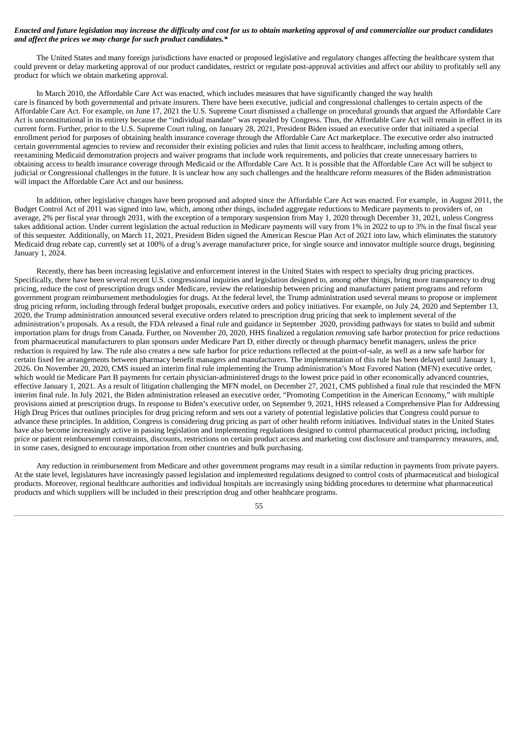### Enacted and future legislation may increase the difficulty and cost for us to obtain marketing approval of and commercialize our product candidates *and affect the prices we may charge for such product candidates.\**

The United States and many foreign jurisdictions have enacted or proposed legislative and regulatory changes affecting the healthcare system that could prevent or delay marketing approval of our product candidates, restrict or regulate post-approval activities and affect our ability to profitably sell any product for which we obtain marketing approval.

In March 2010, the Affordable Care Act was enacted, which includes measures that have significantly changed the way health care is financed by both governmental and private insurers. There have been executive, judicial and congressional challenges to certain aspects of the Affordable Care Act. For example, on June 17, 2021 the U.S. Supreme Court dismissed a challenge on procedural grounds that argued the Affordable Care Act is unconstitutional in its entirety because the "individual mandate" was repealed by Congress. Thus, the Affordable Care Act will remain in effect in its current form. Further, prior to the U.S. Supreme Court ruling, on January 28, 2021, President Biden issued an executive order that initiated a special enrollment period for purposes of obtaining health insurance coverage through the Affordable Care Act marketplace. The executive order also instructed certain governmental agencies to review and reconsider their existing policies and rules that limit access to healthcare, including among others, reexamining Medicaid demonstration projects and waiver programs that include work requirements, and policies that create unnecessary barriers to obtaining access to health insurance coverage through Medicaid or the Affordable Care Act. It is possible that the Affordable Care Act will be subject to judicial or Congressional challenges in the future. It is unclear how any such challenges and the healthcare reform measures of the Biden administration will impact the Affordable Care Act and our business.

In addition, other legislative changes have been proposed and adopted since the Affordable Care Act was enacted. For example, in August 2011, the Budget Control Act of 2011 was signed into law, which, among other things, included aggregate reductions to Medicare payments to providers of, on average, 2% per fiscal year through 2031, with the exception of a temporary suspension from May 1, 2020 through December 31, 2021, unless Congress takes additional action. Under current legislation the actual reduction in Medicare payments will vary from 1% in 2022 to up to 3% in the final fiscal year of this sequester. Additionally, on March 11, 2021, President Biden signed the American Rescue Plan Act of 2021 into law, which eliminates the statutory Medicaid drug rebate cap, currently set at 100% of a drug's average manufacturer price, for single source and innovator multiple source drugs, beginning January 1, 2024.

Recently, there has been increasing legislative and enforcement interest in the United States with respect to specialty drug pricing practices. Specifically, there have been several recent U.S. congressional inquiries and legislation designed to, among other things, bring more transparency to drug pricing, reduce the cost of prescription drugs under Medicare, review the relationship between pricing and manufacturer patient programs and reform government program reimbursement methodologies for drugs. At the federal level, the Trump administration used several means to propose or implement drug pricing reform, including through federal budget proposals, executive orders and policy initiatives. For example, on July 24, 2020 and September 13, 2020, the Trump administration announced several executive orders related to prescription drug pricing that seek to implement several of the administration's proposals. As a result, the FDA released a final rule and guidance in September 2020, providing pathways for states to build and submit importation plans for drugs from Canada. Further, on November 20, 2020, HHS finalized a regulation removing safe harbor protection for price reductions from pharmaceutical manufacturers to plan sponsors under Medicare Part D, either directly or through pharmacy benefit managers, unless the price reduction is required by law. The rule also creates a new safe harbor for price reductions reflected at the point-of-sale, as well as a new safe harbor for certain fixed fee arrangements between pharmacy benefit managers and manufacturers. The implementation of this rule has been delayed until January 1, 2026. On November 20, 2020, CMS issued an interim final rule implementing the Trump administration's Most Favored Nation (MFN) executive order, which would tie Medicare Part B payments for certain physician-administered drugs to the lowest price paid in other economically advanced countries, effective January 1, 2021. As a result of litigation challenging the MFN model, on December 27, 2021, CMS published a final rule that rescinded the MFN interim final rule. In July 2021, the Biden administration released an executive order, "Promoting Competition in the American Economy," with multiple provisions aimed at prescription drugs. In response to Biden's executive order, on September 9, 2021, HHS released a Comprehensive Plan for Addressing High Drug Prices that outlines principles for drug pricing reform and sets out a variety of potential legislative policies that Congress could pursue to advance these principles. In addition, Congress is considering drug pricing as part of other health reform initiatives. Individual states in the United States have also become increasingly active in passing legislation and implementing regulations designed to control pharmaceutical product pricing, including price or patient reimbursement constraints, discounts, restrictions on certain product access and marketing cost disclosure and transparency measures, and, in some cases, designed to encourage importation from other countries and bulk purchasing.

Any reduction in reimbursement from Medicare and other government programs may result in a similar reduction in payments from private payers. At the state level, legislatures have increasingly passed legislation and implemented regulations designed to control costs of pharmaceutical and biological products. Moreover, regional healthcare authorities and individual hospitals are increasingly using bidding procedures to determine what pharmaceutical products and which suppliers will be included in their prescription drug and other healthcare programs.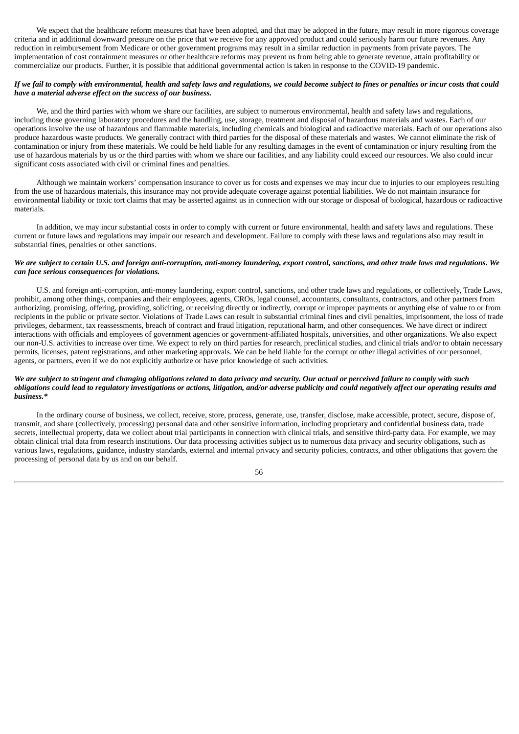We expect that the healthcare reform measures that have been adopted, and that may be adopted in the future, may result in more rigorous coverage criteria and in additional downward pressure on the price that we receive for any approved product and could seriously harm our future revenues. Any reduction in reimbursement from Medicare or other government programs may result in a similar reduction in payments from private payors. The implementation of cost containment measures or other healthcare reforms may prevent us from being able to generate revenue, attain profitability or commercialize our products. Further, it is possible that additional governmental action is taken in response to the COVID-19 pandemic.

# If we fail to comply with environmental, health and safety laws and regulations, we could become subject to fines or penalties or incur costs that could *have a material adverse effect on the success of our business.*

We, and the third parties with whom we share our facilities, are subject to numerous environmental, health and safety laws and regulations, including those governing laboratory procedures and the handling, use, storage, treatment and disposal of hazardous materials and wastes. Each of our operations involve the use of hazardous and flammable materials, including chemicals and biological and radioactive materials. Each of our operations also produce hazardous waste products. We generally contract with third parties for the disposal of these materials and wastes. We cannot eliminate the risk of contamination or injury from these materials. We could be held liable for any resulting damages in the event of contamination or injury resulting from the use of hazardous materials by us or the third parties with whom we share our facilities, and any liability could exceed our resources. We also could incur significant costs associated with civil or criminal fines and penalties.

Although we maintain workers' compensation insurance to cover us for costs and expenses we may incur due to injuries to our employees resulting from the use of hazardous materials, this insurance may not provide adequate coverage against potential liabilities. We do not maintain insurance for environmental liability or toxic tort claims that may be asserted against us in connection with our storage or disposal of biological, hazardous or radioactive materials.

In addition, we may incur substantial costs in order to comply with current or future environmental, health and safety laws and regulations. These current or future laws and regulations may impair our research and development. Failure to comply with these laws and regulations also may result in substantial fines, penalties or other sanctions.

# We are subject to certain U.S. and foreign anti-corruption, anti-money laundering, export control, sanctions, and other trade laws and regulations. We *can face serious consequences for violations.*

U.S. and foreign anti-corruption, anti-money laundering, export control, sanctions, and other trade laws and regulations, or collectively, Trade Laws, prohibit, among other things, companies and their employees, agents, CROs, legal counsel, accountants, consultants, contractors, and other partners from authorizing, promising, offering, providing, soliciting, or receiving directly or indirectly, corrupt or improper payments or anything else of value to or from recipients in the public or private sector. Violations of Trade Laws can result in substantial criminal fines and civil penalties, imprisonment, the loss of trade privileges, debarment, tax reassessments, breach of contract and fraud litigation, reputational harm, and other consequences. We have direct or indirect interactions with officials and employees of government agencies or government-affiliated hospitals, universities, and other organizations. We also expect our non-U.S. activities to increase over time. We expect to rely on third parties for research, preclinical studies, and clinical trials and/or to obtain necessary permits, licenses, patent registrations, and other marketing approvals. We can be held liable for the corrupt or other illegal activities of our personnel, agents, or partners, even if we do not explicitly authorize or have prior knowledge of such activities.

# We are subject to stringent and changing obligations related to data privacy and security. Our actual or perceived failure to comply with such obligations could lead to regulatory investigations or actions, litigation, and/or adverse publicity and could negatively affect our operating results and *business.\**

In the ordinary course of business, we collect, receive, store, process, generate, use, transfer, disclose, make accessible, protect, secure, dispose of, transmit, and share (collectively, processing) personal data and other sensitive information, including proprietary and confidential business data, trade secrets, intellectual property, data we collect about trial participants in connection with clinical trials, and sensitive third-party data. For example, we may obtain clinical trial data from research institutions. Our data processing activities subject us to numerous data privacy and security obligations, such as various laws, regulations, guidance, industry standards, external and internal privacy and security policies, contracts, and other obligations that govern the processing of personal data by us and on our behalf.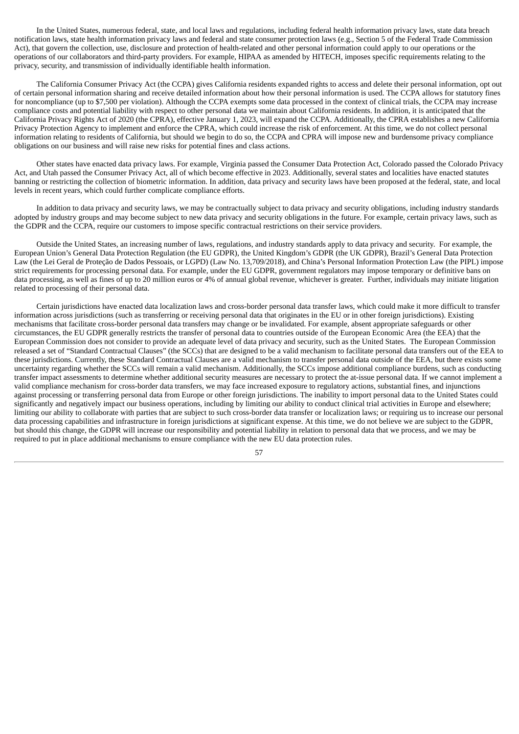In the United States, numerous federal, state, and local laws and regulations, including federal health information privacy laws, state data breach notification laws, state health information privacy laws and federal and state consumer protection laws (e.g., Section 5 of the Federal Trade Commission Act), that govern the collection, use, disclosure and protection of health-related and other personal information could apply to our operations or the operations of our collaborators and third-party providers. For example, HIPAA as amended by HITECH, imposes specific requirements relating to the privacy, security, and transmission of individually identifiable health information.

The California Consumer Privacy Act (the CCPA) gives California residents expanded rights to access and delete their personal information, opt out of certain personal information sharing and receive detailed information about how their personal information is used. The CCPA allows for statutory fines for noncompliance (up to \$7,500 per violation). Although the CCPA exempts some data processed in the context of clinical trials, the CCPA may increase compliance costs and potential liability with respect to other personal data we maintain about California residents. In addition, it is anticipated that the California Privacy Rights Act of 2020 (the CPRA), effective January 1, 2023, will expand the CCPA. Additionally, the CPRA establishes a new California Privacy Protection Agency to implement and enforce the CPRA, which could increase the risk of enforcement. At this time, we do not collect personal information relating to residents of California, but should we begin to do so, the CCPA and CPRA will impose new and burdensome privacy compliance obligations on our business and will raise new risks for potential fines and class actions.

Other states have enacted data privacy laws. For example, Virginia passed the Consumer Data Protection Act, Colorado passed the Colorado Privacy Act, and Utah passed the Consumer Privacy Act, all of which become effective in 2023. Additionally, several states and localities have enacted statutes banning or restricting the collection of biometric information. In addition, data privacy and security laws have been proposed at the federal, state, and local levels in recent years, which could further complicate compliance efforts.

In addition to data privacy and security laws, we may be contractually subject to data privacy and security obligations, including industry standards adopted by industry groups and may become subject to new data privacy and security obligations in the future. For example, certain privacy laws, such as the GDPR and the CCPA, require our customers to impose specific contractual restrictions on their service providers.

Outside the United States, an increasing number of laws, regulations, and industry standards apply to data privacy and security. For example, the European Union's General Data Protection Regulation (the EU GDPR), the United Kingdom's GDPR (the UK GDPR), Brazil's General Data Protection Law (the Lei Geral de Proteção de Dados Pessoais, or LGPD) (Law No. 13,709/2018), and China's Personal Information Protection Law (the PIPL) impose strict requirements for processing personal data. For example, under the EU GDPR, government regulators may impose temporary or definitive bans on data processing, as well as fines of up to 20 million euros or 4% of annual global revenue, whichever is greater. Further, individuals may initiate litigation related to processing of their personal data.

Certain jurisdictions have enacted data localization laws and cross-border personal data transfer laws, which could make it more difficult to transfer information across jurisdictions (such as transferring or receiving personal data that originates in the EU or in other foreign jurisdictions). Existing mechanisms that facilitate cross-border personal data transfers may change or be invalidated. For example, absent appropriate safeguards or other circumstances, the EU GDPR generally restricts the transfer of personal data to countries outside of the European Economic Area (the EEA) that the European Commission does not consider to provide an adequate level of data privacy and security, such as the United States. The European Commission released a set of "Standard Contractual Clauses" (the SCCs) that are designed to be a valid mechanism to facilitate personal data transfers out of the EEA to these jurisdictions. Currently, these Standard Contractual Clauses are a valid mechanism to transfer personal data outside of the EEA, but there exists some uncertainty regarding whether the SCCs will remain a valid mechanism. Additionally, the SCCs impose additional compliance burdens, such as conducting transfer impact assessments to determine whether additional security measures are necessary to protect the at-issue personal data. If we cannot implement a valid compliance mechanism for cross-border data transfers, we may face increased exposure to regulatory actions, substantial fines, and injunctions against processing or transferring personal data from Europe or other foreign jurisdictions. The inability to import personal data to the United States could significantly and negatively impact our business operations, including by limiting our ability to conduct clinical trial activities in Europe and elsewhere; limiting our ability to collaborate with parties that are subject to such cross-border data transfer or localization laws; or requiring us to increase our personal data processing capabilities and infrastructure in foreign jurisdictions at significant expense. At this time, we do not believe we are subject to the GDPR, but should this change, the GDPR will increase our responsibility and potential liability in relation to personal data that we process, and we may be required to put in place additional mechanisms to ensure compliance with the new EU data protection rules.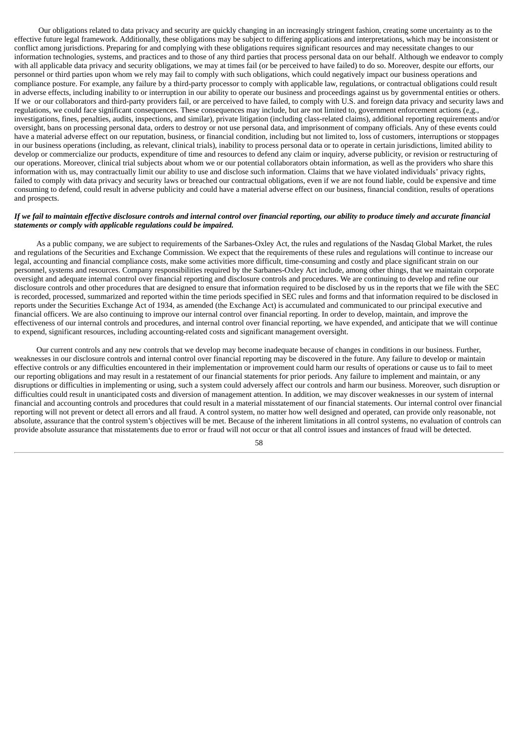Our obligations related to data privacy and security are quickly changing in an increasingly stringent fashion, creating some uncertainty as to the effective future legal framework. Additionally, these obligations may be subject to differing applications and interpretations, which may be inconsistent or conflict among jurisdictions. Preparing for and complying with these obligations requires significant resources and may necessitate changes to our information technologies, systems, and practices and to those of any third parties that process personal data on our behalf. Although we endeavor to comply with all applicable data privacy and security obligations, we may at times fail (or be perceived to have failed) to do so. Moreover, despite our efforts, our personnel or third parties upon whom we rely may fail to comply with such obligations, which could negatively impact our business operations and compliance posture. For example, any failure by a third-party processor to comply with applicable law, regulations, or contractual obligations could result in adverse effects, including inability to or interruption in our ability to operate our business and proceedings against us by governmental entities or others. If we or our collaborators and third-party providers fail, or are perceived to have failed, to comply with U.S. and foreign data privacy and security laws and regulations, we could face significant consequences. These consequences may include, but are not limited to, government enforcement actions (e,g., investigations, fines, penalties, audits, inspections, and similar), private litigation (including class-related claims), additional reporting requirements and/or oversight, bans on processing personal data, orders to destroy or not use personal data, and imprisonment of company officials. Any of these events could have a material adverse effect on our reputation, business, or financial condition, including but not limited to, loss of customers, interruptions or stoppages in our business operations (including, as relevant, clinical trials), inability to process personal data or to operate in certain jurisdictions, limited ability to develop or commercialize our products, expenditure of time and resources to defend any claim or inquiry, adverse publicity, or revision or restructuring of our operations. Moreover, clinical trial subjects about whom we or our potential collaborators obtain information, as well as the providers who share this information with us, may contractually limit our ability to use and disclose such information. Claims that we have violated individuals' privacy rights, failed to comply with data privacy and security laws or breached our contractual obligations, even if we are not found liable, could be expensive and time consuming to defend, could result in adverse publicity and could have a material adverse effect on our business, financial condition, results of operations and prospects.

### If we fail to maintain effective disclosure controls and internal control over financial reporting, our ability to produce timely and accurate financial *statements or comply with applicable regulations could be impaired.*

As a public company, we are subject to requirements of the Sarbanes-Oxley Act, the rules and regulations of the Nasdaq Global Market, the rules and regulations of the Securities and Exchange Commission. We expect that the requirements of these rules and regulations will continue to increase our legal, accounting and financial compliance costs, make some activities more difficult, time-consuming and costly and place significant strain on our personnel, systems and resources. Company responsibilities required by the Sarbanes-Oxley Act include, among other things, that we maintain corporate oversight and adequate internal control over financial reporting and disclosure controls and procedures. We are continuing to develop and refine our disclosure controls and other procedures that are designed to ensure that information required to be disclosed by us in the reports that we file with the SEC is recorded, processed, summarized and reported within the time periods specified in SEC rules and forms and that information required to be disclosed in reports under the Securities Exchange Act of 1934, as amended (the Exchange Act) is accumulated and communicated to our principal executive and financial officers. We are also continuing to improve our internal control over financial reporting. In order to develop, maintain, and improve the effectiveness of our internal controls and procedures, and internal control over financial reporting, we have expended, and anticipate that we will continue to expend, significant resources, including accounting-related costs and significant management oversight.

Our current controls and any new controls that we develop may become inadequate because of changes in conditions in our business. Further, weaknesses in our disclosure controls and internal control over financial reporting may be discovered in the future. Any failure to develop or maintain effective controls or any difficulties encountered in their implementation or improvement could harm our results of operations or cause us to fail to meet our reporting obligations and may result in a restatement of our financial statements for prior periods. Any failure to implement and maintain, or any disruptions or difficulties in implementing or using, such a system could adversely affect our controls and harm our business. Moreover, such disruption or difficulties could result in unanticipated costs and diversion of management attention. In addition, we may discover weaknesses in our system of internal financial and accounting controls and procedures that could result in a material misstatement of our financial statements. Our internal control over financial reporting will not prevent or detect all errors and all fraud. A control system, no matter how well designed and operated, can provide only reasonable, not absolute, assurance that the control system's objectives will be met. Because of the inherent limitations in all control systems, no evaluation of controls can provide absolute assurance that misstatements due to error or fraud will not occur or that all control issues and instances of fraud will be detected.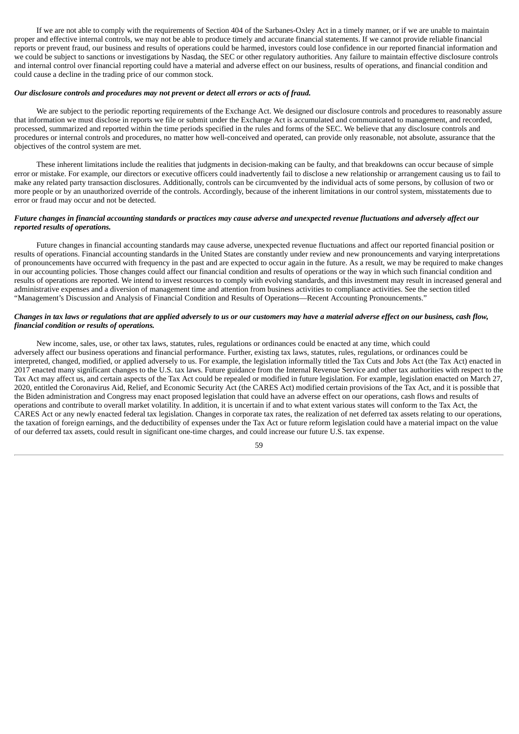If we are not able to comply with the requirements of Section 404 of the Sarbanes-Oxley Act in a timely manner, or if we are unable to maintain proper and effective internal controls, we may not be able to produce timely and accurate financial statements. If we cannot provide reliable financial reports or prevent fraud, our business and results of operations could be harmed, investors could lose confidence in our reported financial information and we could be subject to sanctions or investigations by Nasdaq, the SEC or other regulatory authorities. Any failure to maintain effective disclosure controls and internal control over financial reporting could have a material and adverse effect on our business, results of operations, and financial condition and could cause a decline in the trading price of our common stock.

## *Our disclosure controls and procedures may not prevent or detect all errors or acts of fraud.*

We are subject to the periodic reporting requirements of the Exchange Act. We designed our disclosure controls and procedures to reasonably assure that information we must disclose in reports we file or submit under the Exchange Act is accumulated and communicated to management, and recorded, processed, summarized and reported within the time periods specified in the rules and forms of the SEC. We believe that any disclosure controls and procedures or internal controls and procedures, no matter how well-conceived and operated, can provide only reasonable, not absolute, assurance that the objectives of the control system are met.

These inherent limitations include the realities that judgments in decision-making can be faulty, and that breakdowns can occur because of simple error or mistake. For example, our directors or executive officers could inadvertently fail to disclose a new relationship or arrangement causing us to fail to make any related party transaction disclosures. Additionally, controls can be circumvented by the individual acts of some persons, by collusion of two or more people or by an unauthorized override of the controls. Accordingly, because of the inherent limitations in our control system, misstatements due to error or fraud may occur and not be detected.

## Future changes in financial accounting standards or practices may cause adverse and unexpected revenue fluctuations and adversely affect our *reported results of operations.*

Future changes in financial accounting standards may cause adverse, unexpected revenue fluctuations and affect our reported financial position or results of operations. Financial accounting standards in the United States are constantly under review and new pronouncements and varying interpretations of pronouncements have occurred with frequency in the past and are expected to occur again in the future. As a result, we may be required to make changes in our accounting policies. Those changes could affect our financial condition and results of operations or the way in which such financial condition and results of operations are reported. We intend to invest resources to comply with evolving standards, and this investment may result in increased general and administrative expenses and a diversion of management time and attention from business activities to compliance activities. See the section titled "Management's Discussion and Analysis of Financial Condition and Results of Operations—Recent Accounting Pronouncements."

### Changes in tax laws or regulations that are applied adversely to us or our customers may have a material adverse effect on our business, cash flow, *financial condition or results of operations.*

New income, sales, use, or other tax laws, statutes, rules, regulations or ordinances could be enacted at any time, which could adversely affect our business operations and financial performance. Further, existing tax laws, statutes, rules, regulations, or ordinances could be interpreted, changed, modified, or applied adversely to us. For example, the legislation informally titled the Tax Cuts and Jobs Act (the Tax Act) enacted in 2017 enacted many significant changes to the U.S. tax laws. Future guidance from the Internal Revenue Service and other tax authorities with respect to the Tax Act may affect us, and certain aspects of the Tax Act could be repealed or modified in future legislation. For example, legislation enacted on March 27, 2020, entitled the Coronavirus Aid, Relief, and Economic Security Act (the CARES Act) modified certain provisions of the Tax Act, and it is possible that the Biden administration and Congress may enact proposed legislation that could have an adverse effect on our operations, cash flows and results of operations and contribute to overall market volatility. In addition, it is uncertain if and to what extent various states will conform to the Tax Act, the CARES Act or any newly enacted federal tax legislation. Changes in corporate tax rates, the realization of net deferred tax assets relating to our operations, the taxation of foreign earnings, and the deductibility of expenses under the Tax Act or future reform legislation could have a material impact on the value of our deferred tax assets, could result in significant one-time charges, and could increase our future U.S. tax expense.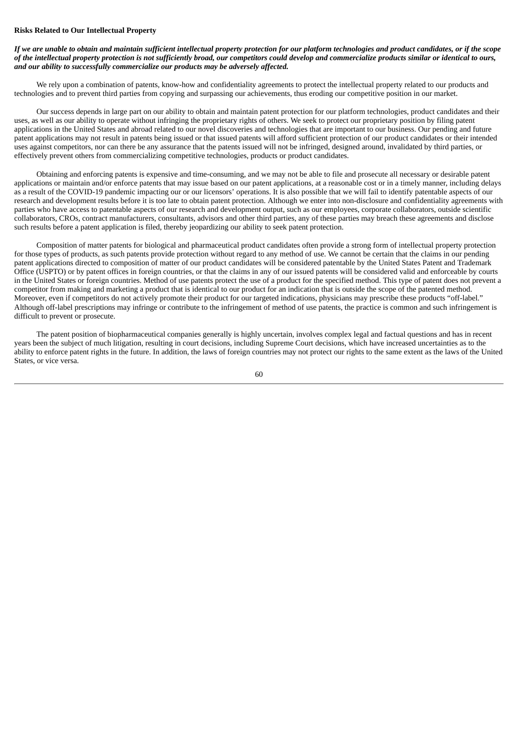#### **Risks Related to Our Intellectual Property**

# If we are unable to obtain and maintain sufficient intellectual property protection for our platform technologies and product candidates, or if the scope of the intellectual property protection is not sufficiently broad, our competitors could develop and commercialize products similar or identical to ours, *and our ability to successfully commercialize our products may be adversely affected.*

We rely upon a combination of patents, know-how and confidentiality agreements to protect the intellectual property related to our products and technologies and to prevent third parties from copying and surpassing our achievements, thus eroding our competitive position in our market.

Our success depends in large part on our ability to obtain and maintain patent protection for our platform technologies, product candidates and their uses, as well as our ability to operate without infringing the proprietary rights of others. We seek to protect our proprietary position by filing patent applications in the United States and abroad related to our novel discoveries and technologies that are important to our business. Our pending and future patent applications may not result in patents being issued or that issued patents will afford sufficient protection of our product candidates or their intended uses against competitors, nor can there be any assurance that the patents issued will not be infringed, designed around, invalidated by third parties, or effectively prevent others from commercializing competitive technologies, products or product candidates.

Obtaining and enforcing patents is expensive and time-consuming, and we may not be able to file and prosecute all necessary or desirable patent applications or maintain and/or enforce patents that may issue based on our patent applications, at a reasonable cost or in a timely manner, including delays as a result of the COVID-19 pandemic impacting our or our licensors' operations. It is also possible that we will fail to identify patentable aspects of our research and development results before it is too late to obtain patent protection. Although we enter into non-disclosure and confidentiality agreements with parties who have access to patentable aspects of our research and development output, such as our employees, corporate collaborators, outside scientific collaborators, CROs, contract manufacturers, consultants, advisors and other third parties, any of these parties may breach these agreements and disclose such results before a patent application is filed, thereby jeopardizing our ability to seek patent protection.

Composition of matter patents for biological and pharmaceutical product candidates often provide a strong form of intellectual property protection for those types of products, as such patents provide protection without regard to any method of use. We cannot be certain that the claims in our pending patent applications directed to composition of matter of our product candidates will be considered patentable by the United States Patent and Trademark Office (USPTO) or by patent offices in foreign countries, or that the claims in any of our issued patents will be considered valid and enforceable by courts in the United States or foreign countries. Method of use patents protect the use of a product for the specified method. This type of patent does not prevent a competitor from making and marketing a product that is identical to our product for an indication that is outside the scope of the patented method. Moreover, even if competitors do not actively promote their product for our targeted indications, physicians may prescribe these products "off-label." Although off-label prescriptions may infringe or contribute to the infringement of method of use patents, the practice is common and such infringement is difficult to prevent or prosecute.

The patent position of biopharmaceutical companies generally is highly uncertain, involves complex legal and factual questions and has in recent years been the subject of much litigation, resulting in court decisions, including Supreme Court decisions, which have increased uncertainties as to the ability to enforce patent rights in the future. In addition, the laws of foreign countries may not protect our rights to the same extent as the laws of the United States, or vice versa.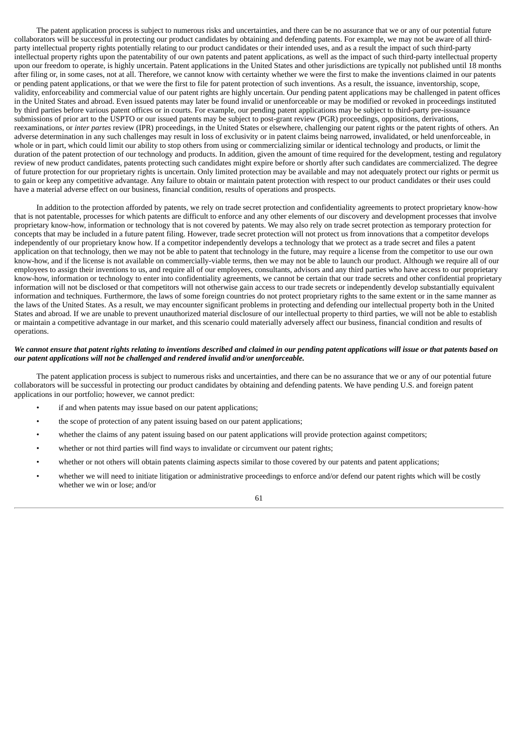The patent application process is subject to numerous risks and uncertainties, and there can be no assurance that we or any of our potential future collaborators will be successful in protecting our product candidates by obtaining and defending patents. For example, we may not be aware of all thirdparty intellectual property rights potentially relating to our product candidates or their intended uses, and as a result the impact of such third-party intellectual property rights upon the patentability of our own patents and patent applications, as well as the impact of such third-party intellectual property upon our freedom to operate, is highly uncertain. Patent applications in the United States and other jurisdictions are typically not published until 18 months after filing or, in some cases, not at all. Therefore, we cannot know with certainty whether we were the first to make the inventions claimed in our patents or pending patent applications, or that we were the first to file for patent protection of such inventions. As a result, the issuance, inventorship, scope, validity, enforceability and commercial value of our patent rights are highly uncertain. Our pending patent applications may be challenged in patent offices in the United States and abroad. Even issued patents may later be found invalid or unenforceable or may be modified or revoked in proceedings instituted by third parties before various patent offices or in courts. For example, our pending patent applications may be subject to third-party pre-issuance submissions of prior art to the USPTO or our issued patents may be subject to post-grant review (PGR) proceedings, oppositions, derivations, reexaminations, or *inter partes* review (IPR) proceedings, in the United States or elsewhere, challenging our patent rights or the patent rights of others. An adverse determination in any such challenges may result in loss of exclusivity or in patent claims being narrowed, invalidated, or held unenforceable, in whole or in part, which could limit our ability to stop others from using or commercializing similar or identical technology and products, or limit the duration of the patent protection of our technology and products. In addition, given the amount of time required for the development, testing and regulatory review of new product candidates, patents protecting such candidates might expire before or shortly after such candidates are commercialized. The degree of future protection for our proprietary rights is uncertain. Only limited protection may be available and may not adequately protect our rights or permit us to gain or keep any competitive advantage. Any failure to obtain or maintain patent protection with respect to our product candidates or their uses could have a material adverse effect on our business, financial condition, results of operations and prospects.

In addition to the protection afforded by patents, we rely on trade secret protection and confidentiality agreements to protect proprietary know-how that is not patentable, processes for which patents are difficult to enforce and any other elements of our discovery and development processes that involve proprietary know-how, information or technology that is not covered by patents. We may also rely on trade secret protection as temporary protection for concepts that may be included in a future patent filing. However, trade secret protection will not protect us from innovations that a competitor develops independently of our proprietary know how. If a competitor independently develops a technology that we protect as a trade secret and files a patent application on that technology, then we may not be able to patent that technology in the future, may require a license from the competitor to use our own know-how, and if the license is not available on commercially-viable terms, then we may not be able to launch our product. Although we require all of our employees to assign their inventions to us, and require all of our employees, consultants, advisors and any third parties who have access to our proprietary know-how, information or technology to enter into confidentiality agreements, we cannot be certain that our trade secrets and other confidential proprietary information will not be disclosed or that competitors will not otherwise gain access to our trade secrets or independently develop substantially equivalent information and techniques. Furthermore, the laws of some foreign countries do not protect proprietary rights to the same extent or in the same manner as the laws of the United States. As a result, we may encounter significant problems in protecting and defending our intellectual property both in the United States and abroad. If we are unable to prevent unauthorized material disclosure of our intellectual property to third parties, we will not be able to establish or maintain a competitive advantage in our market, and this scenario could materially adversely affect our business, financial condition and results of operations.

# We cannot ensure that patent rights relating to inventions described and claimed in our pending patent applications will issue or that patents based on *our patent applications will not be challenged and rendered invalid and/or unenforceable.*

The patent application process is subject to numerous risks and uncertainties, and there can be no assurance that we or any of our potential future collaborators will be successful in protecting our product candidates by obtaining and defending patents. We have pending U.S. and foreign patent applications in our portfolio; however, we cannot predict:

- if and when patents may issue based on our patent applications;
- the scope of protection of any patent issuing based on our patent applications;
- whether the claims of any patent issuing based on our patent applications will provide protection against competitors;
- whether or not third parties will find ways to invalidate or circumvent our patent rights;
- whether or not others will obtain patents claiming aspects similar to those covered by our patents and patent applications;
- whether we will need to initiate litigation or administrative proceedings to enforce and/or defend our patent rights which will be costly whether we win or lose; and/or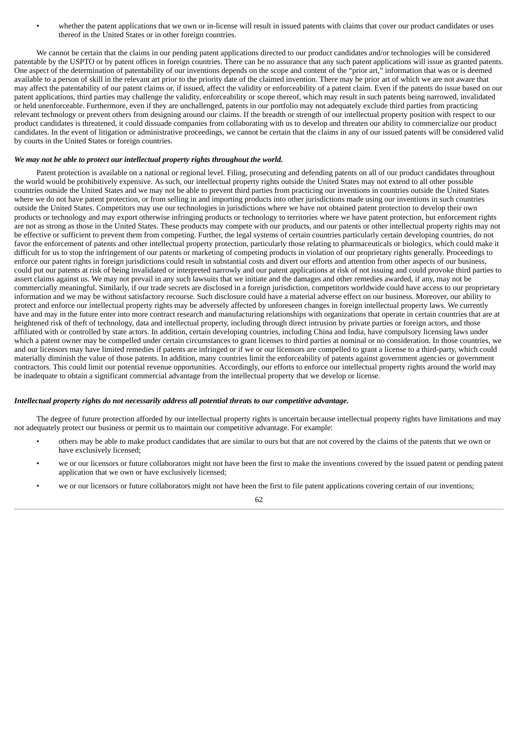• whether the patent applications that we own or in-license will result in issued patents with claims that cover our product candidates or uses thereof in the United States or in other foreign countries.

We cannot be certain that the claims in our pending patent applications directed to our product candidates and/or technologies will be considered patentable by the USPTO or by patent offices in foreign countries. There can be no assurance that any such patent applications will issue as granted patents. One aspect of the determination of patentability of our inventions depends on the scope and content of the "prior art," information that was or is deemed available to a person of skill in the relevant art prior to the priority date of the claimed invention. There may be prior art of which we are not aware that may affect the patentability of our patent claims or, if issued, affect the validity or enforceability of a patent claim. Even if the patents do issue based on our patent applications, third parties may challenge the validity, enforceability or scope thereof, which may result in such patents being narrowed, invalidated or held unenforceable. Furthermore, even if they are unchallenged, patents in our portfolio may not adequately exclude third parties from practicing relevant technology or prevent others from designing around our claims. If the breadth or strength of our intellectual property position with respect to our product candidates is threatened, it could dissuade companies from collaborating with us to develop and threaten our ability to commercialize our product candidates. In the event of litigation or administrative proceedings, we cannot be certain that the claims in any of our issued patents will be considered valid by courts in the United States or foreign countries.

## *We may not be able to protect our intellectual property rights throughout the world.*

Patent protection is available on a national or regional level. Filing, prosecuting and defending patents on all of our product candidates throughout the world would be prohibitively expensive. As such, our intellectual property rights outside the United States may not extend to all other possible countries outside the United States and we may not be able to prevent third parties from practicing our inventions in countries outside the United States where we do not have patent protection, or from selling in and importing products into other jurisdictions made using our inventions in such countries outside the United States. Competitors may use our technologies in jurisdictions where we have not obtained patent protection to develop their own products or technology and may export otherwise infringing products or technology to territories where we have patent protection, but enforcement rights are not as strong as those in the United States. These products may compete with our products, and our patents or other intellectual property rights may not be effective or sufficient to prevent them from competing. Further, the legal systems of certain countries particularly certain developing countries, do not favor the enforcement of patents and other intellectual property protection, particularly those relating to pharmaceuticals or biologics, which could make it difficult for us to stop the infringement of our patents or marketing of competing products in violation of our proprietary rights generally. Proceedings to enforce our patent rights in foreign jurisdictions could result in substantial costs and divert our efforts and attention from other aspects of our business, could put our patents at risk of being invalidated or interpreted narrowly and our patent applications at risk of not issuing and could provoke third parties to assert claims against us. We may not prevail in any such lawsuits that we initiate and the damages and other remedies awarded, if any, may not be commercially meaningful. Similarly, if our trade secrets are disclosed in a foreign jurisdiction, competitors worldwide could have access to our proprietary information and we may be without satisfactory recourse. Such disclosure could have a material adverse effect on our business. Moreover, our ability to protect and enforce our intellectual property rights may be adversely affected by unforeseen changes in foreign intellectual property laws. We currently have and may in the future enter into more contract research and manufacturing relationships with organizations that operate in certain countries that are at heightened risk of theft of technology, data and intellectual property, including through direct intrusion by private parties or foreign actors, and those affiliated with or controlled by state actors. In addition, certain developing countries, including China and India, have compulsory licensing laws under which a patent owner may be compelled under certain circumstances to grant licenses to third parties at nominal or no consideration. In those countries, we and our licensors may have limited remedies if patents are infringed or if we or our licensors are compelled to grant a license to a third-party, which could materially diminish the value of those patents. In addition, many countries limit the enforceability of patents against government agencies or government contractors. This could limit our potential revenue opportunities. Accordingly, our efforts to enforce our intellectual property rights around the world may be inadequate to obtain a significant commercial advantage from the intellectual property that we develop or license.

#### *Intellectual property rights do not necessarily address all potential threats to our competitive advantage.*

The degree of future protection afforded by our intellectual property rights is uncertain because intellectual property rights have limitations and may not adequately protect our business or permit us to maintain our competitive advantage. For example:

- others may be able to make product candidates that are similar to ours but that are not covered by the claims of the patents that we own or have exclusively licensed;
- we or our licensors or future collaborators might not have been the first to make the inventions covered by the issued patent or pending patent application that we own or have exclusively licensed;
- we or our licensors or future collaborators might not have been the first to file patent applications covering certain of our inventions;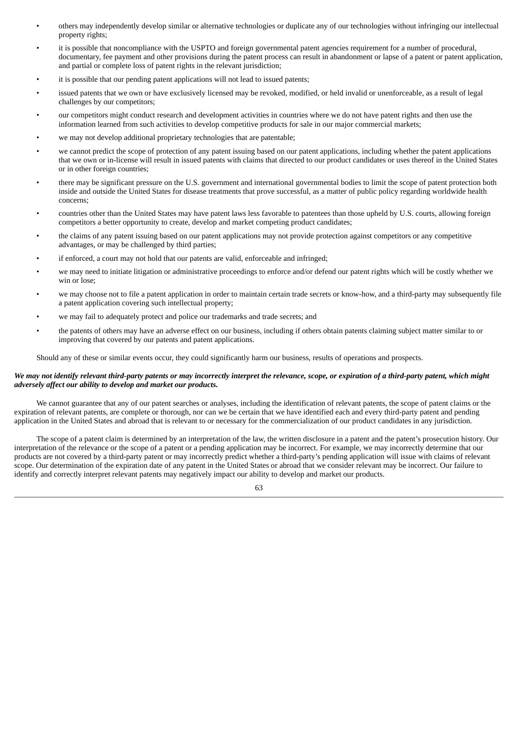- others may independently develop similar or alternative technologies or duplicate any of our technologies without infringing our intellectual property rights;
- it is possible that noncompliance with the USPTO and foreign governmental patent agencies requirement for a number of procedural, documentary, fee payment and other provisions during the patent process can result in abandonment or lapse of a patent or patent application, and partial or complete loss of patent rights in the relevant jurisdiction;
- it is possible that our pending patent applications will not lead to issued patents;
- issued patents that we own or have exclusively licensed may be revoked, modified, or held invalid or unenforceable, as a result of legal challenges by our competitors;
- our competitors might conduct research and development activities in countries where we do not have patent rights and then use the information learned from such activities to develop competitive products for sale in our major commercial markets;
- we may not develop additional proprietary technologies that are patentable;
- we cannot predict the scope of protection of any patent issuing based on our patent applications, including whether the patent applications that we own or in-license will result in issued patents with claims that directed to our product candidates or uses thereof in the United States or in other foreign countries;
- there may be significant pressure on the U.S. government and international governmental bodies to limit the scope of patent protection both inside and outside the United States for disease treatments that prove successful, as a matter of public policy regarding worldwide health concerns;
- countries other than the United States may have patent laws less favorable to patentees than those upheld by U.S. courts, allowing foreign competitors a better opportunity to create, develop and market competing product candidates;
- the claims of any patent issuing based on our patent applications may not provide protection against competitors or any competitive advantages, or may be challenged by third parties;
- if enforced, a court may not hold that our patents are valid, enforceable and infringed;
- we may need to initiate litigation or administrative proceedings to enforce and/or defend our patent rights which will be costly whether we win or lose;
- we may choose not to file a patent application in order to maintain certain trade secrets or know-how, and a third-party may subsequently file a patent application covering such intellectual property;
- we may fail to adequately protect and police our trademarks and trade secrets; and
- the patents of others may have an adverse effect on our business, including if others obtain patents claiming subject matter similar to or improving that covered by our patents and patent applications.

Should any of these or similar events occur, they could significantly harm our business, results of operations and prospects.

# We may not identify relevant third-party patents or may incorrectly interpret the relevance, scope, or expiration of a third-party patent, which might *adversely affect our ability to develop and market our products.*

We cannot guarantee that any of our patent searches or analyses, including the identification of relevant patents, the scope of patent claims or the expiration of relevant patents, are complete or thorough, nor can we be certain that we have identified each and every third-party patent and pending application in the United States and abroad that is relevant to or necessary for the commercialization of our product candidates in any jurisdiction.

The scope of a patent claim is determined by an interpretation of the law, the written disclosure in a patent and the patent's prosecution history. Our interpretation of the relevance or the scope of a patent or a pending application may be incorrect. For example, we may incorrectly determine that our products are not covered by a third-party patent or may incorrectly predict whether a third-party's pending application will issue with claims of relevant scope. Our determination of the expiration date of any patent in the United States or abroad that we consider relevant may be incorrect. Our failure to identify and correctly interpret relevant patents may negatively impact our ability to develop and market our products.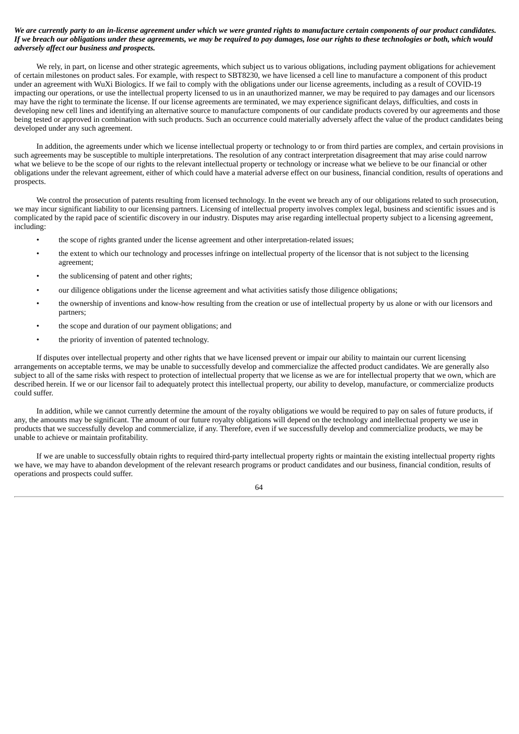# We are currently party to an in-license agreement under which we were granted rights to manufacture certain components of our product candidates. If we breach our obligations under these agreements, we may be required to pay damages, lose our rights to these technologies or both, which would *adversely affect our business and prospects.*

We rely, in part, on license and other strategic agreements, which subject us to various obligations, including payment obligations for achievement of certain milestones on product sales. For example, with respect to SBT8230, we have licensed a cell line to manufacture a component of this product under an agreement with WuXi Biologics. If we fail to comply with the obligations under our license agreements, including as a result of COVID-19 impacting our operations, or use the intellectual property licensed to us in an unauthorized manner, we may be required to pay damages and our licensors may have the right to terminate the license. If our license agreements are terminated, we may experience significant delays, difficulties, and costs in developing new cell lines and identifying an alternative source to manufacture components of our candidate products covered by our agreements and those being tested or approved in combination with such products. Such an occurrence could materially adversely affect the value of the product candidates being developed under any such agreement.

In addition, the agreements under which we license intellectual property or technology to or from third parties are complex, and certain provisions in such agreements may be susceptible to multiple interpretations. The resolution of any contract interpretation disagreement that may arise could narrow what we believe to be the scope of our rights to the relevant intellectual property or technology or increase what we believe to be our financial or other obligations under the relevant agreement, either of which could have a material adverse effect on our business, financial condition, results of operations and prospects.

We control the prosecution of patents resulting from licensed technology. In the event we breach any of our obligations related to such prosecution, we may incur significant liability to our licensing partners. Licensing of intellectual property involves complex legal, business and scientific issues and is complicated by the rapid pace of scientific discovery in our industry. Disputes may arise regarding intellectual property subject to a licensing agreement, including:

- the scope of rights granted under the license agreement and other interpretation-related issues;
- the extent to which our technology and processes infringe on intellectual property of the licensor that is not subject to the licensing agreement;
- the sublicensing of patent and other rights;
- our diligence obligations under the license agreement and what activities satisfy those diligence obligations;
- the ownership of inventions and know-how resulting from the creation or use of intellectual property by us alone or with our licensors and partners;
- the scope and duration of our payment obligations; and
- the priority of invention of patented technology.

If disputes over intellectual property and other rights that we have licensed prevent or impair our ability to maintain our current licensing arrangements on acceptable terms, we may be unable to successfully develop and commercialize the affected product candidates. We are generally also subject to all of the same risks with respect to protection of intellectual property that we license as we are for intellectual property that we own, which are described herein. If we or our licensor fail to adequately protect this intellectual property, our ability to develop, manufacture, or commercialize products could suffer.

In addition, while we cannot currently determine the amount of the royalty obligations we would be required to pay on sales of future products, if any, the amounts may be significant. The amount of our future royalty obligations will depend on the technology and intellectual property we use in products that we successfully develop and commercialize, if any. Therefore, even if we successfully develop and commercialize products, we may be unable to achieve or maintain profitability.

If we are unable to successfully obtain rights to required third-party intellectual property rights or maintain the existing intellectual property rights we have, we may have to abandon development of the relevant research programs or product candidates and our business, financial condition, results of operations and prospects could suffer.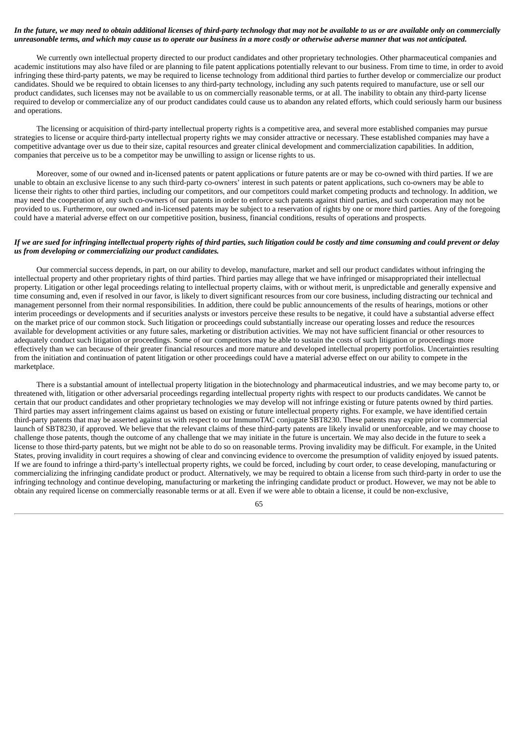#### In the future, we may need to obtain additional licenses of third-party technology that may not be available to us or are available only on commercially unreasonable terms, and which may cause us to operate our business in a more costly or otherwise adverse manner that was not anticipated.

We currently own intellectual property directed to our product candidates and other proprietary technologies. Other pharmaceutical companies and academic institutions may also have filed or are planning to file patent applications potentially relevant to our business. From time to time, in order to avoid infringing these third-party patents, we may be required to license technology from additional third parties to further develop or commercialize our product candidates. Should we be required to obtain licenses to any third-party technology, including any such patents required to manufacture, use or sell our product candidates, such licenses may not be available to us on commercially reasonable terms, or at all. The inability to obtain any third-party license required to develop or commercialize any of our product candidates could cause us to abandon any related efforts, which could seriously harm our business and operations.

The licensing or acquisition of third-party intellectual property rights is a competitive area, and several more established companies may pursue strategies to license or acquire third-party intellectual property rights we may consider attractive or necessary. These established companies may have a competitive advantage over us due to their size, capital resources and greater clinical development and commercialization capabilities. In addition, companies that perceive us to be a competitor may be unwilling to assign or license rights to us.

Moreover, some of our owned and in-licensed patents or patent applications or future patents are or may be co-owned with third parties. If we are unable to obtain an exclusive license to any such third-party co-owners' interest in such patents or patent applications, such co-owners may be able to license their rights to other third parties, including our competitors, and our competitors could market competing products and technology. In addition, we may need the cooperation of any such co-owners of our patents in order to enforce such patents against third parties, and such cooperation may not be provided to us. Furthermore, our owned and in-licensed patents may be subject to a reservation of rights by one or more third parties. Any of the foregoing could have a material adverse effect on our competitive position, business, financial conditions, results of operations and prospects.

# If we are sued for infringing intellectual property rights of third parties, such litigation could be costly and time consuming and could prevent or delay *us from developing or commercializing our product candidates.*

Our commercial success depends, in part, on our ability to develop, manufacture, market and sell our product candidates without infringing the intellectual property and other proprietary rights of third parties. Third parties may allege that we have infringed or misappropriated their intellectual property. Litigation or other legal proceedings relating to intellectual property claims, with or without merit, is unpredictable and generally expensive and time consuming and, even if resolved in our favor, is likely to divert significant resources from our core business, including distracting our technical and management personnel from their normal responsibilities. In addition, there could be public announcements of the results of hearings, motions or other interim proceedings or developments and if securities analysts or investors perceive these results to be negative, it could have a substantial adverse effect on the market price of our common stock. Such litigation or proceedings could substantially increase our operating losses and reduce the resources available for development activities or any future sales, marketing or distribution activities. We may not have sufficient financial or other resources to adequately conduct such litigation or proceedings. Some of our competitors may be able to sustain the costs of such litigation or proceedings more effectively than we can because of their greater financial resources and more mature and developed intellectual property portfolios. Uncertainties resulting from the initiation and continuation of patent litigation or other proceedings could have a material adverse effect on our ability to compete in the marketplace.

There is a substantial amount of intellectual property litigation in the biotechnology and pharmaceutical industries, and we may become party to, or threatened with, litigation or other adversarial proceedings regarding intellectual property rights with respect to our products candidates. We cannot be certain that our product candidates and other proprietary technologies we may develop will not infringe existing or future patents owned by third parties. Third parties may assert infringement claims against us based on existing or future intellectual property rights. For example, we have identified certain third-party patents that may be asserted against us with respect to our ImmunoTAC conjugate SBT8230. These patents may expire prior to commercial launch of SBT8230, if approved. We believe that the relevant claims of these third-party patents are likely invalid or unenforceable, and we may choose to challenge those patents, though the outcome of any challenge that we may initiate in the future is uncertain. We may also decide in the future to seek a license to those third-party patents, but we might not be able to do so on reasonable terms. Proving invalidity may be difficult. For example, in the United States, proving invalidity in court requires a showing of clear and convincing evidence to overcome the presumption of validity enjoyed by issued patents. If we are found to infringe a third-party's intellectual property rights, we could be forced, including by court order, to cease developing, manufacturing or commercializing the infringing candidate product or product. Alternatively, we may be required to obtain a license from such third-party in order to use the infringing technology and continue developing, manufacturing or marketing the infringing candidate product or product. However, we may not be able to obtain any required license on commercially reasonable terms or at all. Even if we were able to obtain a license, it could be non-exclusive,

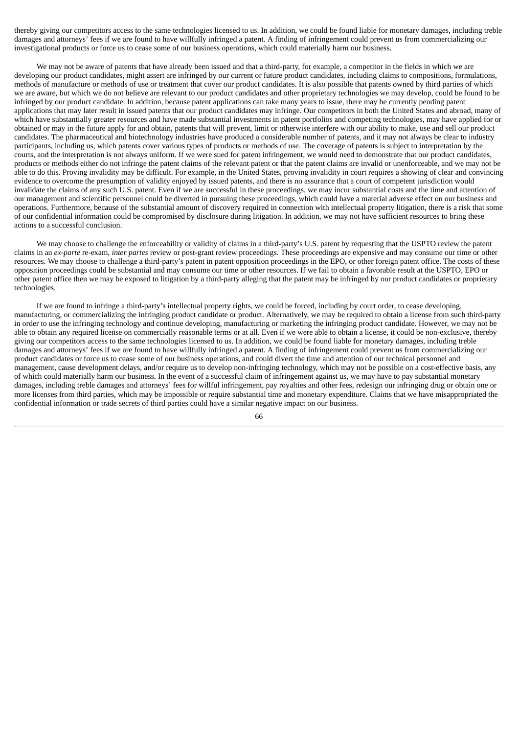thereby giving our competitors access to the same technologies licensed to us. In addition, we could be found liable for monetary damages, including treble damages and attorneys' fees if we are found to have willfully infringed a patent. A finding of infringement could prevent us from commercializing our investigational products or force us to cease some of our business operations, which could materially harm our business.

We may not be aware of patents that have already been issued and that a third-party, for example, a competitor in the fields in which we are developing our product candidates, might assert are infringed by our current or future product candidates, including claims to compositions, formulations, methods of manufacture or methods of use or treatment that cover our product candidates. It is also possible that patents owned by third parties of which we are aware, but which we do not believe are relevant to our product candidates and other proprietary technologies we may develop, could be found to be infringed by our product candidate. In addition, because patent applications can take many years to issue, there may be currently pending patent applications that may later result in issued patents that our product candidates may infringe. Our competitors in both the United States and abroad, many of which have substantially greater resources and have made substantial investments in patent portfolios and competing technologies, may have applied for or obtained or may in the future apply for and obtain, patents that will prevent, limit or otherwise interfere with our ability to make, use and sell our product candidates. The pharmaceutical and biotechnology industries have produced a considerable number of patents, and it may not always be clear to industry participants, including us, which patents cover various types of products or methods of use. The coverage of patents is subject to interpretation by the courts, and the interpretation is not always uniform. If we were sued for patent infringement, we would need to demonstrate that our product candidates, products or methods either do not infringe the patent claims of the relevant patent or that the patent claims are invalid or unenforceable, and we may not be able to do this. Proving invalidity may be difficult. For example, in the United States, proving invalidity in court requires a showing of clear and convincing evidence to overcome the presumption of validity enjoyed by issued patents, and there is no assurance that a court of competent jurisdiction would invalidate the claims of any such U.S. patent. Even if we are successful in these proceedings, we may incur substantial costs and the time and attention of our management and scientific personnel could be diverted in pursuing these proceedings, which could have a material adverse effect on our business and operations. Furthermore, because of the substantial amount of discovery required in connection with intellectual property litigation, there is a risk that some of our confidential information could be compromised by disclosure during litigation. In addition, we may not have sufficient resources to bring these actions to a successful conclusion.

We may choose to challenge the enforceability or validity of claims in a third-party's U.S. patent by requesting that the USPTO review the patent claims in an *ex-parte* re-exam, *inter partes* review or post-grant review proceedings. These proceedings are expensive and may consume our time or other resources. We may choose to challenge a third-party's patent in patent opposition proceedings in the EPO, or other foreign patent office. The costs of these opposition proceedings could be substantial and may consume our time or other resources. If we fail to obtain a favorable result at the USPTO, EPO or other patent office then we may be exposed to litigation by a third-party alleging that the patent may be infringed by our product candidates or proprietary technologies.

If we are found to infringe a third-party's intellectual property rights, we could be forced, including by court order, to cease developing, manufacturing, or commercializing the infringing product candidate or product. Alternatively, we may be required to obtain a license from such third-party in order to use the infringing technology and continue developing, manufacturing or marketing the infringing product candidate. However, we may not be able to obtain any required license on commercially reasonable terms or at all. Even if we were able to obtain a license, it could be non-exclusive, thereby giving our competitors access to the same technologies licensed to us. In addition, we could be found liable for monetary damages, including treble damages and attorneys' fees if we are found to have willfully infringed a patent. A finding of infringement could prevent us from commercializing our product candidates or force us to cease some of our business operations, and could divert the time and attention of our technical personnel and management, cause development delays, and/or require us to develop non-infringing technology, which may not be possible on a cost-effective basis, any of which could materially harm our business. In the event of a successful claim of infringement against us, we may have to pay substantial monetary damages, including treble damages and attorneys' fees for willful infringement, pay royalties and other fees, redesign our infringing drug or obtain one or more licenses from third parties, which may be impossible or require substantial time and monetary expenditure. Claims that we have misappropriated the confidential information or trade secrets of third parties could have a similar negative impact on our business.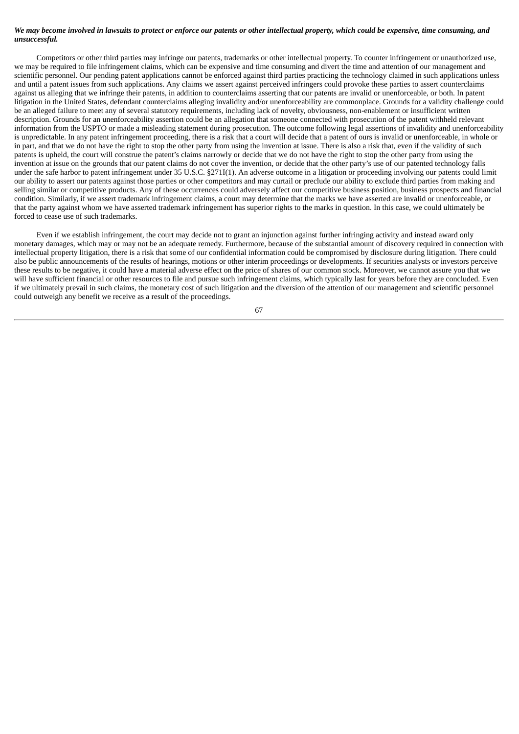#### We may become involved in lawsuits to protect or enforce our patents or other intellectual property, which could be expensive, time consuming, and *unsuccessful.*

Competitors or other third parties may infringe our patents, trademarks or other intellectual property. To counter infringement or unauthorized use, we may be required to file infringement claims, which can be expensive and time consuming and divert the time and attention of our management and scientific personnel. Our pending patent applications cannot be enforced against third parties practicing the technology claimed in such applications unless and until a patent issues from such applications. Any claims we assert against perceived infringers could provoke these parties to assert counterclaims against us alleging that we infringe their patents, in addition to counterclaims asserting that our patents are invalid or unenforceable, or both. In patent litigation in the United States, defendant counterclaims alleging invalidity and/or unenforceability are commonplace. Grounds for a validity challenge could be an alleged failure to meet any of several statutory requirements, including lack of novelty, obviousness, non-enablement or insufficient written description. Grounds for an unenforceability assertion could be an allegation that someone connected with prosecution of the patent withheld relevant information from the USPTO or made a misleading statement during prosecution. The outcome following legal assertions of invalidity and unenforceability is unpredictable. In any patent infringement proceeding, there is a risk that a court will decide that a patent of ours is invalid or unenforceable, in whole or in part, and that we do not have the right to stop the other party from using the invention at issue. There is also a risk that, even if the validity of such patents is upheld, the court will construe the patent's claims narrowly or decide that we do not have the right to stop the other party from using the invention at issue on the grounds that our patent claims do not cover the invention, or decide that the other party's use of our patented technology falls under the safe harbor to patent infringement under 35 U.S.C. §271I(1). An adverse outcome in a litigation or proceeding involving our patents could limit our ability to assert our patents against those parties or other competitors and may curtail or preclude our ability to exclude third parties from making and selling similar or competitive products. Any of these occurrences could adversely affect our competitive business position, business prospects and financial condition. Similarly, if we assert trademark infringement claims, a court may determine that the marks we have asserted are invalid or unenforceable, or that the party against whom we have asserted trademark infringement has superior rights to the marks in question. In this case, we could ultimately be forced to cease use of such trademarks.

Even if we establish infringement, the court may decide not to grant an injunction against further infringing activity and instead award only monetary damages, which may or may not be an adequate remedy. Furthermore, because of the substantial amount of discovery required in connection with intellectual property litigation, there is a risk that some of our confidential information could be compromised by disclosure during litigation. There could also be public announcements of the results of hearings, motions or other interim proceedings or developments. If securities analysts or investors perceive these results to be negative, it could have a material adverse effect on the price of shares of our common stock. Moreover, we cannot assure you that we will have sufficient financial or other resources to file and pursue such infringement claims, which typically last for years before they are concluded. Even if we ultimately prevail in such claims, the monetary cost of such litigation and the diversion of the attention of our management and scientific personnel could outweigh any benefit we receive as a result of the proceedings.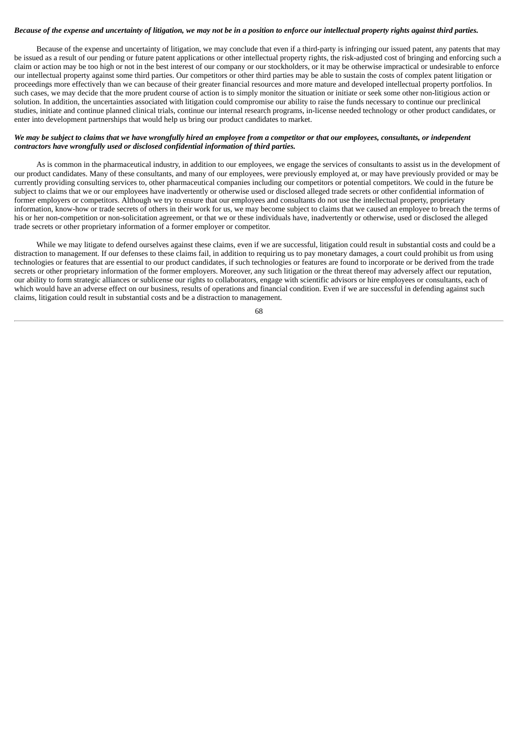#### Because of the expense and uncertainty of litigation, we may not be in a position to enforce our intellectual property rights against third parties.

Because of the expense and uncertainty of litigation, we may conclude that even if a third-party is infringing our issued patent, any patents that may be issued as a result of our pending or future patent applications or other intellectual property rights, the risk-adjusted cost of bringing and enforcing such a claim or action may be too high or not in the best interest of our company or our stockholders, or it may be otherwise impractical or undesirable to enforce our intellectual property against some third parties. Our competitors or other third parties may be able to sustain the costs of complex patent litigation or proceedings more effectively than we can because of their greater financial resources and more mature and developed intellectual property portfolios. In such cases, we may decide that the more prudent course of action is to simply monitor the situation or initiate or seek some other non-litigious action or solution. In addition, the uncertainties associated with litigation could compromise our ability to raise the funds necessary to continue our preclinical studies, initiate and continue planned clinical trials, continue our internal research programs, in-license needed technology or other product candidates, or enter into development partnerships that would help us bring our product candidates to market.

### We may be subject to claims that we have wrongfully hired an employee from a competitor or that our employees, consultants, or independent *contractors have wrongfully used or disclosed confidential information of third parties.*

As is common in the pharmaceutical industry, in addition to our employees, we engage the services of consultants to assist us in the development of our product candidates. Many of these consultants, and many of our employees, were previously employed at, or may have previously provided or may be currently providing consulting services to, other pharmaceutical companies including our competitors or potential competitors. We could in the future be subject to claims that we or our employees have inadvertently or otherwise used or disclosed alleged trade secrets or other confidential information of former employers or competitors. Although we try to ensure that our employees and consultants do not use the intellectual property, proprietary information, know-how or trade secrets of others in their work for us, we may become subject to claims that we caused an employee to breach the terms of his or her non-competition or non-solicitation agreement, or that we or these individuals have, inadvertently or otherwise, used or disclosed the alleged trade secrets or other proprietary information of a former employer or competitor.

While we may litigate to defend ourselves against these claims, even if we are successful, litigation could result in substantial costs and could be a distraction to management. If our defenses to these claims fail, in addition to requiring us to pay monetary damages, a court could prohibit us from using technologies or features that are essential to our product candidates, if such technologies or features are found to incorporate or be derived from the trade secrets or other proprietary information of the former employers. Moreover, any such litigation or the threat thereof may adversely affect our reputation, our ability to form strategic alliances or sublicense our rights to collaborators, engage with scientific advisors or hire employees or consultants, each of which would have an adverse effect on our business, results of operations and financial condition. Even if we are successful in defending against such claims, litigation could result in substantial costs and be a distraction to management.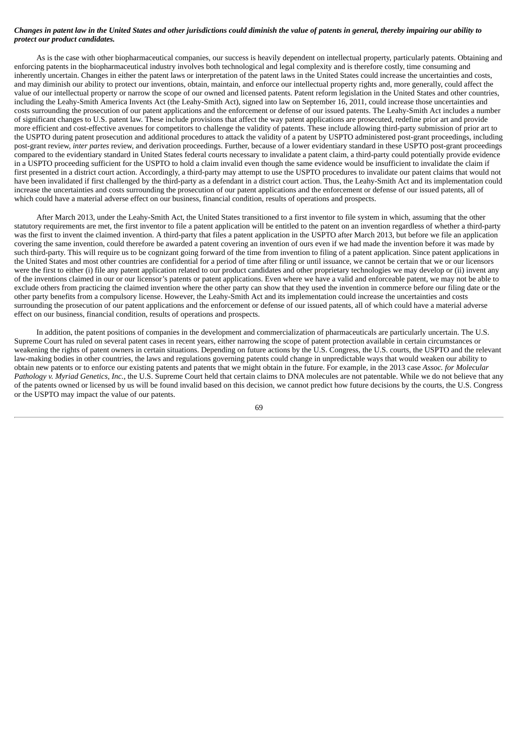### Changes in patent law in the United States and other jurisdictions could diminish the value of patents in general, thereby impairing our ability to *protect our product candidates.*

As is the case with other biopharmaceutical companies, our success is heavily dependent on intellectual property, particularly patents. Obtaining and enforcing patents in the biopharmaceutical industry involves both technological and legal complexity and is therefore costly, time consuming and inherently uncertain. Changes in either the patent laws or interpretation of the patent laws in the United States could increase the uncertainties and costs, and may diminish our ability to protect our inventions, obtain, maintain, and enforce our intellectual property rights and, more generally, could affect the value of our intellectual property or narrow the scope of our owned and licensed patents. Patent reform legislation in the United States and other countries, including the Leahy-Smith America Invents Act (the Leahy-Smith Act), signed into law on September 16, 2011, could increase those uncertainties and costs surrounding the prosecution of our patent applications and the enforcement or defense of our issued patents. The Leahy-Smith Act includes a number of significant changes to U.S. patent law. These include provisions that affect the way patent applications are prosecuted, redefine prior art and provide more efficient and cost-effective avenues for competitors to challenge the validity of patents. These include allowing third-party submission of prior art to the USPTO during patent prosecution and additional procedures to attack the validity of a patent by USPTO administered post-grant proceedings, including post-grant review, *inter partes* review, and derivation proceedings. Further, because of a lower evidentiary standard in these USPTO post-grant proceedings compared to the evidentiary standard in United States federal courts necessary to invalidate a patent claim, a third-party could potentially provide evidence in a USPTO proceeding sufficient for the USPTO to hold a claim invalid even though the same evidence would be insufficient to invalidate the claim if first presented in a district court action. Accordingly, a third-party may attempt to use the USPTO procedures to invalidate our patent claims that would not have been invalidated if first challenged by the third-party as a defendant in a district court action. Thus, the Leahy-Smith Act and its implementation could increase the uncertainties and costs surrounding the prosecution of our patent applications and the enforcement or defense of our issued patents, all of which could have a material adverse effect on our business, financial condition, results of operations and prospects.

After March 2013, under the Leahy-Smith Act, the United States transitioned to a first inventor to file system in which, assuming that the other statutory requirements are met, the first inventor to file a patent application will be entitled to the patent on an invention regardless of whether a third-party was the first to invent the claimed invention. A third-party that files a patent application in the USPTO after March 2013, but before we file an application covering the same invention, could therefore be awarded a patent covering an invention of ours even if we had made the invention before it was made by such third-party. This will require us to be cognizant going forward of the time from invention to filing of a patent application. Since patent applications in the United States and most other countries are confidential for a period of time after filing or until issuance, we cannot be certain that we or our licensors were the first to either (i) file any patent application related to our product candidates and other proprietary technologies we may develop or (ii) invent any of the inventions claimed in our or our licensor's patents or patent applications. Even where we have a valid and enforceable patent, we may not be able to exclude others from practicing the claimed invention where the other party can show that they used the invention in commerce before our filing date or the other party benefits from a compulsory license. However, the Leahy-Smith Act and its implementation could increase the uncertainties and costs surrounding the prosecution of our patent applications and the enforcement or defense of our issued patents, all of which could have a material adverse effect on our business, financial condition, results of operations and prospects.

In addition, the patent positions of companies in the development and commercialization of pharmaceuticals are particularly uncertain. The U.S. Supreme Court has ruled on several patent cases in recent years, either narrowing the scope of patent protection available in certain circumstances or weakening the rights of patent owners in certain situations. Depending on future actions by the U.S. Congress, the U.S. courts, the USPTO and the relevant law-making bodies in other countries, the laws and regulations governing patents could change in unpredictable ways that would weaken our ability to obtain new patents or to enforce our existing patents and patents that we might obtain in the future. For example, in the 2013 case *Assoc. for Molecular Pathology v. Myriad Genetics, Inc.*, the U.S. Supreme Court held that certain claims to DNA molecules are not patentable. While we do not believe that any of the patents owned or licensed by us will be found invalid based on this decision, we cannot predict how future decisions by the courts, the U.S. Congress or the USPTO may impact the value of our patents.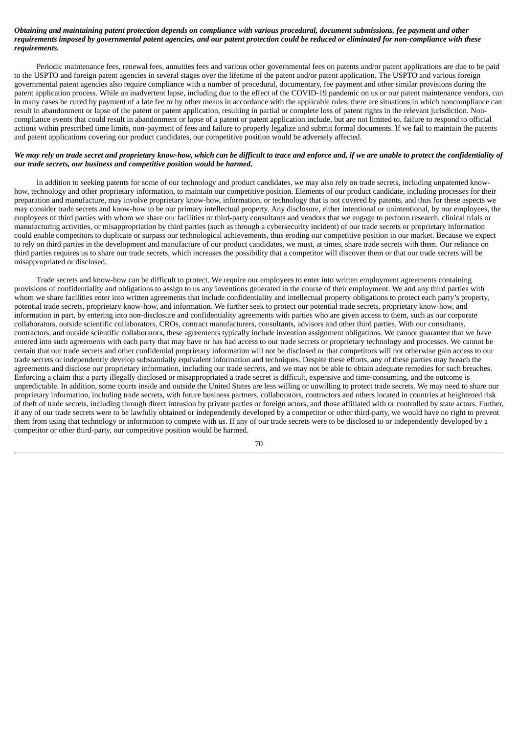#### Obtaining and maintaining patent protection depends on compliance with various procedural, document submissions, fee payment and other requirements imposed by governmental patent agencies, and our patent protection could be reduced or eliminated for non-compliance with these *requirements.*

Periodic maintenance fees, renewal fees, annuities fees and various other governmental fees on patents and/or patent applications are due to be paid to the USPTO and foreign patent agencies in several stages over the lifetime of the patent and/or patent application. The USPTO and various foreign governmental patent agencies also require compliance with a number of procedural, documentary, fee payment and other similar provisions during the patent application process. While an inadvertent lapse, including due to the effect of the COVID-19 pandemic on us or our patent maintenance vendors, can in many cases be cured by payment of a late fee or by other means in accordance with the applicable rules, there are situations in which noncompliance can result in abandonment or lapse of the patent or patent application, resulting in partial or complete loss of patent rights in the relevant jurisdiction. Noncompliance events that could result in abandonment or lapse of a patent or patent application include, but are not limited to, failure to respond to official actions within prescribed time limits, non-payment of fees and failure to properly legalize and submit formal documents. If we fail to maintain the patents and patent applications covering our product candidates, our competitive position would be adversely affected.

## We may rely on trade secret and proprietary know-how, which can be difficult to trace and enforce and, if we are unable to protect the confidentiality of *our trade secrets, our business and competitive position would be harmed.*

In addition to seeking patents for some of our technology and product candidates, we may also rely on trade secrets, including unpatented knowhow, technology and other proprietary information, to maintain our competitive position. Elements of our product candidate, including processes for their preparation and manufacture, may involve proprietary know-how, information, or technology that is not covered by patents, and thus for these aspects we may consider trade secrets and know-how to be our primary intellectual property. Any disclosure, either intentional or unintentional, by our employees, the employees of third parties with whom we share our facilities or third-party consultants and vendors that we engage to perform research, clinical trials or manufacturing activities, or misappropriation by third parties (such as through a cybersecurity incident) of our trade secrets or proprietary information could enable competitors to duplicate or surpass our technological achievements, thus eroding our competitive position in our market. Because we expect to rely on third parties in the development and manufacture of our product candidates, we must, at times, share trade secrets with them. Our reliance on third parties requires us to share our trade secrets, which increases the possibility that a competitor will discover them or that our trade secrets will be misappropriated or disclosed.

Trade secrets and know-how can be difficult to protect. We require our employees to enter into written employment agreements containing provisions of confidentiality and obligations to assign to us any inventions generated in the course of their employment. We and any third parties with whom we share facilities enter into written agreements that include confidentiality and intellectual property obligations to protect each party's property, potential trade secrets, proprietary know-how, and information. We further seek to protect our potential trade secrets, proprietary know-how, and information in part, by entering into non-disclosure and confidentiality agreements with parties who are given access to them, such as our corporate collaborators, outside scientific collaborators, CROs, contract manufacturers, consultants, advisors and other third parties. With our consultants, contractors, and outside scientific collaborators, these agreements typically include invention assignment obligations. We cannot guarantee that we have entered into such agreements with each party that may have or has had access to our trade secrets or proprietary technology and processes. We cannot be certain that our trade secrets and other confidential proprietary information will not be disclosed or that competitors will not otherwise gain access to our trade secrets or independently develop substantially equivalent information and techniques. Despite these efforts, any of these parties may breach the agreements and disclose our proprietary information, including our trade secrets, and we may not be able to obtain adequate remedies for such breaches. Enforcing a claim that a party illegally disclosed or misappropriated a trade secret is difficult, expensive and time-consuming, and the outcome is unpredictable. In addition, some courts inside and outside the United States are less willing or unwilling to protect trade secrets. We may need to share our proprietary information, including trade secrets, with future business partners, collaborators, contractors and others located in countries at heightened risk of theft of trade secrets, including through direct intrusion by private parties or foreign actors, and those affiliated with or controlled by state actors. Further, if any of our trade secrets were to be lawfully obtained or independently developed by a competitor or other third-party, we would have no right to prevent them from using that technology or information to compete with us. If any of our trade secrets were to be disclosed to or independently developed by a competitor or other third-party, our competitive position would be harmed.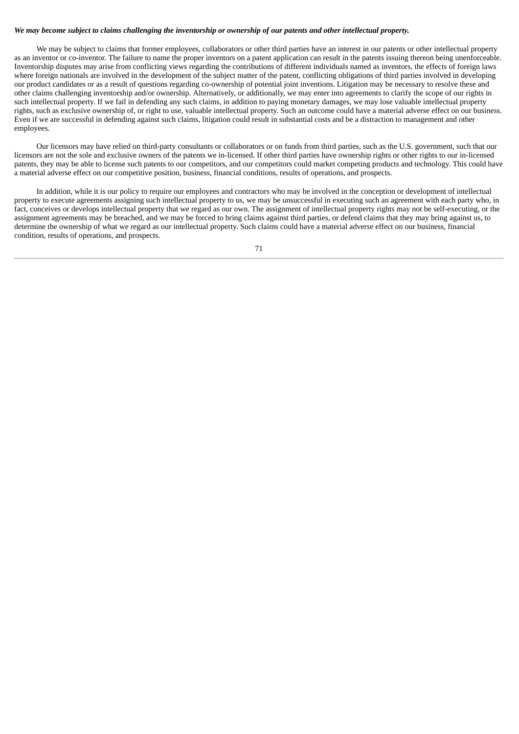#### We may become subject to claims challenging the inventorship or ownership of our patents and other intellectual property.

We may be subject to claims that former employees, collaborators or other third parties have an interest in our patents or other intellectual property as an inventor or co-inventor. The failure to name the proper inventors on a patent application can result in the patents issuing thereon being unenforceable. Inventorship disputes may arise from conflicting views regarding the contributions of different individuals named as inventors, the effects of foreign laws where foreign nationals are involved in the development of the subject matter of the patent, conflicting obligations of third parties involved in developing our product candidates or as a result of questions regarding co-ownership of potential joint inventions. Litigation may be necessary to resolve these and other claims challenging inventorship and/or ownership. Alternatively, or additionally, we may enter into agreements to clarify the scope of our rights in such intellectual property. If we fail in defending any such claims, in addition to paying monetary damages, we may lose valuable intellectual property rights, such as exclusive ownership of, or right to use, valuable intellectual property. Such an outcome could have a material adverse effect on our business. Even if we are successful in defending against such claims, litigation could result in substantial costs and be a distraction to management and other employees.

Our licensors may have relied on third-party consultants or collaborators or on funds from third parties, such as the U.S. government, such that our licensors are not the sole and exclusive owners of the patents we in-licensed. If other third parties have ownership rights or other rights to our in-licensed patents, they may be able to license such patents to our competitors, and our competitors could market competing products and technology. This could have a material adverse effect on our competitive position, business, financial conditions, results of operations, and prospects.

In addition, while it is our policy to require our employees and contractors who may be involved in the conception or development of intellectual property to execute agreements assigning such intellectual property to us, we may be unsuccessful in executing such an agreement with each party who, in fact, conceives or develops intellectual property that we regard as our own. The assignment of intellectual property rights may not be self-executing, or the assignment agreements may be breached, and we may be forced to bring claims against third parties, or defend claims that they may bring against us, to determine the ownership of what we regard as our intellectual property. Such claims could have a material adverse effect on our business, financial condition, results of operations, and prospects.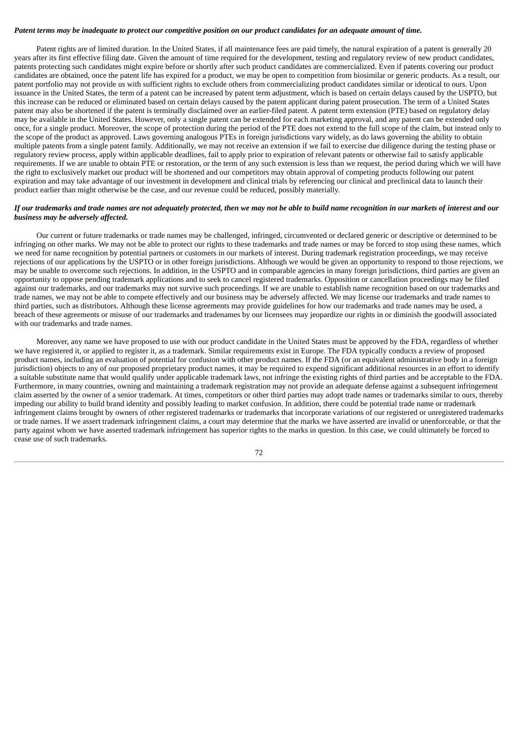#### Patent terms may be inadequate to protect our competitive position on our product candidates for an adequate amount of time.

Patent rights are of limited duration. In the United States, if all maintenance fees are paid timely, the natural expiration of a patent is generally 20 years after its first effective filing date. Given the amount of time required for the development, testing and regulatory review of new product candidates, patents protecting such candidates might expire before or shortly after such product candidates are commercialized. Even if patents covering our product candidates are obtained, once the patent life has expired for a product, we may be open to competition from biosimilar or generic products. As a result, our patent portfolio may not provide us with sufficient rights to exclude others from commercializing product candidates similar or identical to ours. Upon issuance in the United States, the term of a patent can be increased by patent term adjustment, which is based on certain delays caused by the USPTO, but this increase can be reduced or eliminated based on certain delays caused by the patent applicant during patent prosecution. The term of a United States patent may also be shortened if the patent is terminally disclaimed over an earlier-filed patent. A patent term extension (PTE) based on regulatory delay may be available in the United States. However, only a single patent can be extended for each marketing approval, and any patent can be extended only once, for a single product. Moreover, the scope of protection during the period of the PTE does not extend to the full scope of the claim, but instead only to the scope of the product as approved. Laws governing analogous PTEs in foreign jurisdictions vary widely, as do laws governing the ability to obtain multiple patents from a single patent family. Additionally, we may not receive an extension if we fail to exercise due diligence during the testing phase or regulatory review process, apply within applicable deadlines, fail to apply prior to expiration of relevant patents or otherwise fail to satisfy applicable requirements. If we are unable to obtain PTE or restoration, or the term of any such extension is less than we request, the period during which we will have the right to exclusively market our product will be shortened and our competitors may obtain approval of competing products following our patent expiration and may take advantage of our investment in development and clinical trials by referencing our clinical and preclinical data to launch their product earlier than might otherwise be the case, and our revenue could be reduced, possibly materially.

#### If our trademarks and trade names are not adequately protected, then we may not be able to build name recognition in our markets of interest and our *business may be adversely affected.*

Our current or future trademarks or trade names may be challenged, infringed, circumvented or declared generic or descriptive or determined to be infringing on other marks. We may not be able to protect our rights to these trademarks and trade names or may be forced to stop using these names, which we need for name recognition by potential partners or customers in our markets of interest. During trademark registration proceedings, we may receive rejections of our applications by the USPTO or in other foreign jurisdictions. Although we would be given an opportunity to respond to those rejections, we may be unable to overcome such rejections. In addition, in the USPTO and in comparable agencies in many foreign jurisdictions, third parties are given an opportunity to oppose pending trademark applications and to seek to cancel registered trademarks. Opposition or cancellation proceedings may be filed against our trademarks, and our trademarks may not survive such proceedings. If we are unable to establish name recognition based on our trademarks and trade names, we may not be able to compete effectively and our business may be adversely affected. We may license our trademarks and trade names to third parties, such as distributors. Although these license agreements may provide guidelines for how our trademarks and trade names may be used, a breach of these agreements or misuse of our trademarks and tradenames by our licensees may jeopardize our rights in or diminish the goodwill associated with our trademarks and trade names.

Moreover, any name we have proposed to use with our product candidate in the United States must be approved by the FDA, regardless of whether we have registered it, or applied to register it, as a trademark. Similar requirements exist in Europe. The FDA typically conducts a review of proposed product names, including an evaluation of potential for confusion with other product names. If the FDA (or an equivalent administrative body in a foreign jurisdiction) objects to any of our proposed proprietary product names, it may be required to expend significant additional resources in an effort to identify a suitable substitute name that would qualify under applicable trademark laws, not infringe the existing rights of third parties and be acceptable to the FDA. Furthermore, in many countries, owning and maintaining a trademark registration may not provide an adequate defense against a subsequent infringement claim asserted by the owner of a senior trademark. At times, competitors or other third parties may adopt trade names or trademarks similar to ours, thereby impeding our ability to build brand identity and possibly leading to market confusion. In addition, there could be potential trade name or trademark infringement claims brought by owners of other registered trademarks or trademarks that incorporate variations of our registered or unregistered trademarks or trade names. If we assert trademark infringement claims, a court may determine that the marks we have asserted are invalid or unenforceable, or that the party against whom we have asserted trademark infringement has superior rights to the marks in question. In this case, we could ultimately be forced to cease use of such trademarks.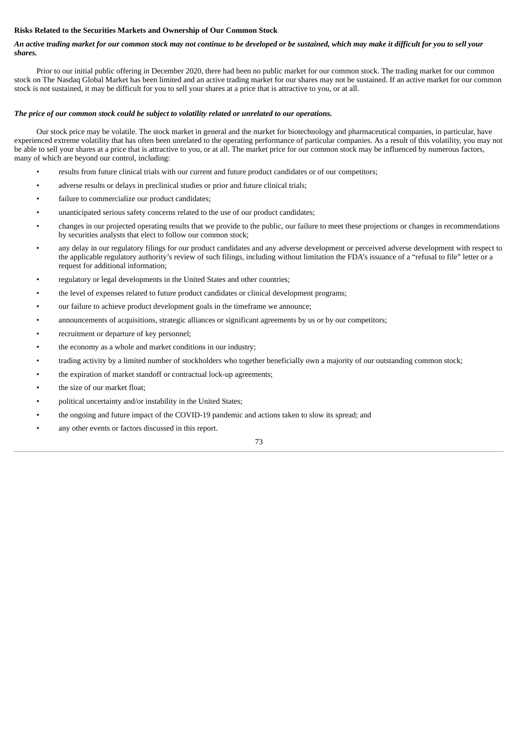## **Risks Related to the Securities Markets and Ownership of Our Common Stock**

# An active trading market for our common stock may not continue to be developed or be sustained, which may make it difficult for you to sell your *shares.*

Prior to our initial public offering in December 2020, there had been no public market for our common stock. The trading market for our common stock on The Nasdaq Global Market has been limited and an active trading market for our shares may not be sustained. If an active market for our common stock is not sustained, it may be difficult for you to sell your shares at a price that is attractive to you, or at all.

## *The price of our common stock could be subject to volatility related or unrelated to our operations.*

Our stock price may be volatile. The stock market in general and the market for biotechnology and pharmaceutical companies, in particular, have experienced extreme volatility that has often been unrelated to the operating performance of particular companies. As a result of this volatility, you may not be able to sell your shares at a price that is attractive to you, or at all. The market price for our common stock may be influenced by numerous factors, many of which are beyond our control, including:

- results from future clinical trials with our current and future product candidates or of our competitors;
- adverse results or delays in preclinical studies or prior and future clinical trials;
- failure to commercialize our product candidates;
- unanticipated serious safety concerns related to the use of our product candidates;
- changes in our projected operating results that we provide to the public, our failure to meet these projections or changes in recommendations by securities analysts that elect to follow our common stock;
- any delay in our regulatory filings for our product candidates and any adverse development or perceived adverse development with respect to the applicable regulatory authority's review of such filings, including without limitation the FDA's issuance of a "refusal to file" letter or a request for additional information;
- regulatory or legal developments in the United States and other countries;
- the level of expenses related to future product candidates or clinical development programs;
- our failure to achieve product development goals in the timeframe we announce;
- announcements of acquisitions, strategic alliances or significant agreements by us or by our competitors;
- recruitment or departure of key personnel;
- the economy as a whole and market conditions in our industry;
- trading activity by a limited number of stockholders who together beneficially own a majority of our outstanding common stock;
- the expiration of market standoff or contractual lock-up agreements;
- the size of our market float:
- political uncertainty and/or instability in the United States;
- the ongoing and future impact of the COVID-19 pandemic and actions taken to slow its spread; and
- any other events or factors discussed in this report.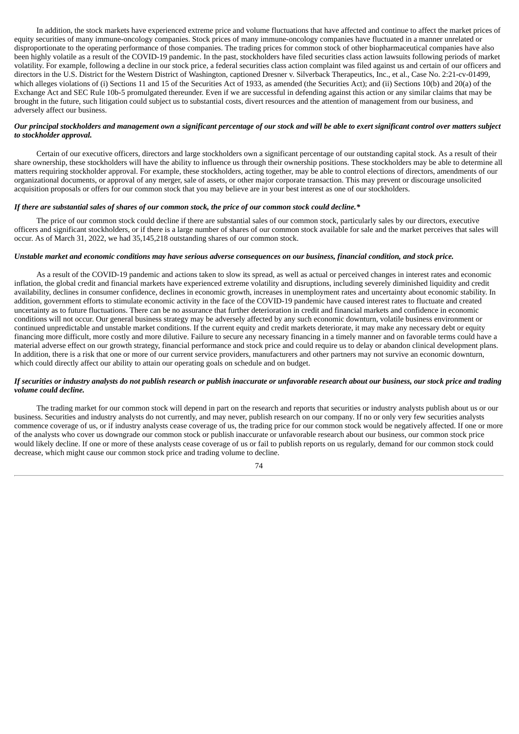In addition, the stock markets have experienced extreme price and volume fluctuations that have affected and continue to affect the market prices of equity securities of many immune-oncology companies. Stock prices of many immune-oncology companies have fluctuated in a manner unrelated or disproportionate to the operating performance of those companies. The trading prices for common stock of other biopharmaceutical companies have also been highly volatile as a result of the COVID-19 pandemic. In the past, stockholders have filed securities class action lawsuits following periods of market volatility. For example, following a decline in our stock price, a federal securities class action complaint was filed against us and certain of our officers and directors in the U.S. District for the Western District of Washington, captioned Dresner v. Silverback Therapeutics, Inc., et al., Case No. 2:21-cv-01499, which alleges violations of (i) Sections 11 and 15 of the Securities Act of 1933, as amended (the Securities Act); and (ii) Sections 10(b) and 20(a) of the Exchange Act and SEC Rule 10b-5 promulgated thereunder. Even if we are successful in defending against this action or any similar claims that may be brought in the future, such litigation could subject us to substantial costs, divert resources and the attention of management from our business, and adversely affect our business.

#### Our principal stockholders and management own a significant percentage of our stock and will be able to exert significant control over matters subject *to stockholder approval.*

Certain of our executive officers, directors and large stockholders own a significant percentage of our outstanding capital stock. As a result of their share ownership, these stockholders will have the ability to influence us through their ownership positions. These stockholders may be able to determine all matters requiring stockholder approval. For example, these stockholders, acting together, may be able to control elections of directors, amendments of our organizational documents, or approval of any merger, sale of assets, or other major corporate transaction. This may prevent or discourage unsolicited acquisition proposals or offers for our common stock that you may believe are in your best interest as one of our stockholders.

#### If there are substantial sales of shares of our common stock, the price of our common stock could decline.\*

The price of our common stock could decline if there are substantial sales of our common stock, particularly sales by our directors, executive officers and significant stockholders, or if there is a large number of shares of our common stock available for sale and the market perceives that sales will occur. As of March 31, 2022, we had 35,145,218 outstanding shares of our common stock.

#### Unstable market and economic conditions may have serious adverse consequences on our business, financial condition, and stock price.

As a result of the COVID-19 pandemic and actions taken to slow its spread, as well as actual or perceived changes in interest rates and economic inflation, the global credit and financial markets have experienced extreme volatility and disruptions, including severely diminished liquidity and credit availability, declines in consumer confidence, declines in economic growth, increases in unemployment rates and uncertainty about economic stability. In addition, government efforts to stimulate economic activity in the face of the COVID-19 pandemic have caused interest rates to fluctuate and created uncertainty as to future fluctuations. There can be no assurance that further deterioration in credit and financial markets and confidence in economic conditions will not occur. Our general business strategy may be adversely affected by any such economic downturn, volatile business environment or continued unpredictable and unstable market conditions. If the current equity and credit markets deteriorate, it may make any necessary debt or equity financing more difficult, more costly and more dilutive. Failure to secure any necessary financing in a timely manner and on favorable terms could have a material adverse effect on our growth strategy, financial performance and stock price and could require us to delay or abandon clinical development plans. In addition, there is a risk that one or more of our current service providers, manufacturers and other partners may not survive an economic downturn, which could directly affect our ability to attain our operating goals on schedule and on budget.

## If securities or industry analysts do not publish research or publish inaccurate or unfavorable research about our business, our stock price and trading *volume could decline.*

The trading market for our common stock will depend in part on the research and reports that securities or industry analysts publish about us or our business. Securities and industry analysts do not currently, and may never, publish research on our company. If no or only very few securities analysts commence coverage of us, or if industry analysts cease coverage of us, the trading price for our common stock would be negatively affected. If one or more of the analysts who cover us downgrade our common stock or publish inaccurate or unfavorable research about our business, our common stock price would likely decline. If one or more of these analysts cease coverage of us or fail to publish reports on us regularly, demand for our common stock could decrease, which might cause our common stock price and trading volume to decline.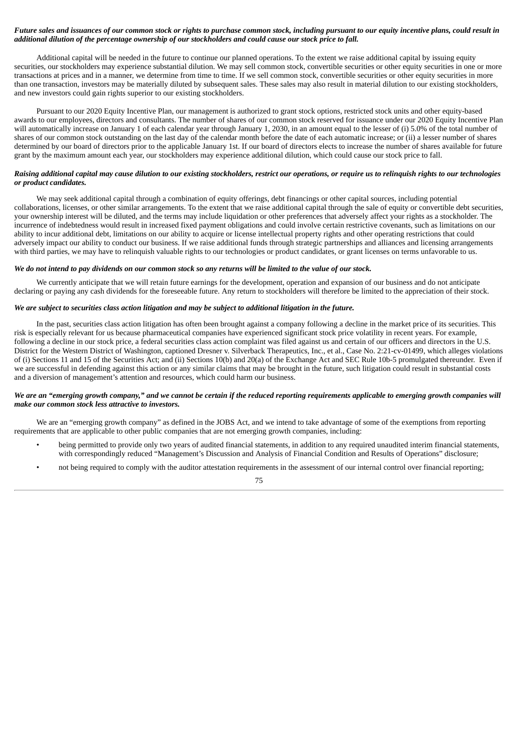## Future sales and issuances of our common stock or rights to purchase common stock, including pursuant to our equity incentive plans, could result in additional dilution of the percentage ownership of our stockholders and could cause our stock price to fall.

Additional capital will be needed in the future to continue our planned operations. To the extent we raise additional capital by issuing equity securities, our stockholders may experience substantial dilution. We may sell common stock, convertible securities or other equity securities in one or more transactions at prices and in a manner, we determine from time to time. If we sell common stock, convertible securities or other equity securities in more than one transaction, investors may be materially diluted by subsequent sales. These sales may also result in material dilution to our existing stockholders, and new investors could gain rights superior to our existing stockholders.

Pursuant to our 2020 Equity Incentive Plan, our management is authorized to grant stock options, restricted stock units and other equity-based awards to our employees, directors and consultants. The number of shares of our common stock reserved for issuance under our 2020 Equity Incentive Plan will automatically increase on January 1 of each calendar year through January 1, 2030, in an amount equal to the lesser of (i) 5.0% of the total number of shares of our common stock outstanding on the last day of the calendar month before the date of each automatic increase; or (ii) a lesser number of shares determined by our board of directors prior to the applicable January 1st. If our board of directors elects to increase the number of shares available for future grant by the maximum amount each year, our stockholders may experience additional dilution, which could cause our stock price to fall.

## Raising additional capital may cause dilution to our existing stockholders, restrict our operations, or require us to relinquish rights to our technologies *or product candidates.*

We may seek additional capital through a combination of equity offerings, debt financings or other capital sources, including potential collaborations, licenses, or other similar arrangements. To the extent that we raise additional capital through the sale of equity or convertible debt securities, your ownership interest will be diluted, and the terms may include liquidation or other preferences that adversely affect your rights as a stockholder. The incurrence of indebtedness would result in increased fixed payment obligations and could involve certain restrictive covenants, such as limitations on our ability to incur additional debt, limitations on our ability to acquire or license intellectual property rights and other operating restrictions that could adversely impact our ability to conduct our business. If we raise additional funds through strategic partnerships and alliances and licensing arrangements with third parties, we may have to relinquish valuable rights to our technologies or product candidates, or grant licenses on terms unfavorable to us.

## We do not intend to pay dividends on our common stock so any returns will be limited to the value of our stock.

We currently anticipate that we will retain future earnings for the development, operation and expansion of our business and do not anticipate declaring or paying any cash dividends for the foreseeable future. Any return to stockholders will therefore be limited to the appreciation of their stock.

## We are subject to securities class action litigation and may be subject to additional litigation in the future.

In the past, securities class action litigation has often been brought against a company following a decline in the market price of its securities. This risk is especially relevant for us because pharmaceutical companies have experienced significant stock price volatility in recent years. For example, following a decline in our stock price, a federal securities class action complaint was filed against us and certain of our officers and directors in the U.S. District for the Western District of Washington, captioned Dresner v. Silverback Therapeutics, Inc., et al., Case No. 2:21-cv-01499, which alleges violations of (i) Sections 11 and 15 of the Securities Act; and (ii) Sections 10(b) and 20(a) of the Exchange Act and SEC Rule 10b-5 promulgated thereunder. Even if we are successful in defending against this action or any similar claims that may be brought in the future, such litigation could result in substantial costs and a diversion of management's attention and resources, which could harm our business.

## We are an "emerging growth company," and we cannot be certain if the reduced reporting requirements applicable to emerging growth companies will *make our common stock less attractive to investors.*

We are an "emerging growth company" as defined in the JOBS Act, and we intend to take advantage of some of the exemptions from reporting requirements that are applicable to other public companies that are not emerging growth companies, including:

- being permitted to provide only two years of audited financial statements, in addition to any required unaudited interim financial statements, with correspondingly reduced "Management's Discussion and Analysis of Financial Condition and Results of Operations" disclosure;
- not being required to comply with the auditor attestation requirements in the assessment of our internal control over financial reporting; 75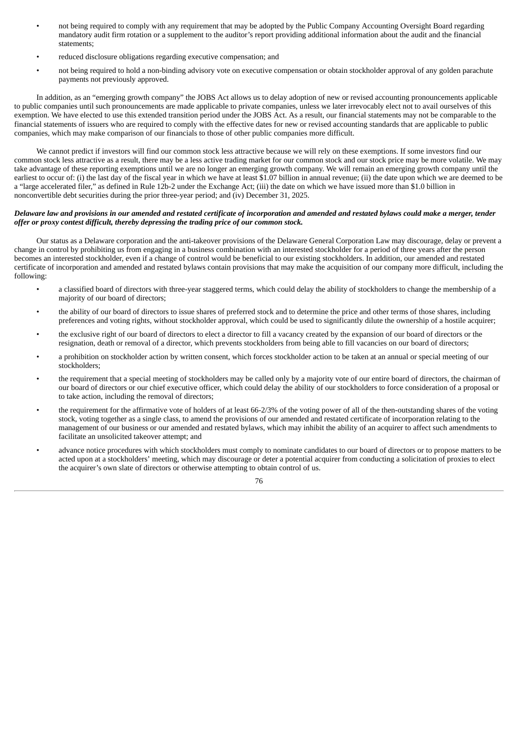- not being required to comply with any requirement that may be adopted by the Public Company Accounting Oversight Board regarding mandatory audit firm rotation or a supplement to the auditor's report providing additional information about the audit and the financial statements;
- reduced disclosure obligations regarding executive compensation; and
- not being required to hold a non-binding advisory vote on executive compensation or obtain stockholder approval of any golden parachute payments not previously approved.

In addition, as an "emerging growth company" the JOBS Act allows us to delay adoption of new or revised accounting pronouncements applicable to public companies until such pronouncements are made applicable to private companies, unless we later irrevocably elect not to avail ourselves of this exemption. We have elected to use this extended transition period under the JOBS Act. As a result, our financial statements may not be comparable to the financial statements of issuers who are required to comply with the effective dates for new or revised accounting standards that are applicable to public companies, which may make comparison of our financials to those of other public companies more difficult.

We cannot predict if investors will find our common stock less attractive because we will rely on these exemptions. If some investors find our common stock less attractive as a result, there may be a less active trading market for our common stock and our stock price may be more volatile. We may take advantage of these reporting exemptions until we are no longer an emerging growth company. We will remain an emerging growth company until the earliest to occur of: (i) the last day of the fiscal year in which we have at least \$1.07 billion in annual revenue; (ii) the date upon which we are deemed to be a "large accelerated filer," as defined in Rule 12b-2 under the Exchange Act; (iii) the date on which we have issued more than \$1.0 billion in nonconvertible debt securities during the prior three-year period; and (iv) December 31, 2025.

## Delaware law and provisions in our amended and restated certificate of incorporation and amended and restated bylaws could make a merger, tender *offer or proxy contest difficult, thereby depressing the trading price of our common stock.*

Our status as a Delaware corporation and the anti-takeover provisions of the Delaware General Corporation Law may discourage, delay or prevent a change in control by prohibiting us from engaging in a business combination with an interested stockholder for a period of three years after the person becomes an interested stockholder, even if a change of control would be beneficial to our existing stockholders. In addition, our amended and restated certificate of incorporation and amended and restated bylaws contain provisions that may make the acquisition of our company more difficult, including the following:

- a classified board of directors with three-year staggered terms, which could delay the ability of stockholders to change the membership of a majority of our board of directors;
- the ability of our board of directors to issue shares of preferred stock and to determine the price and other terms of those shares, including preferences and voting rights, without stockholder approval, which could be used to significantly dilute the ownership of a hostile acquirer;
- the exclusive right of our board of directors to elect a director to fill a vacancy created by the expansion of our board of directors or the resignation, death or removal of a director, which prevents stockholders from being able to fill vacancies on our board of directors;
- a prohibition on stockholder action by written consent, which forces stockholder action to be taken at an annual or special meeting of our stockholders;
- the requirement that a special meeting of stockholders may be called only by a majority vote of our entire board of directors, the chairman of our board of directors or our chief executive officer, which could delay the ability of our stockholders to force consideration of a proposal or to take action, including the removal of directors;
- the requirement for the affirmative vote of holders of at least 66-2/3% of the voting power of all of the then-outstanding shares of the voting stock, voting together as a single class, to amend the provisions of our amended and restated certificate of incorporation relating to the management of our business or our amended and restated bylaws, which may inhibit the ability of an acquirer to affect such amendments to facilitate an unsolicited takeover attempt; and
- advance notice procedures with which stockholders must comply to nominate candidates to our board of directors or to propose matters to be acted upon at a stockholders' meeting, which may discourage or deter a potential acquirer from conducting a solicitation of proxies to elect the acquirer's own slate of directors or otherwise attempting to obtain control of us.

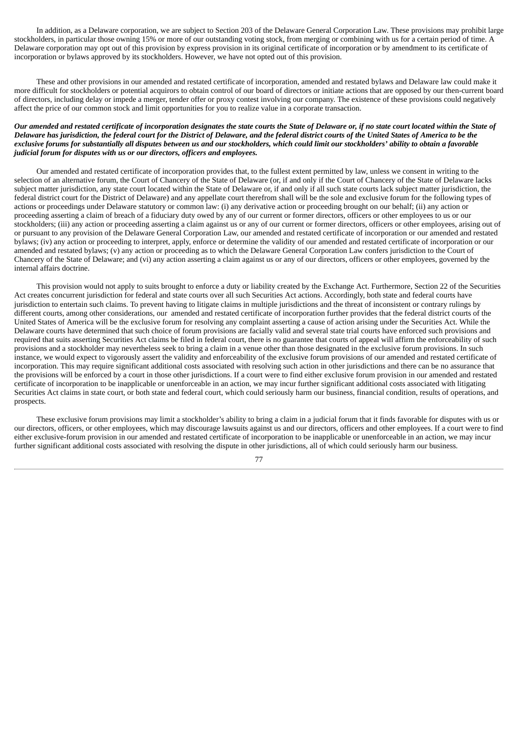In addition, as a Delaware corporation, we are subject to Section 203 of the Delaware General Corporation Law. These provisions may prohibit large stockholders, in particular those owning 15% or more of our outstanding voting stock, from merging or combining with us for a certain period of time. A Delaware corporation may opt out of this provision by express provision in its original certificate of incorporation or by amendment to its certificate of incorporation or bylaws approved by its stockholders. However, we have not opted out of this provision.

These and other provisions in our amended and restated certificate of incorporation, amended and restated bylaws and Delaware law could make it more difficult for stockholders or potential acquirors to obtain control of our board of directors or initiate actions that are opposed by our then-current board of directors, including delay or impede a merger, tender offer or proxy contest involving our company. The existence of these provisions could negatively affect the price of our common stock and limit opportunities for you to realize value in a corporate transaction.

#### Our amended and restated certificate of incorporation designates the state courts the State of Delaware or, if no state court located within the State of Delaware has jurisdiction, the federal court for the District of Delaware, and the federal district courts of the United States of America to be the exclusive forums for substantially all disputes between us and our stockholders, which could limit our stockholders' ability to obtain a favorable *judicial forum for disputes with us or our directors, officers and employees.*

Our amended and restated certificate of incorporation provides that, to the fullest extent permitted by law, unless we consent in writing to the selection of an alternative forum, the Court of Chancery of the State of Delaware (or, if and only if the Court of Chancery of the State of Delaware lacks subject matter jurisdiction, any state court located within the State of Delaware or, if and only if all such state courts lack subject matter jurisdiction, the federal district court for the District of Delaware) and any appellate court therefrom shall will be the sole and exclusive forum for the following types of actions or proceedings under Delaware statutory or common law: (i) any derivative action or proceeding brought on our behalf; (ii) any action or proceeding asserting a claim of breach of a fiduciary duty owed by any of our current or former directors, officers or other employees to us or our stockholders; (iii) any action or proceeding asserting a claim against us or any of our current or former directors, officers or other employees, arising out of or pursuant to any provision of the Delaware General Corporation Law, our amended and restated certificate of incorporation or our amended and restated bylaws; (iv) any action or proceeding to interpret, apply, enforce or determine the validity of our amended and restated certificate of incorporation or our amended and restated bylaws; (v) any action or proceeding as to which the Delaware General Corporation Law confers jurisdiction to the Court of Chancery of the State of Delaware; and (vi) any action asserting a claim against us or any of our directors, officers or other employees, governed by the internal affairs doctrine.

This provision would not apply to suits brought to enforce a duty or liability created by the Exchange Act. Furthermore, Section 22 of the Securities Act creates concurrent jurisdiction for federal and state courts over all such Securities Act actions. Accordingly, both state and federal courts have jurisdiction to entertain such claims. To prevent having to litigate claims in multiple jurisdictions and the threat of inconsistent or contrary rulings by different courts, among other considerations, our amended and restated certificate of incorporation further provides that the federal district courts of the United States of America will be the exclusive forum for resolving any complaint asserting a cause of action arising under the Securities Act. While the Delaware courts have determined that such choice of forum provisions are facially valid and several state trial courts have enforced such provisions and required that suits asserting Securities Act claims be filed in federal court, there is no guarantee that courts of appeal will affirm the enforceability of such provisions and a stockholder may nevertheless seek to bring a claim in a venue other than those designated in the exclusive forum provisions. In such instance, we would expect to vigorously assert the validity and enforceability of the exclusive forum provisions of our amended and restated certificate of incorporation. This may require significant additional costs associated with resolving such action in other jurisdictions and there can be no assurance that the provisions will be enforced by a court in those other jurisdictions. If a court were to find either exclusive forum provision in our amended and restated certificate of incorporation to be inapplicable or unenforceable in an action, we may incur further significant additional costs associated with litigating Securities Act claims in state court, or both state and federal court, which could seriously harm our business, financial condition, results of operations, and prospects.

These exclusive forum provisions may limit a stockholder's ability to bring a claim in a judicial forum that it finds favorable for disputes with us or our directors, officers, or other employees, which may discourage lawsuits against us and our directors, officers and other employees. If a court were to find either exclusive-forum provision in our amended and restated certificate of incorporation to be inapplicable or unenforceable in an action, we may incur further significant additional costs associated with resolving the dispute in other jurisdictions, all of which could seriously harm our business.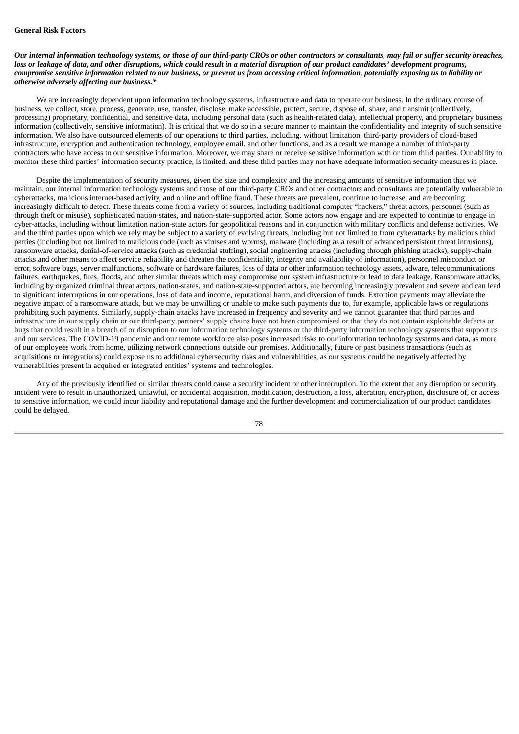## Our internal information technology systems, or those of our third-party CROs or other contractors or consultants, may fail or suffer security breaches, loss or leakage of data, and other disruptions, which could result in a material disruption of our product candidates' development programs, compromise sensitive information related to our business, or prevent us from accessing critical information, potentially exposing us to liability or *otherwise adversely affecting our business.\**

We are increasingly dependent upon information technology systems, infrastructure and data to operate our business. In the ordinary course of business, we collect, store, process, generate, use, transfer, disclose, make accessible, protect, secure, dispose of, share, and transmit (collectively, processing) proprietary, confidential, and sensitive data, including personal data (such as health-related data), intellectual property, and proprietary business information (collectively, sensitive information). It is critical that we do so in a secure manner to maintain the confidentiality and integrity of such sensitive information. We also have outsourced elements of our operations to third parties, including, without limitation, third-party providers of cloud-based infrastructure, encryption and authentication technology, employee email, and other functions, and as a result we manage a number of third-party contractors who have access to our sensitive information. Moreover, we may share or receive sensitive information with or from third parties. Our ability to monitor these third parties' information security practice, is limited, and these third parties may not have adequate information security measures in place.

Despite the implementation of security measures, given the size and complexity and the increasing amounts of sensitive information that we maintain, our internal information technology systems and those of our third-party CROs and other contractors and consultants are potentially vulnerable to cyberattacks, malicious internet-based activity, and online and offline fraud. These threats are prevalent, continue to increase, and are becoming increasingly difficult to detect. These threats come from a variety of sources, including traditional computer "hackers," threat actors, personnel (such as through theft or misuse), sophisticated nation-states, and nation-state-supported actor. Some actors now engage and are expected to continue to engage in cyber-attacks, including without limitation nation-state actors for geopolitical reasons and in conjunction with military conflicts and defense activities. We and the third parties upon which we rely may be subject to a variety of evolving threats, including but not limited to from cyberattacks by malicious third parties (including but not limited to malicious code (such as viruses and worms), malware (including as a result of advanced persistent threat intrusions), ransomware attacks, denial-of-service attacks (such as credential stuffing), social engineering attacks (including through phishing attacks), supply-chain attacks and other means to affect service reliability and threaten the confidentiality, integrity and availability of information), personnel misconduct or error, software bugs, server malfunctions, software or hardware failures, loss of data or other information technology assets, adware, telecommunications failures, earthquakes, fires, floods, and other similar threats which may compromise our system infrastructure or lead to data leakage. Ransomware attacks, including by organized criminal threat actors, nation-states, and nation-state-supported actors, are becoming increasingly prevalent and severe and can lead to significant interruptions in our operations, loss of data and income, reputational harm, and diversion of funds. Extortion payments may alleviate the negative impact of a ransomware attack, but we may be unwilling or unable to make such payments due to, for example, applicable laws or regulations prohibiting such payments. Similarly, supply-chain attacks have increased in frequency and severity and we cannot guarantee that third parties and infrastructure in our supply chain or our third-party partners' supply chains have not been compromised or that they do not contain exploitable defects or bugs that could result in a breach of or disruption to our information technology systems or the third-party information technology systems that support us and our services. The COVID-19 pandemic and our remote workforce also poses increased risks to our information technology systems and data, as more of our employees work from home, utilizing network connections outside our premises. Additionally, future or past business transactions (such as acquisitions or integrations) could expose us to additional cybersecurity risks and vulnerabilities, as our systems could be negatively affected by vulnerabilities present in acquired or integrated entities' systems and technologies.

Any of the previously identified or similar threats could cause a security incident or other interruption. To the extent that any disruption or security incident were to result in unauthorized, unlawful, or accidental acquisition, modification, destruction, a loss, alteration, encryption, disclosure of, or access to sensitive information, we could incur liability and reputational damage and the further development and commercialization of our product candidates could be delayed.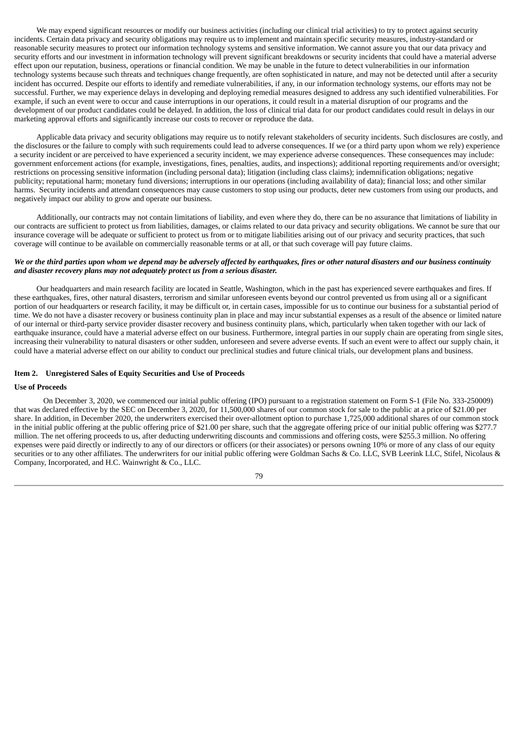We may expend significant resources or modify our business activities (including our clinical trial activities) to try to protect against security incidents. Certain data privacy and security obligations may require us to implement and maintain specific security measures, industry-standard or reasonable security measures to protect our information technology systems and sensitive information. We cannot assure you that our data privacy and security efforts and our investment in information technology will prevent significant breakdowns or security incidents that could have a material adverse effect upon our reputation, business, operations or financial condition. We may be unable in the future to detect vulnerabilities in our information technology systems because such threats and techniques change frequently, are often sophisticated in nature, and may not be detected until after a security incident has occurred. Despite our efforts to identify and remediate vulnerabilities, if any, in our information technology systems, our efforts may not be successful. Further, we may experience delays in developing and deploying remedial measures designed to address any such identified vulnerabilities. For example, if such an event were to occur and cause interruptions in our operations, it could result in a material disruption of our programs and the development of our product candidates could be delayed. In addition, the loss of clinical trial data for our product candidates could result in delays in our marketing approval efforts and significantly increase our costs to recover or reproduce the data.

Applicable data privacy and security obligations may require us to notify relevant stakeholders of security incidents. Such disclosures are costly, and the disclosures or the failure to comply with such requirements could lead to adverse consequences. If we (or a third party upon whom we rely) experience a security incident or are perceived to have experienced a security incident, we may experience adverse consequences. These consequences may include: government enforcement actions (for example, investigations, fines, penalties, audits, and inspections); additional reporting requirements and/or oversight; restrictions on processing sensitive information (including personal data); litigation (including class claims); indemnification obligations; negative publicity; reputational harm; monetary fund diversions; interruptions in our operations (including availability of data); financial loss; and other similar harms. Security incidents and attendant consequences may cause customers to stop using our products, deter new customers from using our products, and negatively impact our ability to grow and operate our business.

Additionally, our contracts may not contain limitations of liability, and even where they do, there can be no assurance that limitations of liability in our contracts are sufficient to protect us from liabilities, damages, or claims related to our data privacy and security obligations. We cannot be sure that our insurance coverage will be adequate or sufficient to protect us from or to mitigate liabilities arising out of our privacy and security practices, that such coverage will continue to be available on commercially reasonable terms or at all, or that such coverage will pay future claims.

## We or the third parties upon whom we depend may be adversely affected by earthquakes, fires or other natural disasters and our business continuity *and disaster recovery plans may not adequately protect us from a serious disaster.*

Our headquarters and main research facility are located in Seattle, Washington, which in the past has experienced severe earthquakes and fires. If these earthquakes, fires, other natural disasters, terrorism and similar unforeseen events beyond our control prevented us from using all or a significant portion of our headquarters or research facility, it may be difficult or, in certain cases, impossible for us to continue our business for a substantial period of time. We do not have a disaster recovery or business continuity plan in place and may incur substantial expenses as a result of the absence or limited nature of our internal or third-party service provider disaster recovery and business continuity plans, which, particularly when taken together with our lack of earthquake insurance, could have a material adverse effect on our business. Furthermore, integral parties in our supply chain are operating from single sites, increasing their vulnerability to natural disasters or other sudden, unforeseen and severe adverse events. If such an event were to affect our supply chain, it could have a material adverse effect on our ability to conduct our preclinical studies and future clinical trials, our development plans and business.

#### **Item 2. Unregistered Sales of Equity Securities and Use of Proceeds**

#### **Use of Proceeds**

On December 3, 2020, we commenced our initial public offering (IPO) pursuant to a registration statement on Form S-1 (File No. 333-250009) that was declared effective by the SEC on December 3, 2020, for 11,500,000 shares of our common stock for sale to the public at a price of \$21.00 per share. In addition, in December 2020, the underwriters exercised their over-allotment option to purchase 1,725,000 additional shares of our common stock in the initial public offering at the public offering price of \$21.00 per share, such that the aggregate offering price of our initial public offering was \$277.7 million. The net offering proceeds to us, after deducting underwriting discounts and commissions and offering costs, were \$255.3 million. No offering expenses were paid directly or indirectly to any of our directors or officers (or their associates) or persons owning 10% or more of any class of our equity securities or to any other affiliates. The underwriters for our initial public offering were Goldman Sachs & Co. LLC, SVB Leerink LLC, Stifel, Nicolaus & Company, Incorporated, and H.C. Wainwright & Co., LLC.

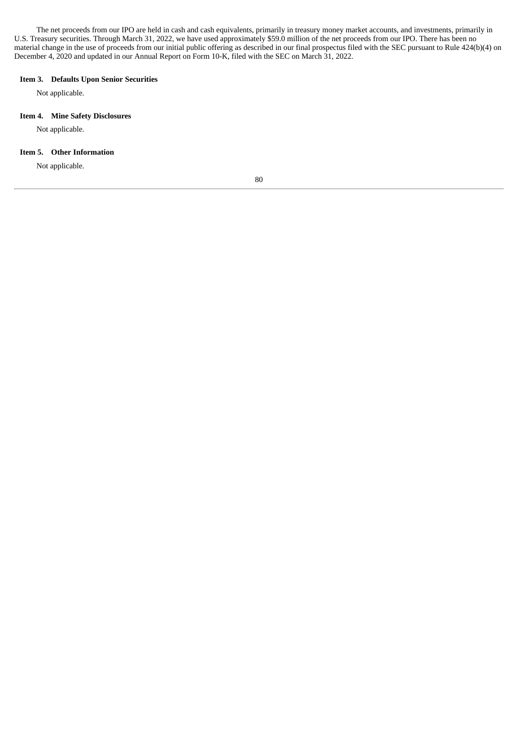The net proceeds from our IPO are held in cash and cash equivalents, primarily in treasury money market accounts, and investments, primarily in U.S. Treasury securities. Through March 31, 2022, we have used approximately \$59.0 million of the net proceeds from our IPO. There has been no material change in the use of proceeds from our initial public offering as described in our final prospectus filed with the SEC pursuant to Rule 424(b)(4) on December 4, 2020 and updated in our Annual Report on Form 10-K, filed with the SEC on March 31, 2022.

# **Item 3. Defaults Upon Senior Securities**

Not applicable.

# **Item 4. Mine Safety Disclosures**

Not applicable.

# **Item 5. Other Information**

Not applicable.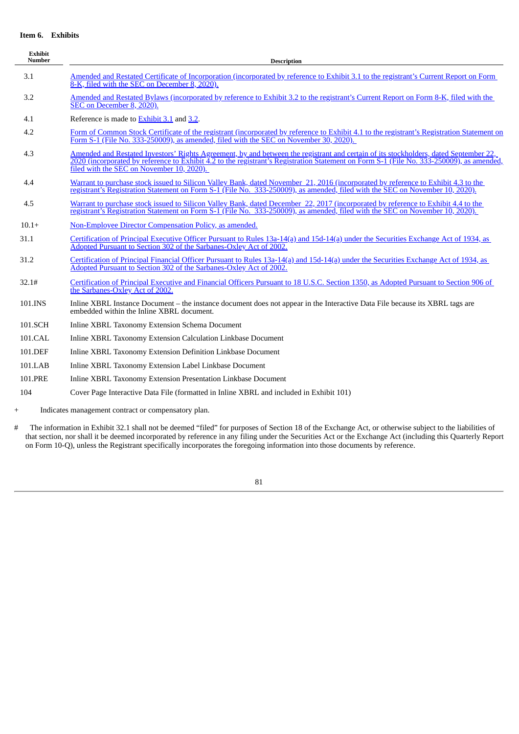# **Item 6. Exhibits**

| <b>Exhibit</b><br><b>Number</b>                                  | <b>Description</b>                                                                                                                                                                                                                                                                                                            |  |  |
|------------------------------------------------------------------|-------------------------------------------------------------------------------------------------------------------------------------------------------------------------------------------------------------------------------------------------------------------------------------------------------------------------------|--|--|
| 3.1                                                              | Amended and Restated Certificate of Incorporation (incorporated by reference to Exhibit 3.1 to the registrant's Current Report on Form<br>8-K, filed with the SEC on December 8, 2020).                                                                                                                                       |  |  |
| 3.2                                                              | Amended and Restated Bylaws (incorporated by reference to Exhibit 3.2 to the registrant's Current Report on Form 8-K, filed with the<br>SEC on December 8, 2020).                                                                                                                                                             |  |  |
| 4.1                                                              | Reference is made to Exhibit 3.1 and 3.2.                                                                                                                                                                                                                                                                                     |  |  |
| 4.2                                                              | Form of Common Stock Certificate of the registrant (incorporated by reference to Exhibit 4.1 to the registrant's Registration Statement on<br>Form S-1 (File No. 333-250009), as amended, filed with the SEC on November 30, 2020).                                                                                           |  |  |
| 4.3                                                              | Amended and Restated Investors' Rights Agreement, by and between the registrant and certain of its stockholders, dated September 22,<br>2020 (incorporated by reference to Exhibit 4.2 to the registrant's Registration Statement on Form S-1 (File No. 333-250009), as amended,<br>filed with the SEC on November 10, 2020). |  |  |
| 4.4                                                              | Warrant to purchase stock issued to Silicon Valley Bank, dated November 21, 2016 (incorporated by reference to Exhibit 4.3 to the<br>registrant's Registration Statement on Form S-1 (File No. 333-250009), as amended, filed with the SEC on November 10, 2020).                                                             |  |  |
| 4.5                                                              | Warrant to purchase stock issued to Silicon Valley Bank, dated December 22, 2017 (incorporated by reference to Exhibit 4.4 to the<br>registrant's Registration Statement on Form S-1 (File No. 333-250009), as amended, filed with the SEC on November 10, 2020).                                                             |  |  |
| $10.1+$                                                          | Non-Employee Director Compensation Policy, as amended.                                                                                                                                                                                                                                                                        |  |  |
| 31.1                                                             | Certification of Principal Executive Officer Pursuant to Rules 13a-14(a) and 15d-14(a) under the Securities Exchange Act of 1934, as<br>Adopted Pursuant to Section 302 of the Sarbanes-Oxley Act of 2002.                                                                                                                    |  |  |
| 31.2                                                             | Certification of Principal Financial Officer Pursuant to Rules 13a-14(a) and 15d-14(a) under the Securities Exchange Act of 1934, as<br>Adopted Pursuant to Section 302 of the Sarbanes-Oxley Act of 2002.                                                                                                                    |  |  |
| 32.1#                                                            | Certification of Principal Executive and Financial Officers Pursuant to 18 U.S.C. Section 1350, as Adopted Pursuant to Section 906 of<br>the Sarbanes-Oxley Act of 2002.                                                                                                                                                      |  |  |
| 101.INS                                                          | Inline XBRL Instance Document – the instance document does not appear in the Interactive Data File because its XBRL tags are<br>embedded within the Inline XBRL document.                                                                                                                                                     |  |  |
| 101.SCH                                                          | Inline XBRL Taxonomy Extension Schema Document                                                                                                                                                                                                                                                                                |  |  |
| 101.CAL                                                          | Inline XBRL Taxonomy Extension Calculation Linkbase Document                                                                                                                                                                                                                                                                  |  |  |
| 101.DEF                                                          | Inline XBRL Taxonomy Extension Definition Linkbase Document                                                                                                                                                                                                                                                                   |  |  |
| 101.LAB                                                          | Inline XBRL Taxonomy Extension Label Linkbase Document                                                                                                                                                                                                                                                                        |  |  |
| 101.PRE                                                          | Inline XBRL Taxonomy Extension Presentation Linkbase Document                                                                                                                                                                                                                                                                 |  |  |
| 104                                                              | Cover Page Interactive Data File (formatted in Inline XBRL and included in Exhibit 101)                                                                                                                                                                                                                                       |  |  |
| $\ddot{}$<br>Indicates management contract or compensatory plan. |                                                                                                                                                                                                                                                                                                                               |  |  |

# The information in Exhibit 32.1 shall not be deemed "filed" for purposes of Section 18 of the Exchange Act, or otherwise subject to the liabilities of that section, nor shall it be deemed incorporated by reference in any filing under the Securities Act or the Exchange Act (including this Quarterly Report on Form 10-Q), unless the Registrant specifically incorporates the foregoing information into those documents by reference.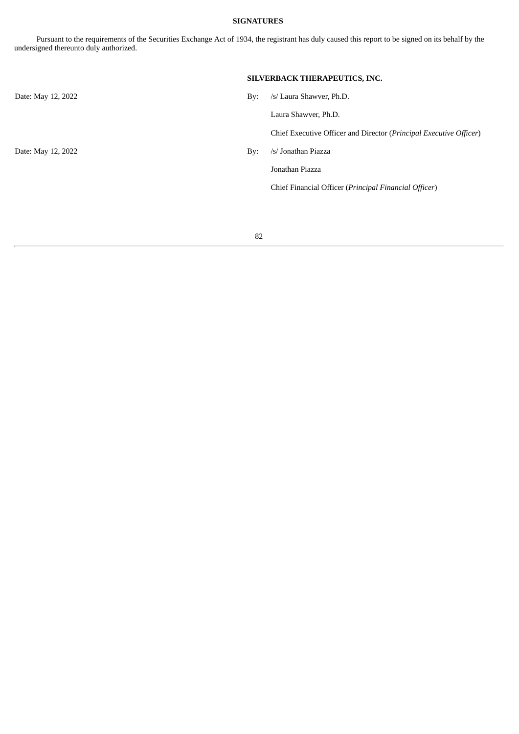# **SIGNATURES**

Pursuant to the requirements of the Securities Exchange Act of 1934, the registrant has duly caused this report to be signed on its behalf by the undersigned thereunto duly authorized.

|                    |     | SILVERBACK THERAPEUTICS, INC.                                      |
|--------------------|-----|--------------------------------------------------------------------|
| Date: May 12, 2022 | By: | /s/ Laura Shawver, Ph.D.                                           |
|                    |     | Laura Shawver, Ph.D.                                               |
|                    |     | Chief Executive Officer and Director (Principal Executive Officer) |
| Date: May 12, 2022 | By: | /s/ Jonathan Piazza                                                |
|                    |     | Jonathan Piazza                                                    |
|                    |     | Chief Financial Officer (Principal Financial Officer)              |
|                    |     |                                                                    |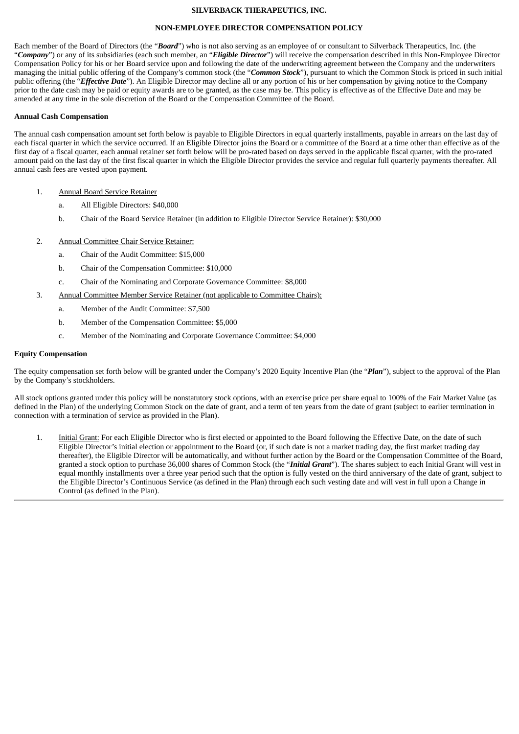# **SILVERBACK THERAPEUTICS, INC.**

## **NON-EMPLOYEE DIRECTOR COMPENSATION POLICY**

<span id="page-82-0"></span>Each member of the Board of Directors (the "*Board*") who is not also serving as an employee of or consultant to Silverback Therapeutics, Inc. (the "*Company*") or any of its subsidiaries (each such member, an "*Eligible Director*") will receive the compensation described in this Non-Employee Director Compensation Policy for his or her Board service upon and following the date of the underwriting agreement between the Company and the underwriters managing the initial public offering of the Company's common stock (the "*Common Stock*"), pursuant to which the Common Stock is priced in such initial public offering (the "*Effective Date*"). An Eligible Director may decline all or any portion of his or her compensation by giving notice to the Company prior to the date cash may be paid or equity awards are to be granted, as the case may be. This policy is effective as of the Effective Date and may be amended at any time in the sole discretion of the Board or the Compensation Committee of the Board.

## **Annual Cash Compensation**

The annual cash compensation amount set forth below is payable to Eligible Directors in equal quarterly installments, payable in arrears on the last day of each fiscal quarter in which the service occurred. If an Eligible Director joins the Board or a committee of the Board at a time other than effective as of the first day of a fiscal quarter, each annual retainer set forth below will be pro-rated based on days served in the applicable fiscal quarter, with the pro-rated amount paid on the last day of the first fiscal quarter in which the Eligible Director provides the service and regular full quarterly payments thereafter. All annual cash fees are vested upon payment.

- 1. Annual Board Service Retainer
	- a. All Eligible Directors: \$40,000
	- b. Chair of the Board Service Retainer (in addition to Eligible Director Service Retainer): \$30,000
- 2. Annual Committee Chair Service Retainer:
	- a. Chair of the Audit Committee: \$15,000
	- b. Chair of the Compensation Committee: \$10,000
	- c. Chair of the Nominating and Corporate Governance Committee: \$8,000
- 3. Annual Committee Member Service Retainer (not applicable to Committee Chairs):
	- a. Member of the Audit Committee: \$7,500
	- b. Member of the Compensation Committee: \$5,000
	- c. Member of the Nominating and Corporate Governance Committee: \$4,000

## **Equity Compensation**

The equity compensation set forth below will be granted under the Company's 2020 Equity Incentive Plan (the "*Plan*"), subject to the approval of the Plan by the Company's stockholders.

All stock options granted under this policy will be nonstatutory stock options, with an exercise price per share equal to 100% of the Fair Market Value (as defined in the Plan) of the underlying Common Stock on the date of grant, and a term of ten years from the date of grant (subject to earlier termination in connection with a termination of service as provided in the Plan).

1. Initial Grant: For each Eligible Director who is first elected or appointed to the Board following the Effective Date, on the date of such Eligible Director's initial election or appointment to the Board (or, if such date is not a market trading day, the first market trading day thereafter), the Eligible Director will be automatically, and without further action by the Board or the Compensation Committee of the Board, granted a stock option to purchase 36,000 shares of Common Stock (the "*Initial Grant*"). The shares subject to each Initial Grant will vest in equal monthly installments over a three year period such that the option is fully vested on the third anniversary of the date of grant, subject to the Eligible Director's Continuous Service (as defined in the Plan) through each such vesting date and will vest in full upon a Change in Control (as defined in the Plan).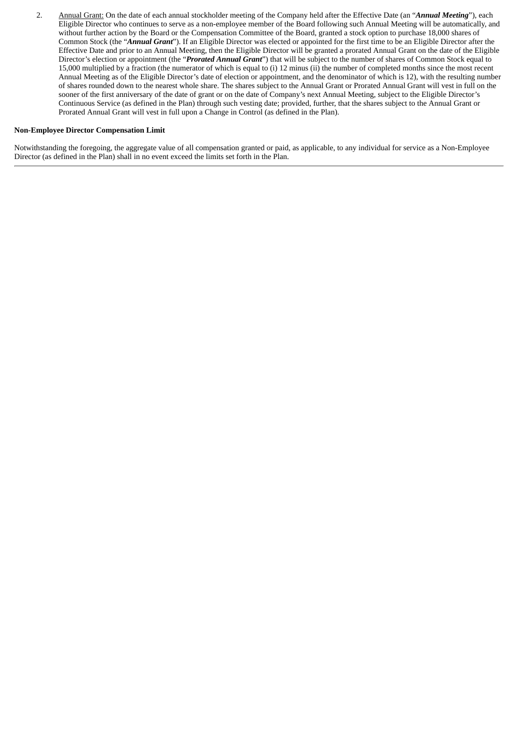2. Annual Grant: On the date of each annual stockholder meeting of the Company held after the Effective Date (an "*Annual Meeting*"), each Eligible Director who continues to serve as a non-employee member of the Board following such Annual Meeting will be automatically, and without further action by the Board or the Compensation Committee of the Board, granted a stock option to purchase 18,000 shares of Common Stock (the "*Annual Grant*"). If an Eligible Director was elected or appointed for the first time to be an Eligible Director after the Effective Date and prior to an Annual Meeting, then the Eligible Director will be granted a prorated Annual Grant on the date of the Eligible Director's election or appointment (the "*Prorated Annual Grant*") that will be subject to the number of shares of Common Stock equal to 15,000 multiplied by a fraction (the numerator of which is equal to (i) 12 minus (ii) the number of completed months since the most recent Annual Meeting as of the Eligible Director's date of election or appointment, and the denominator of which is 12), with the resulting number of shares rounded down to the nearest whole share. The shares subject to the Annual Grant or Prorated Annual Grant will vest in full on the sooner of the first anniversary of the date of grant or on the date of Company's next Annual Meeting, subject to the Eligible Director's Continuous Service (as defined in the Plan) through such vesting date; provided, further, that the shares subject to the Annual Grant or Prorated Annual Grant will vest in full upon a Change in Control (as defined in the Plan).

## **Non-Employee Director Compensation Limit**

Notwithstanding the foregoing, the aggregate value of all compensation granted or paid, as applicable, to any individual for service as a Non-Employee Director (as defined in the Plan) shall in no event exceed the limits set forth in the Plan.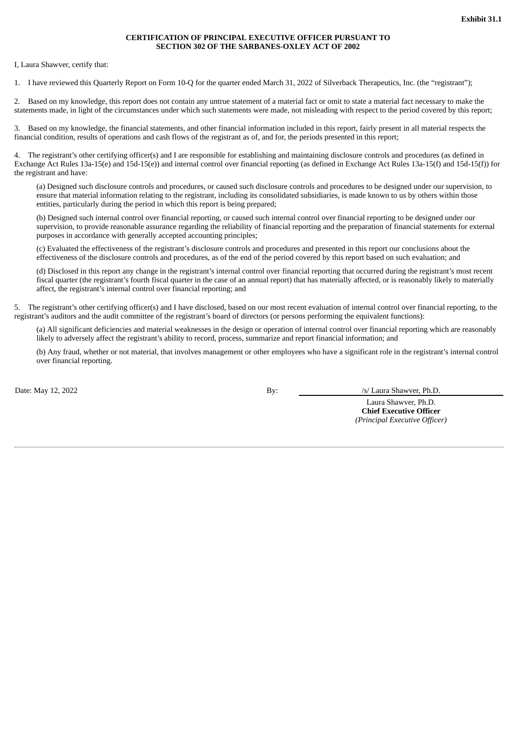### **CERTIFICATION OF PRINCIPAL EXECUTIVE OFFICER PURSUANT TO SECTION 302 OF THE SARBANES-OXLEY ACT OF 2002**

<span id="page-84-0"></span>I, Laura Shawver, certify that:

1. I have reviewed this Quarterly Report on Form 10-Q for the quarter ended March 31, 2022 of Silverback Therapeutics, Inc. (the "registrant");

2. Based on my knowledge, this report does not contain any untrue statement of a material fact or omit to state a material fact necessary to make the statements made, in light of the circumstances under which such statements were made, not misleading with respect to the period covered by this report;

3. Based on my knowledge, the financial statements, and other financial information included in this report, fairly present in all material respects the financial condition, results of operations and cash flows of the registrant as of, and for, the periods presented in this report;

4. The registrant's other certifying officer(s) and I are responsible for establishing and maintaining disclosure controls and procedures (as defined in Exchange Act Rules 13a-15(e) and 15d-15(e)) and internal control over financial reporting (as defined in Exchange Act Rules 13a-15(f) and 15d-15(f)) for the registrant and have:

(a) Designed such disclosure controls and procedures, or caused such disclosure controls and procedures to be designed under our supervision, to ensure that material information relating to the registrant, including its consolidated subsidiaries, is made known to us by others within those entities, particularly during the period in which this report is being prepared;

(b) Designed such internal control over financial reporting, or caused such internal control over financial reporting to be designed under our supervision, to provide reasonable assurance regarding the reliability of financial reporting and the preparation of financial statements for external purposes in accordance with generally accepted accounting principles;

(c) Evaluated the effectiveness of the registrant's disclosure controls and procedures and presented in this report our conclusions about the effectiveness of the disclosure controls and procedures, as of the end of the period covered by this report based on such evaluation; and

(d) Disclosed in this report any change in the registrant's internal control over financial reporting that occurred during the registrant's most recent fiscal quarter (the registrant's fourth fiscal quarter in the case of an annual report) that has materially affected, or is reasonably likely to materially affect, the registrant's internal control over financial reporting; and

5. The registrant's other certifying officer(s) and I have disclosed, based on our most recent evaluation of internal control over financial reporting, to the registrant's auditors and the audit committee of the registrant's board of directors (or persons performing the equivalent functions):

(a) All significant deficiencies and material weaknesses in the design or operation of internal control over financial reporting which are reasonably likely to adversely affect the registrant's ability to record, process, summarize and report financial information; and

(b) Any fraud, whether or not material, that involves management or other employees who have a significant role in the registrant's internal control over financial reporting.

Date: May 12, 2022 **By:** *By: By: By: By: By: By: By: By: By: By: By: By: By: By: By: By: By: By: By: By: By: By: By: By: By: By: By: By: By: By: By: By: By:* 

Laura Shawver, Ph.D. **Chief Executive Officer** *(Principal Executive Officer)*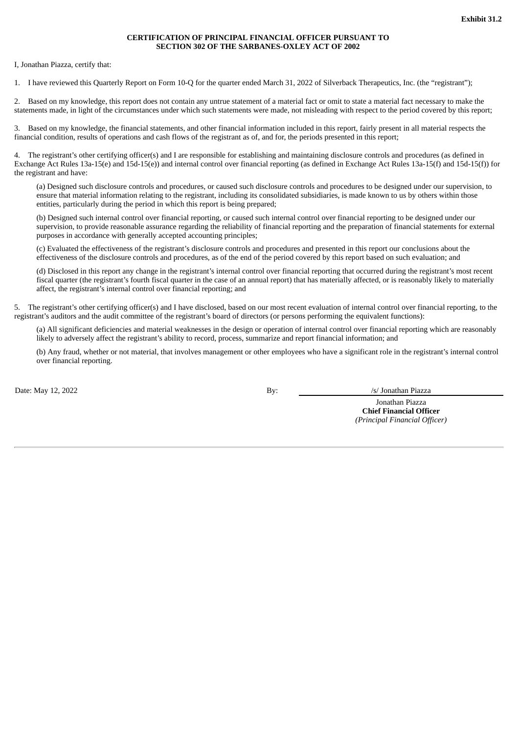### **CERTIFICATION OF PRINCIPAL FINANCIAL OFFICER PURSUANT TO SECTION 302 OF THE SARBANES-OXLEY ACT OF 2002**

<span id="page-85-0"></span>I, Jonathan Piazza, certify that:

1. I have reviewed this Quarterly Report on Form 10-Q for the quarter ended March 31, 2022 of Silverback Therapeutics, Inc. (the "registrant");

2. Based on my knowledge, this report does not contain any untrue statement of a material fact or omit to state a material fact necessary to make the statements made, in light of the circumstances under which such statements were made, not misleading with respect to the period covered by this report;

3. Based on my knowledge, the financial statements, and other financial information included in this report, fairly present in all material respects the financial condition, results of operations and cash flows of the registrant as of, and for, the periods presented in this report;

4. The registrant's other certifying officer(s) and I are responsible for establishing and maintaining disclosure controls and procedures (as defined in Exchange Act Rules 13a-15(e) and 15d-15(e)) and internal control over financial reporting (as defined in Exchange Act Rules 13a-15(f) and 15d-15(f)) for the registrant and have:

(a) Designed such disclosure controls and procedures, or caused such disclosure controls and procedures to be designed under our supervision, to ensure that material information relating to the registrant, including its consolidated subsidiaries, is made known to us by others within those entities, particularly during the period in which this report is being prepared;

(b) Designed such internal control over financial reporting, or caused such internal control over financial reporting to be designed under our supervision, to provide reasonable assurance regarding the reliability of financial reporting and the preparation of financial statements for external purposes in accordance with generally accepted accounting principles;

(c) Evaluated the effectiveness of the registrant's disclosure controls and procedures and presented in this report our conclusions about the effectiveness of the disclosure controls and procedures, as of the end of the period covered by this report based on such evaluation; and

(d) Disclosed in this report any change in the registrant's internal control over financial reporting that occurred during the registrant's most recent fiscal quarter (the registrant's fourth fiscal quarter in the case of an annual report) that has materially affected, or is reasonably likely to materially affect, the registrant's internal control over financial reporting; and

5. The registrant's other certifying officer(s) and I have disclosed, based on our most recent evaluation of internal control over financial reporting, to the registrant's auditors and the audit committee of the registrant's board of directors (or persons performing the equivalent functions):

(a) All significant deficiencies and material weaknesses in the design or operation of internal control over financial reporting which are reasonably likely to adversely affect the registrant's ability to record, process, summarize and report financial information; and

(b) Any fraud, whether or not material, that involves management or other employees who have a significant role in the registrant's internal control over financial reporting.

Date: May 12, 2022 **By:** *By: By: By: By: By: By: By: By: By: By: By: By: By: By: By: By: By: By: By: By: By: By: By: By: By: By: By: By: By: By: By: By: By:* 

Jonathan Piazza **Chief Financial Officer** *(Principal Financial Officer)*